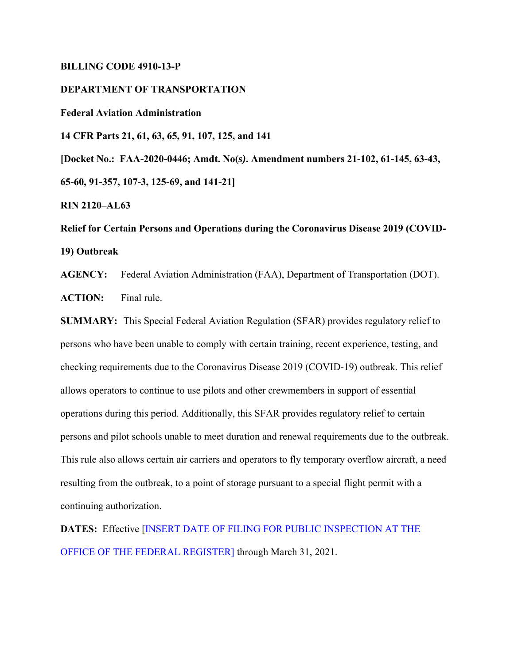## **BILLING CODE 4910-13-P**

# **DEPARTMENT OF TRANSPORTATION**

**Federal Aviation Administration** 

**14 CFR Parts 21, 61, 63, 65, 91, 107, 125, and 141**

**[Docket No.: FAA-2020-0446; Amdt. No(***s)***. Amendment numbers 21-102, 61-145, 63-43, 65-60, 91-357, 107-3, 125-69, and 141-21]**

**RIN 2120–AL63**

**Relief for Certain Persons and Operations during the Coronavirus Disease 2019 (COVID-19) Outbreak** 

**AGENCY:** Federal Aviation Administration (FAA), Department of Transportation (DOT). **ACTION:** Final rule.

**SUMMARY:** This Special Federal Aviation Regulation (SFAR) provides regulatory relief to persons who have been unable to comply with certain training, recent experience, testing, and checking requirements due to the Coronavirus Disease 2019 (COVID-19) outbreak. This relief allows operators to continue to use pilots and other crewmembers in support of essential operations during this period. Additionally, this SFAR provides regulatory relief to certain persons and pilot schools unable to meet duration and renewal requirements due to the outbreak. This rule also allows certain air carriers and operators to fly temporary overflow aircraft, a need resulting from the outbreak, to a point of storage pursuant to a special flight permit with a continuing authorization.

**DATES:** Effective [INSERT DATE OF FILING FOR PUBLIC INSPECTION AT THE OFFICE OF THE FEDERAL REGISTER] through March 31, 2021.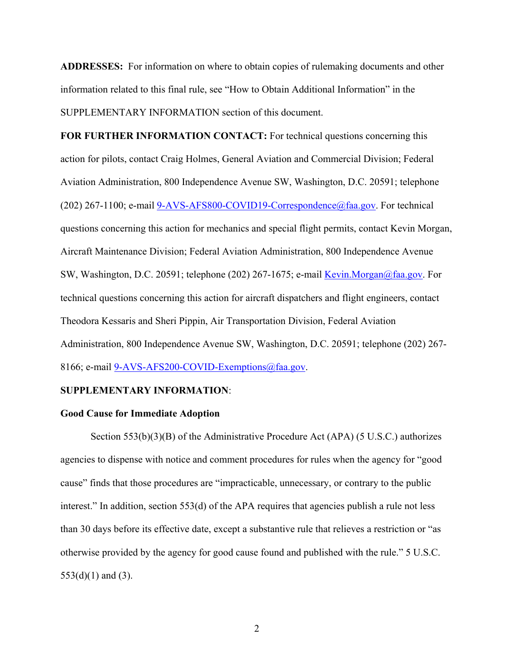**ADDRESSES:** For information on where to obtain copies of rulemaking documents and other information related to this final rule, see "How to Obtain Additional Information" in the SUPPLEMENTARY INFORMATION section of this document.

**FOR FURTHER INFORMATION CONTACT:** For technical questions concerning this action for pilots, contact Craig Holmes, General Aviation and Commercial Division; Federal Aviation Administration, 800 Independence Avenue SW, Washington, D.C. 20591; telephone (202) 267-1100; e-mail 9-AVS-AFS800-COVID19-Correspondence@faa.gov. For technical questions concerning this action for mechanics and special flight permits, contact Kevin Morgan, Aircraft Maintenance Division; Federal Aviation Administration, 800 Independence Avenue SW, Washington, D.C. 20591; telephone (202) 267-1675; e-mail Kevin.Morgan@faa.gov. For technical questions concerning this action for aircraft dispatchers and flight engineers, contact Theodora Kessaris and Sheri Pippin, Air Transportation Division, Federal Aviation Administration, 800 Independence Avenue SW, Washington, D.C. 20591; telephone (202) 267- 8166; e-mail 9-AVS-AFS200-COVID-Exemptions@faa.gov.

## **SUPPLEMENTARY INFORMATION**:

# **Good Cause for Immediate Adoption**

Section 553(b)(3)(B) of the Administrative Procedure Act (APA) (5 U.S.C.) authorizes agencies to dispense with notice and comment procedures for rules when the agency for "good cause" finds that those procedures are "impracticable, unnecessary, or contrary to the public interest." In addition, section 553(d) of the APA requires that agencies publish a rule not less than 30 days before its effective date, except a substantive rule that relieves a restriction or "as otherwise provided by the agency for good cause found and published with the rule." 5 U.S.C.  $553(d)(1)$  and  $(3)$ .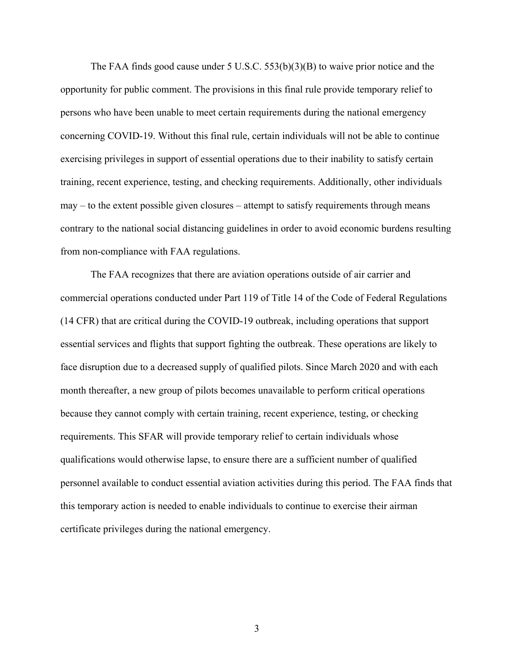The FAA finds good cause under 5 U.S.C.  $553(b)(3)(B)$  to waive prior notice and the opportunity for public comment. The provisions in this final rule provide temporary relief to persons who have been unable to meet certain requirements during the national emergency concerning COVID-19. Without this final rule, certain individuals will not be able to continue exercising privileges in support of essential operations due to their inability to satisfy certain training, recent experience, testing, and checking requirements. Additionally, other individuals may – to the extent possible given closures – attempt to satisfy requirements through means contrary to the national social distancing guidelines in order to avoid economic burdens resulting from non-compliance with FAA regulations.

The FAA recognizes that there are aviation operations outside of air carrier and commercial operations conducted under Part 119 of Title 14 of the Code of Federal Regulations (14 CFR) that are critical during the COVID-19 outbreak, including operations that support essential services and flights that support fighting the outbreak. These operations are likely to face disruption due to a decreased supply of qualified pilots. Since March 2020 and with each month thereafter, a new group of pilots becomes unavailable to perform critical operations because they cannot comply with certain training, recent experience, testing, or checking requirements. This SFAR will provide temporary relief to certain individuals whose qualifications would otherwise lapse, to ensure there are a sufficient number of qualified personnel available to conduct essential aviation activities during this period. The FAA finds that this temporary action is needed to enable individuals to continue to exercise their airman certificate privileges during the national emergency.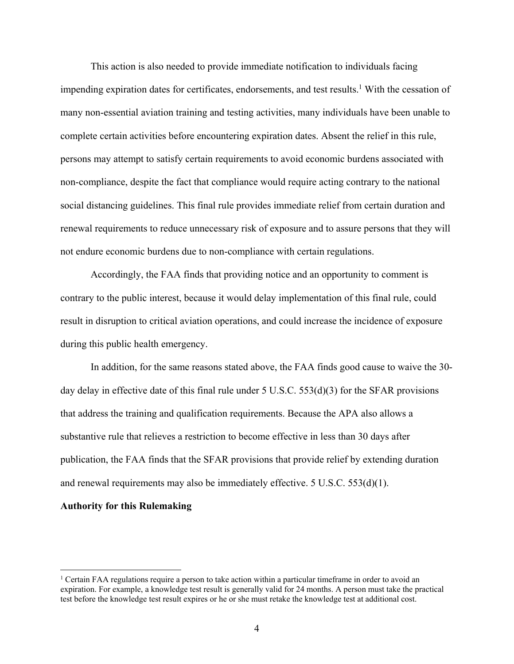This action is also needed to provide immediate notification to individuals facing impending expiration dates for certificates, endorsements, and test results.<sup>1</sup> With the cessation of many non-essential aviation training and testing activities, many individuals have been unable to complete certain activities before encountering expiration dates. Absent the relief in this rule, persons may attempt to satisfy certain requirements to avoid economic burdens associated with non-compliance, despite the fact that compliance would require acting contrary to the national social distancing guidelines. This final rule provides immediate relief from certain duration and renewal requirements to reduce unnecessary risk of exposure and to assure persons that they will not endure economic burdens due to non-compliance with certain regulations.

Accordingly, the FAA finds that providing notice and an opportunity to comment is contrary to the public interest, because it would delay implementation of this final rule, could result in disruption to critical aviation operations, and could increase the incidence of exposure during this public health emergency.

In addition, for the same reasons stated above, the FAA finds good cause to waive the 30 day delay in effective date of this final rule under 5 U.S.C. 553(d)(3) for the SFAR provisions that address the training and qualification requirements. Because the APA also allows a substantive rule that relieves a restriction to become effective in less than 30 days after publication, the FAA finds that the SFAR provisions that provide relief by extending duration and renewal requirements may also be immediately effective.  $5 \text{ U.S.C. } 553\text{(d)}(1)$ .

## **Authority for this Rulemaking**

<sup>&</sup>lt;sup>1</sup> Certain FAA regulations require a person to take action within a particular timeframe in order to avoid an expiration. For example, a knowledge test result is generally valid for 24 months. A person must take the practical test before the knowledge test result expires or he or she must retake the knowledge test at additional cost.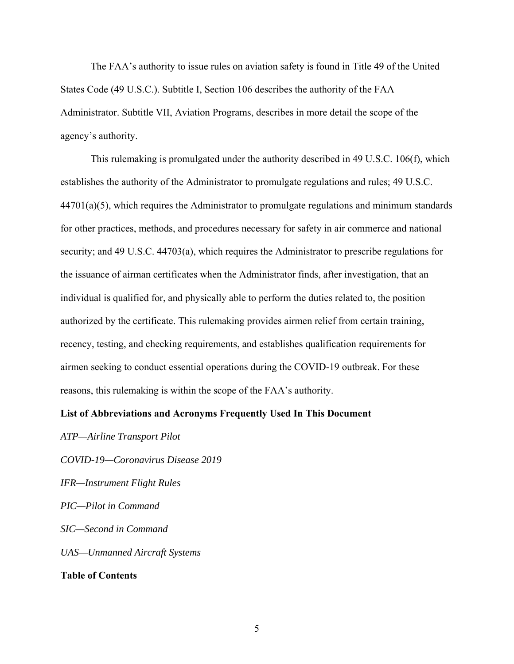The FAA's authority to issue rules on aviation safety is found in Title 49 of the United States Code (49 U.S.C.). Subtitle I, Section 106 describes the authority of the FAA Administrator. Subtitle VII, Aviation Programs, describes in more detail the scope of the agency's authority.

This rulemaking is promulgated under the authority described in 49 U.S.C. 106(f), which establishes the authority of the Administrator to promulgate regulations and rules; 49 U.S.C.  $44701(a)(5)$ , which requires the Administrator to promulgate regulations and minimum standards for other practices, methods, and procedures necessary for safety in air commerce and national security; and 49 U.S.C. 44703(a), which requires the Administrator to prescribe regulations for the issuance of airman certificates when the Administrator finds, after investigation, that an individual is qualified for, and physically able to perform the duties related to, the position authorized by the certificate. This rulemaking provides airmen relief from certain training, recency, testing, and checking requirements, and establishes qualification requirements for airmen seeking to conduct essential operations during the COVID-19 outbreak. For these reasons, this rulemaking is within the scope of the FAA's authority.

# **List of Abbreviations and Acronyms Frequently Used In This Document**

*COVID-19—Coronavirus Disease 2019 IFR—Instrument Flight Rules PIC—Pilot in Command SIC—Second in Command UAS—Unmanned Aircraft Systems* **Table of Contents** 

*ATP—Airline Transport Pilot*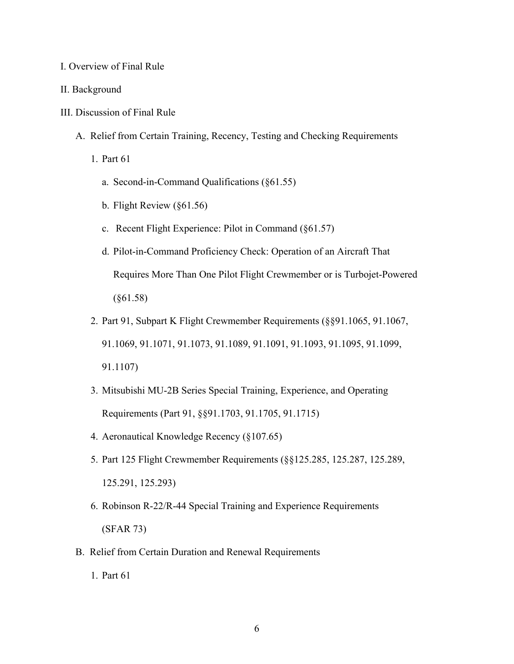### I. Overview of Final Rule

#### II. Background

- III. Discussion of Final Rule
	- A. Relief from Certain Training, Recency, Testing and Checking Requirements
		- 1. Part 61
			- a. Second-in-Command Qualifications (§61.55)
			- b. Flight Review (§61.56)
			- c. Recent Flight Experience: Pilot in Command (§61.57)
			- d. Pilot-in-Command Proficiency Check: Operation of an Aircraft That Requires More Than One Pilot Flight Crewmember or is Turbojet-Powered (§61.58)
		- 2. Part 91, Subpart K Flight Crewmember Requirements (§§91.1065, 91.1067, 91.1069, 91.1071, 91.1073, 91.1089, 91.1091, 91.1093, 91.1095, 91.1099, 91.1107)
		- 3. Mitsubishi MU-2B Series Special Training, Experience, and Operating Requirements (Part 91, §§91.1703, 91.1705, 91.1715)
		- 4. Aeronautical Knowledge Recency (§107.65)
		- 5. Part 125 Flight Crewmember Requirements (§§125.285, 125.287, 125.289, 125.291, 125.293)
		- 6. Robinson R-22/R-44 Special Training and Experience Requirements (SFAR 73)
	- B. Relief from Certain Duration and Renewal Requirements
		- 1. Part 61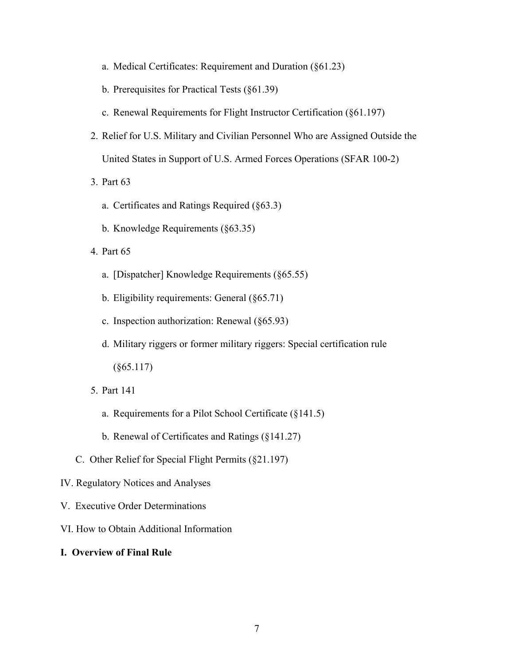- a. Medical Certificates: Requirement and Duration (§61.23)
- b. Prerequisites for Practical Tests (§61.39)
- c. Renewal Requirements for Flight Instructor Certification (§61.197)
- 2. Relief for U.S. Military and Civilian Personnel Who are Assigned Outside the United States in Support of U.S. Armed Forces Operations (SFAR 100-2)
- 3. Part 63
	- a. Certificates and Ratings Required (§63.3)
	- b. Knowledge Requirements (§63.35)
- 4. Part 65
	- a. [Dispatcher] Knowledge Requirements (§65.55)
	- b. Eligibility requirements: General (§65.71)
	- c. Inspection authorization: Renewal (§65.93)
	- d. Military riggers or former military riggers: Special certification rule  $(§65.117)$
- 5. Part 141
	- a. Requirements for a Pilot School Certificate (§141.5)
	- b. Renewal of Certificates and Ratings (§141.27)
- C. Other Relief for Special Flight Permits (§21.197)
- IV. Regulatory Notices and Analyses
- V. Executive Order Determinations
- VI. How to Obtain Additional Information
- **I. Overview of Final Rule**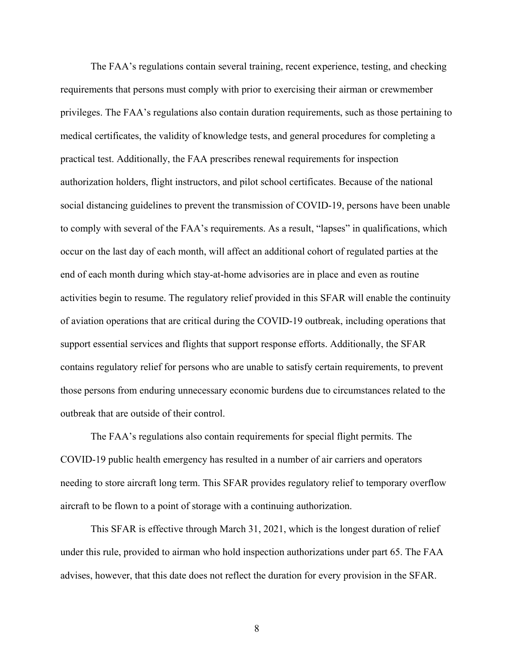The FAA's regulations contain several training, recent experience, testing, and checking requirements that persons must comply with prior to exercising their airman or crewmember privileges. The FAA's regulations also contain duration requirements, such as those pertaining to medical certificates, the validity of knowledge tests, and general procedures for completing a practical test. Additionally, the FAA prescribes renewal requirements for inspection authorization holders, flight instructors, and pilot school certificates. Because of the national social distancing guidelines to prevent the transmission of COVID-19, persons have been unable to comply with several of the FAA's requirements. As a result, "lapses" in qualifications, which occur on the last day of each month, will affect an additional cohort of regulated parties at the end of each month during which stay-at-home advisories are in place and even as routine activities begin to resume. The regulatory relief provided in this SFAR will enable the continuity of aviation operations that are critical during the COVID-19 outbreak, including operations that support essential services and flights that support response efforts. Additionally, the SFAR contains regulatory relief for persons who are unable to satisfy certain requirements, to prevent those persons from enduring unnecessary economic burdens due to circumstances related to the outbreak that are outside of their control.

The FAA's regulations also contain requirements for special flight permits. The COVID-19 public health emergency has resulted in a number of air carriers and operators needing to store aircraft long term. This SFAR provides regulatory relief to temporary overflow aircraft to be flown to a point of storage with a continuing authorization.

This SFAR is effective through March 31, 2021, which is the longest duration of relief under this rule, provided to airman who hold inspection authorizations under part 65. The FAA advises, however, that this date does not reflect the duration for every provision in the SFAR.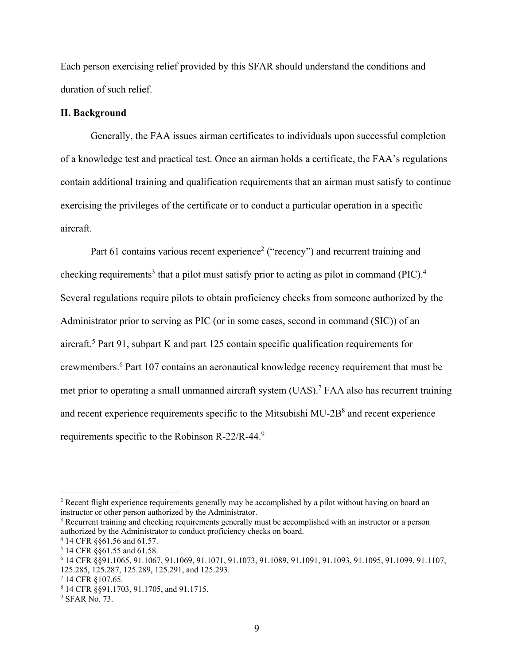Each person exercising relief provided by this SFAR should understand the conditions and duration of such relief.

### **II. Background**

Generally, the FAA issues airman certificates to individuals upon successful completion of a knowledge test and practical test. Once an airman holds a certificate, the FAA's regulations contain additional training and qualification requirements that an airman must satisfy to continue exercising the privileges of the certificate or to conduct a particular operation in a specific aircraft.

Part 61 contains various recent experience<sup>2</sup> ("recency") and recurrent training and checking requirements<sup>3</sup> that a pilot must satisfy prior to acting as pilot in command (PIC).<sup>4</sup> Several regulations require pilots to obtain proficiency checks from someone authorized by the Administrator prior to serving as PIC (or in some cases, second in command (SIC)) of an aircraft.<sup>5</sup> Part 91, subpart K and part 125 contain specific qualification requirements for crewmembers.<sup>6</sup> Part 107 contains an aeronautical knowledge recency requirement that must be met prior to operating a small unmanned aircraft system (UAS).<sup>7</sup> FAA also has recurrent training and recent experience requirements specific to the Mitsubishi MU-2B $\text{8}$  and recent experience requirements specific to the Robinson R-22/R-44.9

<sup>&</sup>lt;sup>2</sup> Recent flight experience requirements generally may be accomplished by a pilot without having on board an instructor or other person authorized by the Administrator.

<sup>&</sup>lt;sup>3</sup> Recurrent training and checking requirements generally must be accomplished with an instructor or a person authorized by the Administrator to conduct proficiency checks on board. 4

 <sup>14</sup> CFR §§61.56 and 61.57.

<sup>5</sup> 14 CFR §§61.55 and 61.58.

<sup>6</sup> 14 CFR §§91.1065, 91.1067, 91.1069, 91.1071, 91.1073, 91.1089, 91.1091, 91.1093, 91.1095, 91.1099, 91.1107, 125.285, 125.287, 125.289, 125.291, and 125.293.

<sup>7</sup> 14 CFR §107.65.

<sup>8</sup> 14 CFR §§91.1703, 91.1705, and 91.1715.

<sup>9</sup> SFAR No. 73.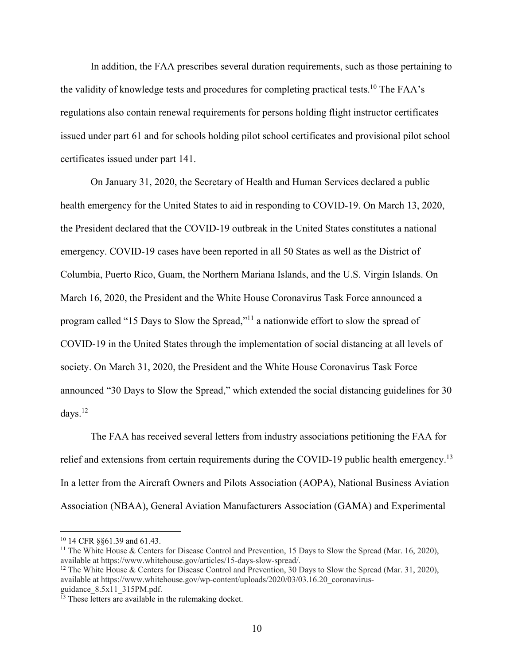In addition, the FAA prescribes several duration requirements, such as those pertaining to the validity of knowledge tests and procedures for completing practical tests.<sup>10</sup> The FAA's regulations also contain renewal requirements for persons holding flight instructor certificates issued under part 61 and for schools holding pilot school certificates and provisional pilot school certificates issued under part 141.

On January 31, 2020, the Secretary of Health and Human Services declared a public health emergency for the United States to aid in responding to COVID-19. On March 13, 2020, the President declared that the COVID-19 outbreak in the United States constitutes a national emergency. COVID-19 cases have been reported in all 50 States as well as the District of Columbia, Puerto Rico, Guam, the Northern Mariana Islands, and the U.S. Virgin Islands. On March 16, 2020, the President and the White House Coronavirus Task Force announced a program called "15 Days to Slow the Spread,"11 a nationwide effort to slow the spread of COVID-19 in the United States through the implementation of social distancing at all levels of society. On March 31, 2020, the President and the White House Coronavirus Task Force announced "30 Days to Slow the Spread," which extended the social distancing guidelines for 30 days. $^{12}$ 

The FAA has received several letters from industry associations petitioning the FAA for relief and extensions from certain requirements during the COVID-19 public health emergency.<sup>13</sup> In a letter from the Aircraft Owners and Pilots Association (AOPA), National Business Aviation Association (NBAA), General Aviation Manufacturers Association (GAMA) and Experimental

<sup>10 14</sup> CFR §§61.39 and 61.43.

<sup>&</sup>lt;sup>11</sup> The White House & Centers for Disease Control and Prevention, 15 Days to Slow the Spread (Mar. 16, 2020), available at https://www.whitehouse.gov/articles/15-days-slow-spread/.

<sup>&</sup>lt;sup>12</sup> The White House & Centers for Disease Control and Prevention, 30 Days to Slow the Spread (Mar. 31, 2020), available at https://www.whitehouse.gov/wp-content/uploads/2020/03/03.16.20\_coronavirusguidance\_8.5x11\_315PM.pdf.

 $13$  These letters are available in the rulemaking docket.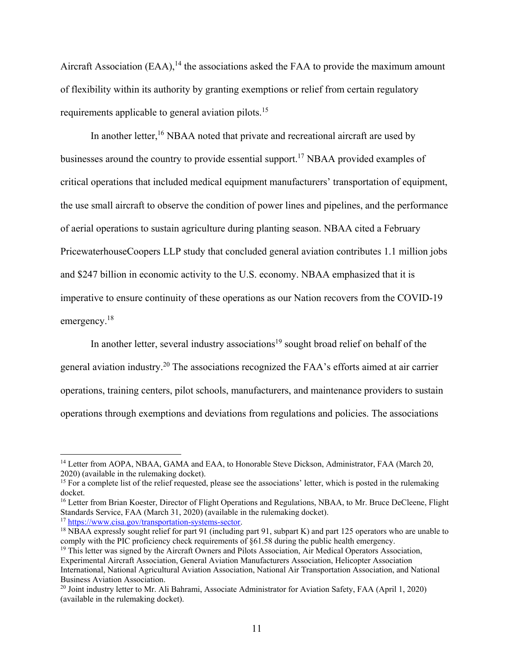Aircraft Association  $(EAA)$ ,<sup>14</sup> the associations asked the FAA to provide the maximum amount of flexibility within its authority by granting exemptions or relief from certain regulatory requirements applicable to general aviation pilots.<sup>15</sup>

In another letter,<sup>16</sup> NBAA noted that private and recreational aircraft are used by businesses around the country to provide essential support.<sup>17</sup> NBAA provided examples of critical operations that included medical equipment manufacturers' transportation of equipment, the use small aircraft to observe the condition of power lines and pipelines, and the performance of aerial operations to sustain agriculture during planting season. NBAA cited a February PricewaterhouseCoopers LLP study that concluded general aviation contributes 1.1 million jobs and \$247 billion in economic activity to the U.S. economy. NBAA emphasized that it is imperative to ensure continuity of these operations as our Nation recovers from the COVID-19 emergency.<sup>18</sup>

In another letter, several industry associations<sup>19</sup> sought broad relief on behalf of the general aviation industry.20 The associations recognized the FAA's efforts aimed at air carrier operations, training centers, pilot schools, manufacturers, and maintenance providers to sustain operations through exemptions and deviations from regulations and policies. The associations

<sup>&</sup>lt;sup>14</sup> Letter from AOPA, NBAA, GAMA and EAA, to Honorable Steve Dickson, Administrator, FAA (March 20, 2020) (available in the rulemaking docket).

 $15$  For a complete list of the relief requested, please see the associations' letter, which is posted in the rulemaking docket.

<sup>&</sup>lt;sup>16</sup> Letter from Brian Koester, Director of Flight Operations and Regulations, NBAA, to Mr. Bruce DeCleene, Flight Standards Service, FAA (March 31, 2020) (available in the rulemaking docket).<br><sup>17</sup> https://www.cisa.gov/transportation-systems-sector.

<sup>&</sup>lt;sup>18</sup> NBAA expressly sought relief for part 91 (including part 91, subpart K) and part 125 operators who are unable to comply with the PIC proficiency check requirements of §61.58 during the public health emergency.

<sup>&</sup>lt;sup>19</sup> This letter was signed by the Aircraft Owners and Pilots Association, Air Medical Operators Association, Experimental Aircraft Association, General Aviation Manufacturers Association, Helicopter Association International, National Agricultural Aviation Association, National Air Transportation Association, and National Business Aviation Association.

<sup>&</sup>lt;sup>20</sup> Joint industry letter to Mr. Ali Bahrami, Associate Administrator for Aviation Safety, FAA (April 1, 2020) (available in the rulemaking docket).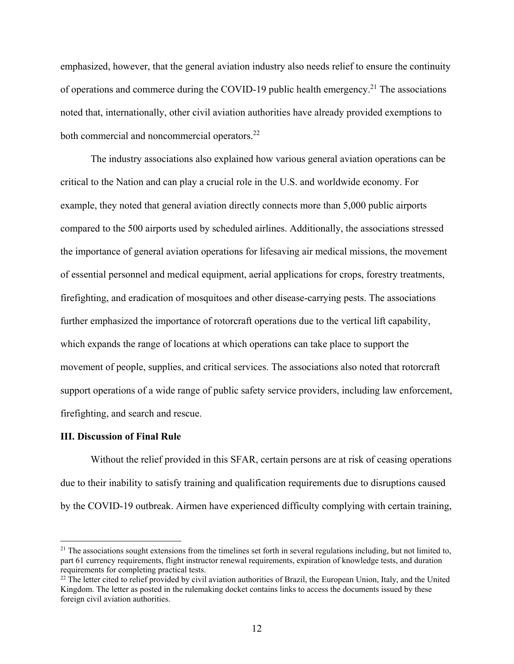emphasized, however, that the general aviation industry also needs relief to ensure the continuity of operations and commerce during the COVID-19 public health emergency.<sup>21</sup> The associations noted that, internationally, other civil aviation authorities have already provided exemptions to both commercial and noncommercial operators.<sup>22</sup>

The industry associations also explained how various general aviation operations can be critical to the Nation and can play a crucial role in the U.S. and worldwide economy. For example, they noted that general aviation directly connects more than 5,000 public airports compared to the 500 airports used by scheduled airlines. Additionally, the associations stressed the importance of general aviation operations for lifesaving air medical missions, the movement of essential personnel and medical equipment, aerial applications for crops, forestry treatments, firefighting, and eradication of mosquitoes and other disease-carrying pests. The associations further emphasized the importance of rotorcraft operations due to the vertical lift capability, which expands the range of locations at which operations can take place to support the movement of people, supplies, and critical services. The associations also noted that rotorcraft support operations of a wide range of public safety service providers, including law enforcement, firefighting, and search and rescue.

### **III. Discussion of Final Rule**

 $\overline{a}$ 

Without the relief provided in this SFAR, certain persons are at risk of ceasing operations due to their inability to satisfy training and qualification requirements due to disruptions caused by the COVID-19 outbreak. Airmen have experienced difficulty complying with certain training,

 $21$  The associations sought extensions from the timelines set forth in several regulations including, but not limited to, part 61 currency requirements, flight instructor renewal requirements, expiration of knowledge tests, and duration requirements for completing practical tests.<br><sup>22</sup> The letter cited to relief provided by civil aviation authorities of Brazil, the European Union, Italy, and the United

Kingdom. The letter as posted in the rulemaking docket contains links to access the documents issued by these foreign civil aviation authorities.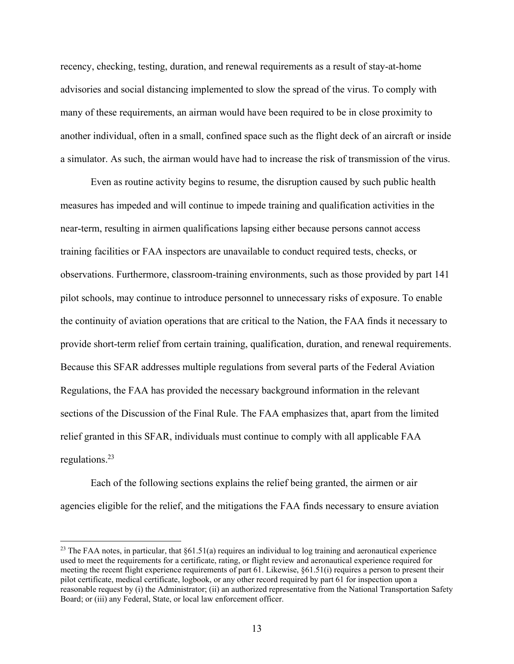recency, checking, testing, duration, and renewal requirements as a result of stay-at-home advisories and social distancing implemented to slow the spread of the virus. To comply with many of these requirements, an airman would have been required to be in close proximity to another individual, often in a small, confined space such as the flight deck of an aircraft or inside a simulator. As such, the airman would have had to increase the risk of transmission of the virus.

Even as routine activity begins to resume, the disruption caused by such public health measures has impeded and will continue to impede training and qualification activities in the near-term, resulting in airmen qualifications lapsing either because persons cannot access training facilities or FAA inspectors are unavailable to conduct required tests, checks, or observations. Furthermore, classroom-training environments, such as those provided by part 141 pilot schools, may continue to introduce personnel to unnecessary risks of exposure. To enable the continuity of aviation operations that are critical to the Nation, the FAA finds it necessary to provide short-term relief from certain training, qualification, duration, and renewal requirements. Because this SFAR addresses multiple regulations from several parts of the Federal Aviation Regulations, the FAA has provided the necessary background information in the relevant sections of the Discussion of the Final Rule. The FAA emphasizes that, apart from the limited relief granted in this SFAR, individuals must continue to comply with all applicable FAA regulations.23

Each of the following sections explains the relief being granted, the airmen or air agencies eligible for the relief, and the mitigations the FAA finds necessary to ensure aviation

<sup>&</sup>lt;sup>23</sup> The FAA notes, in particular, that  $\S61.51(a)$  requires an individual to log training and aeronautical experience used to meet the requirements for a certificate, rating, or flight review and aeronautical experience required for meeting the recent flight experience requirements of part 61. Likewise, §61.51(i) requires a person to present their pilot certificate, medical certificate, logbook, or any other record required by part 61 for inspection upon a reasonable request by (i) the Administrator; (ii) an authorized representative from the National Transportation Safety Board; or (iii) any Federal, State, or local law enforcement officer.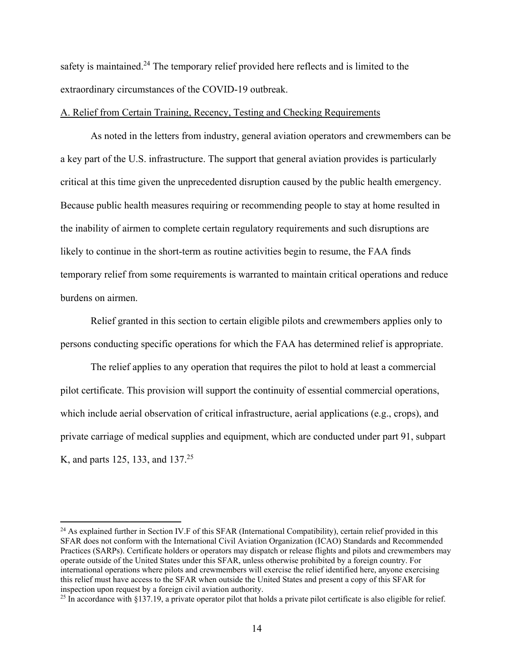safety is maintained.<sup>24</sup> The temporary relief provided here reflects and is limited to the extraordinary circumstances of the COVID-19 outbreak.

#### A. Relief from Certain Training, Recency, Testing and Checking Requirements

As noted in the letters from industry, general aviation operators and crewmembers can be a key part of the U.S. infrastructure. The support that general aviation provides is particularly critical at this time given the unprecedented disruption caused by the public health emergency. Because public health measures requiring or recommending people to stay at home resulted in the inability of airmen to complete certain regulatory requirements and such disruptions are likely to continue in the short-term as routine activities begin to resume, the FAA finds temporary relief from some requirements is warranted to maintain critical operations and reduce burdens on airmen.

Relief granted in this section to certain eligible pilots and crewmembers applies only to persons conducting specific operations for which the FAA has determined relief is appropriate.

The relief applies to any operation that requires the pilot to hold at least a commercial pilot certificate. This provision will support the continuity of essential commercial operations, which include aerial observation of critical infrastructure, aerial applications (e.g., crops), and private carriage of medical supplies and equipment, which are conducted under part 91, subpart K, and parts 125, 133, and 137.<sup>25</sup>

 $^{24}$  As explained further in Section IV.F of this SFAR (International Compatibility), certain relief provided in this SFAR does not conform with the International Civil Aviation Organization (ICAO) Standards and Recommended Practices (SARPs). Certificate holders or operators may dispatch or release flights and pilots and crewmembers may operate outside of the United States under this SFAR, unless otherwise prohibited by a foreign country. For international operations where pilots and crewmembers will exercise the relief identified here, anyone exercising this relief must have access to the SFAR when outside the United States and present a copy of this SFAR for inspection upon request by a foreign civil aviation authority.

 $25$  In accordance with §137.19, a private operator pilot that holds a private pilot certificate is also eligible for relief.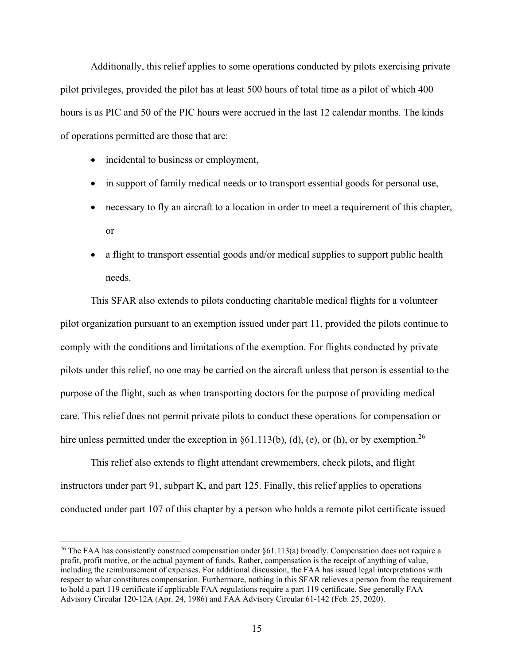Additionally, this relief applies to some operations conducted by pilots exercising private pilot privileges, provided the pilot has at least 500 hours of total time as a pilot of which 400 hours is as PIC and 50 of the PIC hours were accrued in the last 12 calendar months. The kinds of operations permitted are those that are:

• incidental to business or employment,

<u>.</u>

- in support of family medical needs or to transport essential goods for personal use,
- necessary to fly an aircraft to a location in order to meet a requirement of this chapter, or
- a flight to transport essential goods and/or medical supplies to support public health needs.

This SFAR also extends to pilots conducting charitable medical flights for a volunteer pilot organization pursuant to an exemption issued under part 11, provided the pilots continue to comply with the conditions and limitations of the exemption. For flights conducted by private pilots under this relief, no one may be carried on the aircraft unless that person is essential to the purpose of the flight, such as when transporting doctors for the purpose of providing medical care. This relief does not permit private pilots to conduct these operations for compensation or hire unless permitted under the exception in  $\S 61.113(b)$ , (d), (e), or (h), or by exemption.<sup>26</sup>

This relief also extends to flight attendant crewmembers, check pilots, and flight instructors under part 91, subpart K, and part 125. Finally, this relief applies to operations conducted under part 107 of this chapter by a person who holds a remote pilot certificate issued

<sup>&</sup>lt;sup>26</sup> The FAA has consistently construed compensation under  $\S61.113(a)$  broadly. Compensation does not require a profit, profit motive, or the actual payment of funds. Rather, compensation is the receipt of anything of value, including the reimbursement of expenses. For additional discussion, the FAA has issued legal interpretations with respect to what constitutes compensation. Furthermore, nothing in this SFAR relieves a person from the requirement to hold a part 119 certificate if applicable FAA regulations require a part 119 certificate. See generally FAA Advisory Circular 120-12A (Apr. 24, 1986) and FAA Advisory Circular 61-142 (Feb. 25, 2020).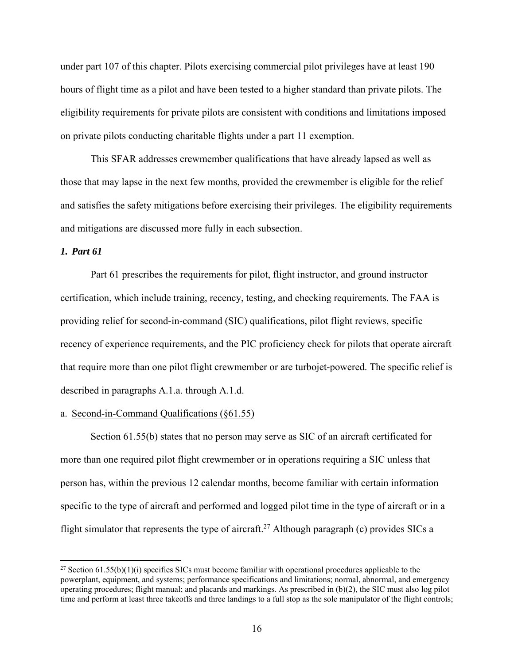under part 107 of this chapter. Pilots exercising commercial pilot privileges have at least 190 hours of flight time as a pilot and have been tested to a higher standard than private pilots. The eligibility requirements for private pilots are consistent with conditions and limitations imposed on private pilots conducting charitable flights under a part 11 exemption.

This SFAR addresses crewmember qualifications that have already lapsed as well as those that may lapse in the next few months, provided the crewmember is eligible for the relief and satisfies the safety mitigations before exercising their privileges. The eligibility requirements and mitigations are discussed more fully in each subsection.

## *1. Part 61*

 $\overline{a}$ 

Part 61 prescribes the requirements for pilot, flight instructor, and ground instructor certification, which include training, recency, testing, and checking requirements. The FAA is providing relief for second-in-command (SIC) qualifications, pilot flight reviews, specific recency of experience requirements, and the PIC proficiency check for pilots that operate aircraft that require more than one pilot flight crewmember or are turbojet-powered. The specific relief is described in paragraphs A.1.a. through A.1.d.

# a. Second-in-Command Qualifications (§61.55)

Section 61.55(b) states that no person may serve as SIC of an aircraft certificated for more than one required pilot flight crewmember or in operations requiring a SIC unless that person has, within the previous 12 calendar months, become familiar with certain information specific to the type of aircraft and performed and logged pilot time in the type of aircraft or in a flight simulator that represents the type of aircraft.<sup>27</sup> Although paragraph (c) provides SICs a

<sup>&</sup>lt;sup>27</sup> Section 61.55(b)(1)(i) specifies SICs must become familiar with operational procedures applicable to the powerplant, equipment, and systems; performance specifications and limitations; normal, abnormal, and emergency operating procedures; flight manual; and placards and markings. As prescribed in (b)(2), the SIC must also log pilot time and perform at least three takeoffs and three landings to a full stop as the sole manipulator of the flight controls;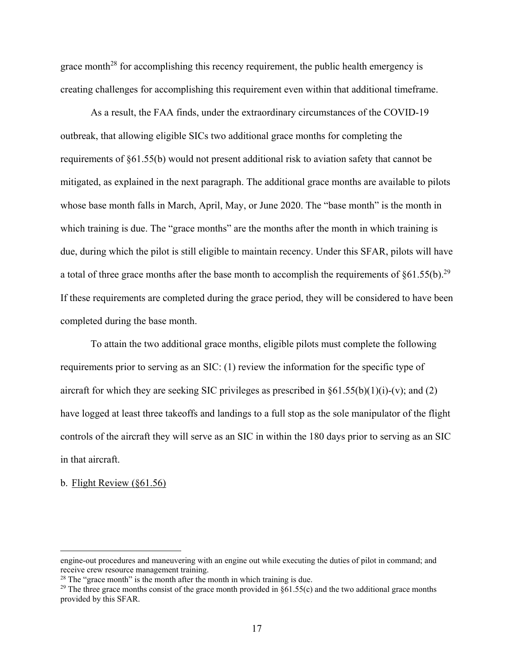grace month<sup>28</sup> for accomplishing this recency requirement, the public health emergency is creating challenges for accomplishing this requirement even within that additional timeframe.

As a result, the FAA finds, under the extraordinary circumstances of the COVID-19 outbreak, that allowing eligible SICs two additional grace months for completing the requirements of §61.55(b) would not present additional risk to aviation safety that cannot be mitigated, as explained in the next paragraph. The additional grace months are available to pilots whose base month falls in March, April, May, or June 2020. The "base month" is the month in which training is due. The "grace months" are the months after the month in which training is due, during which the pilot is still eligible to maintain recency. Under this SFAR, pilots will have a total of three grace months after the base month to accomplish the requirements of  $§61.55(b).^{29}$ If these requirements are completed during the grace period, they will be considered to have been completed during the base month.

To attain the two additional grace months, eligible pilots must complete the following requirements prior to serving as an SIC: (1) review the information for the specific type of aircraft for which they are seeking SIC privileges as prescribed in  $\S61.55(b)(1)(i)-(v)$ ; and (2) have logged at least three takeoffs and landings to a full stop as the sole manipulator of the flight controls of the aircraft they will serve as an SIC in within the 180 days prior to serving as an SIC in that aircraft.

#### b. Flight Review (§61.56)

engine-out procedures and maneuvering with an engine out while executing the duties of pilot in command; and receive crew resource management training.

 $28$  The "grace month" is the month after the month in which training is due.

<sup>&</sup>lt;sup>29</sup> The three grace months consist of the grace month provided in  $§61.55(c)$  and the two additional grace months provided by this SFAR.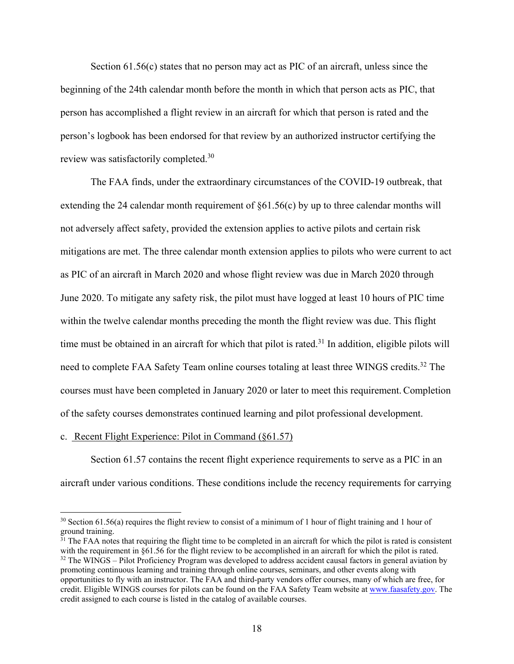Section 61.56(c) states that no person may act as PIC of an aircraft, unless since the beginning of the 24th calendar month before the month in which that person acts as PIC, that person has accomplished a flight review in an aircraft for which that person is rated and the person's logbook has been endorsed for that review by an authorized instructor certifying the review was satisfactorily completed.<sup>30</sup>

The FAA finds, under the extraordinary circumstances of the COVID-19 outbreak, that extending the 24 calendar month requirement of §61.56(c) by up to three calendar months will not adversely affect safety, provided the extension applies to active pilots and certain risk mitigations are met. The three calendar month extension applies to pilots who were current to act as PIC of an aircraft in March 2020 and whose flight review was due in March 2020 through June 2020. To mitigate any safety risk, the pilot must have logged at least 10 hours of PIC time within the twelve calendar months preceding the month the flight review was due. This flight time must be obtained in an aircraft for which that pilot is rated.<sup>31</sup> In addition, eligible pilots will need to complete FAA Safety Team online courses totaling at least three WINGS credits.32 The courses must have been completed in January 2020 or later to meet this requirement.Completion of the safety courses demonstrates continued learning and pilot professional development.

## c. Recent Flight Experience: Pilot in Command (§61.57)

 $\overline{a}$ 

Section 61.57 contains the recent flight experience requirements to serve as a PIC in an aircraft under various conditions. These conditions include the recency requirements for carrying

 $30$  Section 61.56(a) requires the flight review to consist of a minimum of 1 hour of flight training and 1 hour of ground training.

<sup>&</sup>lt;sup>31</sup> The FAA notes that requiring the flight time to be completed in an aircraft for which the pilot is rated is consistent with the requirement in §61.56 for the flight review to be accomplished in an aircraft for which the pilot is rated.  $32$  The WINGS – Pilot Proficiency Program was developed to address accident causal factors in general aviation by promoting continuous learning and training through online courses, seminars, and other events along with opportunities to fly with an instructor. The FAA and third-party vendors offer courses, many of which are free, for credit. Eligible WINGS courses for pilots can be found on the FAA Safety Team website at www.faasafety.gov. The credit assigned to each course is listed in the catalog of available courses.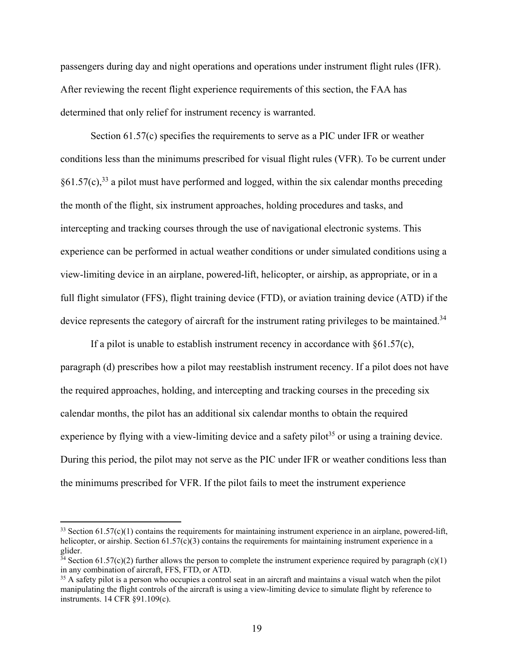passengers during day and night operations and operations under instrument flight rules (IFR). After reviewing the recent flight experience requirements of this section, the FAA has determined that only relief for instrument recency is warranted.

Section 61.57(c) specifies the requirements to serve as a PIC under IFR or weather conditions less than the minimums prescribed for visual flight rules (VFR). To be current under  $§61.57(c),$ <sup>33</sup> a pilot must have performed and logged, within the six calendar months preceding the month of the flight, six instrument approaches, holding procedures and tasks, and intercepting and tracking courses through the use of navigational electronic systems. This experience can be performed in actual weather conditions or under simulated conditions using a view-limiting device in an airplane, powered-lift, helicopter, or airship, as appropriate, or in a full flight simulator (FFS), flight training device (FTD), or aviation training device (ATD) if the device represents the category of aircraft for the instrument rating privileges to be maintained.<sup>34</sup>

If a pilot is unable to establish instrument recency in accordance with  $§61.57(c)$ , paragraph (d) prescribes how a pilot may reestablish instrument recency. If a pilot does not have the required approaches, holding, and intercepting and tracking courses in the preceding six calendar months, the pilot has an additional six calendar months to obtain the required experience by flying with a view-limiting device and a safety pilot<sup>35</sup> or using a training device. During this period, the pilot may not serve as the PIC under IFR or weather conditions less than the minimums prescribed for VFR. If the pilot fails to meet the instrument experience

<sup>&</sup>lt;sup>33</sup> Section 61.57(c)(1) contains the requirements for maintaining instrument experience in an airplane, powered-lift, helicopter, or airship. Section 61.57(c)(3) contains the requirements for maintaining instrument experience in a glider.

 $34$  Section 61.57(c)(2) further allows the person to complete the instrument experience required by paragraph (c)(1) in any combination of aircraft, FFS, FTD, or ATD.

 $35$  A safety pilot is a person who occupies a control seat in an aircraft and maintains a visual watch when the pilot manipulating the flight controls of the aircraft is using a view-limiting device to simulate flight by reference to instruments. 14 CFR §91.109(c).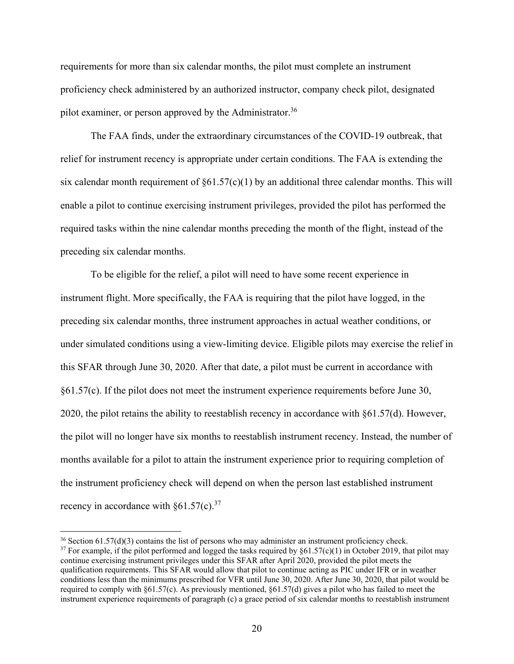requirements for more than six calendar months, the pilot must complete an instrument proficiency check administered by an authorized instructor, company check pilot, designated pilot examiner, or person approved by the Administrator.<sup>36</sup>

The FAA finds, under the extraordinary circumstances of the COVID-19 outbreak, that relief for instrument recency is appropriate under certain conditions. The FAA is extending the six calendar month requirement of  $\S61.57(c)(1)$  by an additional three calendar months. This will enable a pilot to continue exercising instrument privileges, provided the pilot has performed the required tasks within the nine calendar months preceding the month of the flight, instead of the preceding six calendar months.

To be eligible for the relief, a pilot will need to have some recent experience in instrument flight. More specifically, the FAA is requiring that the pilot have logged, in the preceding six calendar months, three instrument approaches in actual weather conditions, or under simulated conditions using a view-limiting device. Eligible pilots may exercise the relief in this SFAR through June 30, 2020. After that date, a pilot must be current in accordance with  $§61.57(c)$ . If the pilot does not meet the instrument experience requirements before June 30, 2020, the pilot retains the ability to reestablish recency in accordance with §61.57(d). However, the pilot will no longer have six months to reestablish instrument recency. Instead, the number of months available for a pilot to attain the instrument experience prior to requiring completion of the instrument proficiency check will depend on when the person last established instrument recency in accordance with  $\S61.57(c).^{37}$ 

 $36$  Section 61.57(d)(3) contains the list of persons who may administer an instrument proficiency check. <sup>37</sup> For example, if the pilot performed and logged the tasks required by  $\S61.57(c)(1)$  in October 2019, that pilot may continue exercising instrument privileges under this SFAR after April 2020, provided the pilot meets the qualification requirements. This SFAR would allow that pilot to continue acting as PIC under IFR or in weather conditions less than the minimums prescribed for VFR until June 30, 2020. After June 30, 2020, that pilot would be required to comply with §61.57(c). As previously mentioned, §61.57(d) gives a pilot who has failed to meet the instrument experience requirements of paragraph (c) a grace period of six calendar months to reestablish instrument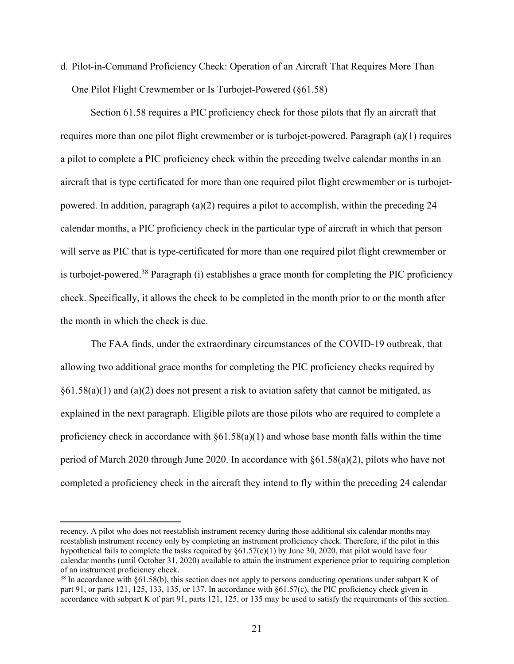# d. Pilot-in-Command Proficiency Check: Operation of an Aircraft That Requires More Than One Pilot Flight Crewmember or Is Turbojet-Powered (§61.58)

Section 61.58 requires a PIC proficiency check for those pilots that fly an aircraft that requires more than one pilot flight crewmember or is turbojet-powered. Paragraph (a)(1) requires a pilot to complete a PIC proficiency check within the preceding twelve calendar months in an aircraft that is type certificated for more than one required pilot flight crewmember or is turbojetpowered. In addition, paragraph  $(a)(2)$  requires a pilot to accomplish, within the preceding 24 calendar months, a PIC proficiency check in the particular type of aircraft in which that person will serve as PIC that is type-certificated for more than one required pilot flight crewmember or is turbojet-powered.<sup>38</sup> Paragraph (i) establishes a grace month for completing the PIC proficiency check. Specifically, it allows the check to be completed in the month prior to or the month after the month in which the check is due.

The FAA finds, under the extraordinary circumstances of the COVID-19 outbreak, that allowing two additional grace months for completing the PIC proficiency checks required by  $§61.58(a)(1)$  and  $(a)(2)$  does not present a risk to aviation safety that cannot be mitigated, as explained in the next paragraph. Eligible pilots are those pilots who are required to complete a proficiency check in accordance with  $\S61.58(a)(1)$  and whose base month falls within the time period of March 2020 through June 2020. In accordance with §61.58(a)(2), pilots who have not completed a proficiency check in the aircraft they intend to fly within the preceding 24 calendar

recency. A pilot who does not reestablish instrument recency during those additional six calendar months may reestablish instrument recency only by completing an instrument proficiency check. Therefore, if the pilot in this hypothetical fails to complete the tasks required by §61.57(c)(1) by June 30, 2020, that pilot would have four calendar months (until October 31, 2020) available to attain the instrument experience prior to requiring completion of an instrument proficiency check.

<sup>&</sup>lt;sup>38</sup> In accordance with  $\S61.58(b)$ , this section does not apply to persons conducting operations under subpart K of part 91, or parts 121, 125, 133, 135, or 137. In accordance with §61.57(c), the PIC proficiency check given in accordance with subpart K of part 91, parts 121, 125, or 135 may be used to satisfy the requirements of this section.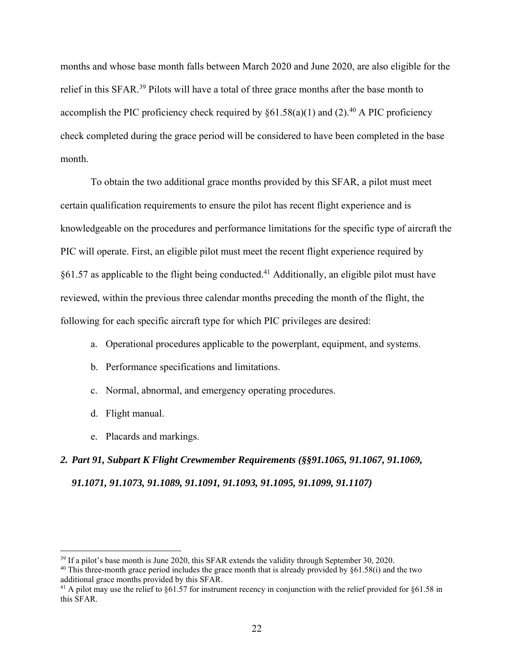months and whose base month falls between March 2020 and June 2020, are also eligible for the relief in this SFAR.<sup>39</sup> Pilots will have a total of three grace months after the base month to accomplish the PIC proficiency check required by  $\delta 61.58(a)(1)$  and (2).<sup>40</sup> A PIC proficiency check completed during the grace period will be considered to have been completed in the base month.

To obtain the two additional grace months provided by this SFAR, a pilot must meet certain qualification requirements to ensure the pilot has recent flight experience and is knowledgeable on the procedures and performance limitations for the specific type of aircraft the PIC will operate. First, an eligible pilot must meet the recent flight experience required by  $§61.57$  as applicable to the flight being conducted.<sup>41</sup> Additionally, an eligible pilot must have reviewed, within the previous three calendar months preceding the month of the flight, the following for each specific aircraft type for which PIC privileges are desired:

- a. Operational procedures applicable to the powerplant, equipment, and systems.
- b. Performance specifications and limitations.
- c. Normal, abnormal, and emergency operating procedures.
- d. Flight manual.

 $\overline{a}$ 

e. Placards and markings.

*2. Part 91, Subpart K Flight Crewmember Requirements (§§91.1065, 91.1067, 91.1069, 91.1071, 91.1073, 91.1089, 91.1091, 91.1093, 91.1095, 91.1099, 91.1107)*

<sup>&</sup>lt;sup>39</sup> If a pilot's base month is June 2020, this SFAR extends the validity through September 30, 2020.

<sup>&</sup>lt;sup>40</sup> This three-month grace period includes the grace month that is already provided by  $§61.58(i)$  and the two additional grace months provided by this SFAR.

<sup>&</sup>lt;sup>41</sup> A pilot may use the relief to  $\S61.57$  for instrument recency in conjunction with the relief provided for  $\S61.58$  in this SFAR.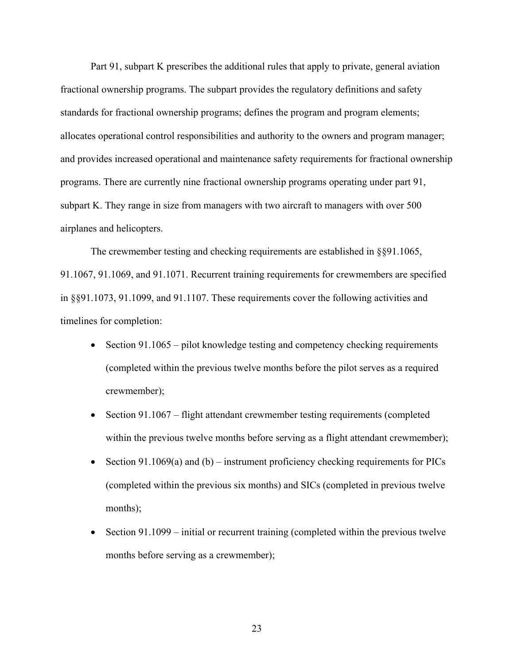Part 91, subpart K prescribes the additional rules that apply to private, general aviation fractional ownership programs. The subpart provides the regulatory definitions and safety standards for fractional ownership programs; defines the program and program elements; allocates operational control responsibilities and authority to the owners and program manager; and provides increased operational and maintenance safety requirements for fractional ownership programs. There are currently nine fractional ownership programs operating under part 91, subpart K. They range in size from managers with two aircraft to managers with over 500 airplanes and helicopters.

The crewmember testing and checking requirements are established in §§91.1065, 91.1067, 91.1069, and 91.1071. Recurrent training requirements for crewmembers are specified in §§91.1073, 91.1099, and 91.1107. These requirements cover the following activities and timelines for completion:

- $\bullet$  Section 91.1065 pilot knowledge testing and competency checking requirements (completed within the previous twelve months before the pilot serves as a required crewmember);
- Section 91.1067 flight attendant crewmember testing requirements (completed within the previous twelve months before serving as a flight attendant crewmember);
- Section 91.1069(a) and (b) instrument proficiency checking requirements for PICs (completed within the previous six months) and SICs (completed in previous twelve months);
- Section  $91.1099$  initial or recurrent training (completed within the previous twelve months before serving as a crewmember);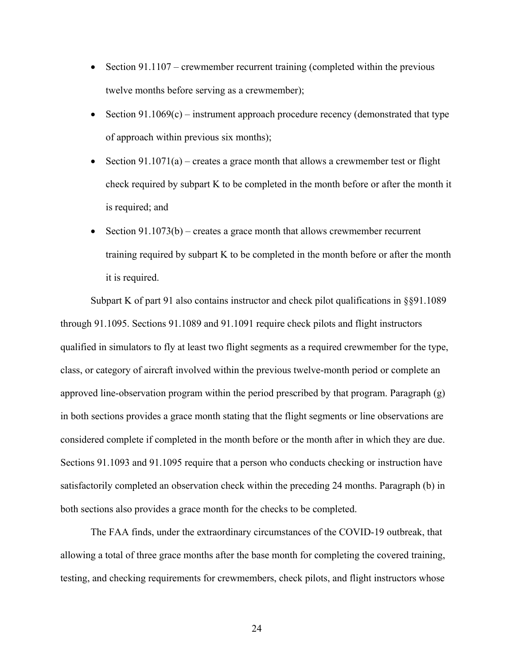- Section  $91.1107$  crewmember recurrent training (completed within the previous twelve months before serving as a crewmember);
- Section  $91.1069(c)$  instrument approach procedure recency (demonstrated that type of approach within previous six months);
- Section  $91.1071(a)$  creates a grace month that allows a crewmember test or flight check required by subpart K to be completed in the month before or after the month it is required; and
- Section  $91.1073(b)$  creates a grace month that allows crewmember recurrent training required by subpart K to be completed in the month before or after the month it is required.

Subpart K of part 91 also contains instructor and check pilot qualifications in §§91.1089 through 91.1095. Sections 91.1089 and 91.1091 require check pilots and flight instructors qualified in simulators to fly at least two flight segments as a required crewmember for the type, class, or category of aircraft involved within the previous twelve-month period or complete an approved line-observation program within the period prescribed by that program. Paragraph (g) in both sections provides a grace month stating that the flight segments or line observations are considered complete if completed in the month before or the month after in which they are due. Sections 91.1093 and 91.1095 require that a person who conducts checking or instruction have satisfactorily completed an observation check within the preceding 24 months. Paragraph (b) in both sections also provides a grace month for the checks to be completed.

The FAA finds, under the extraordinary circumstances of the COVID-19 outbreak, that allowing a total of three grace months after the base month for completing the covered training, testing, and checking requirements for crewmembers, check pilots, and flight instructors whose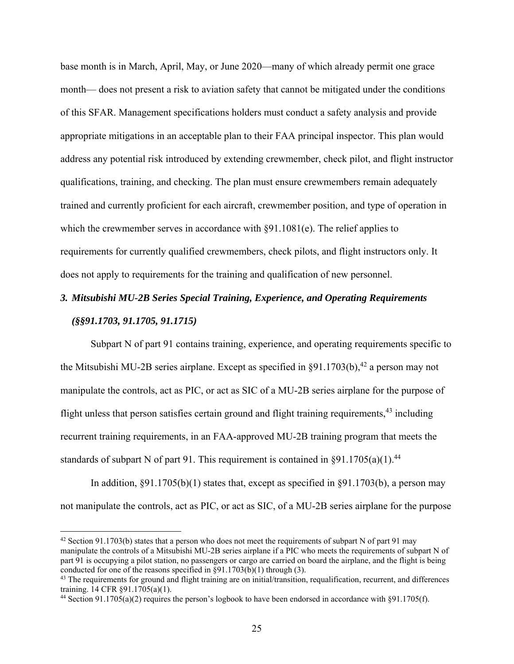base month is in March, April, May, or June 2020—many of which already permit one grace month— does not present a risk to aviation safety that cannot be mitigated under the conditions of this SFAR. Management specifications holders must conduct a safety analysis and provide appropriate mitigations in an acceptable plan to their FAA principal inspector. This plan would address any potential risk introduced by extending crewmember, check pilot, and flight instructor qualifications, training, and checking. The plan must ensure crewmembers remain adequately trained and currently proficient for each aircraft, crewmember position, and type of operation in which the crewmember serves in accordance with §91.1081(e). The relief applies to requirements for currently qualified crewmembers, check pilots, and flight instructors only. It does not apply to requirements for the training and qualification of new personnel.

# *3. Mitsubishi MU-2B Series Special Training, Experience, and Operating Requirements (§§91.1703, 91.1705, 91.1715)*

Subpart N of part 91 contains training, experience, and operating requirements specific to the Mitsubishi MU-2B series airplane. Except as specified in  $\S$ 91.1703(b),<sup>42</sup> a person may not manipulate the controls, act as PIC, or act as SIC of a MU-2B series airplane for the purpose of flight unless that person satisfies certain ground and flight training requirements,  $43$  including recurrent training requirements, in an FAA-approved MU-2B training program that meets the standards of subpart N of part 91. This requirement is contained in  $\S91.1705(a)(1)$ .<sup>44</sup>

In addition,  $\S91.1705(b)(1)$  states that, except as specified in  $\S91.1703(b)$ , a person may not manipulate the controls, act as PIC, or act as SIC, of a MU-2B series airplane for the purpose

 $42$  Section 91.1703(b) states that a person who does not meet the requirements of subpart N of part 91 may manipulate the controls of a Mitsubishi MU-2B series airplane if a PIC who meets the requirements of subpart N of part 91 is occupying a pilot station, no passengers or cargo are carried on board the airplane, and the flight is being conducted for one of the reasons specified in  $\S91.1703(b)(1)$  through (3).

 $43$  The requirements for ground and flight training are on initial/transition, requalification, recurrent, and differences training. 14 CFR §91.1705(a)(1).

<sup>44</sup> Section 91.1705(a)(2) requires the person's logbook to have been endorsed in accordance with §91.1705(f).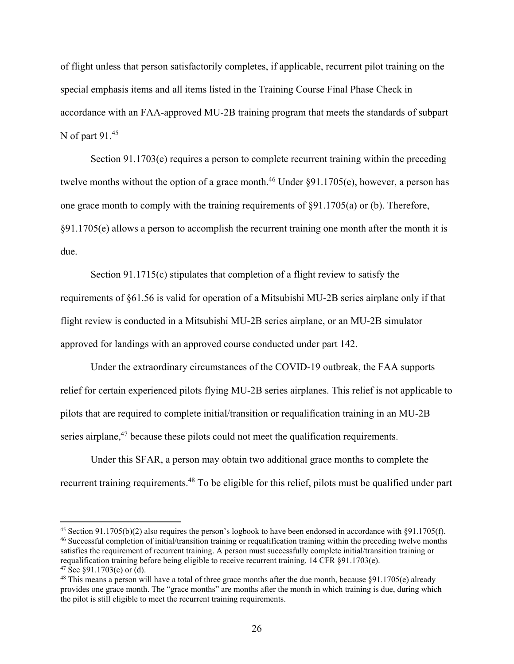of flight unless that person satisfactorily completes, if applicable, recurrent pilot training on the special emphasis items and all items listed in the Training Course Final Phase Check in accordance with an FAA-approved MU-2B training program that meets the standards of subpart N of part 91.45

Section 91.1703(e) requires a person to complete recurrent training within the preceding twelve months without the option of a grace month.<sup>46</sup> Under  $\S91.1705(e)$ , however, a person has one grace month to comply with the training requirements of §91.1705(a) or (b). Therefore, §91.1705(e) allows a person to accomplish the recurrent training one month after the month it is due.

Section 91.1715(c) stipulates that completion of a flight review to satisfy the requirements of §61.56 is valid for operation of a Mitsubishi MU-2B series airplane only if that flight review is conducted in a Mitsubishi MU-2B series airplane, or an MU-2B simulator approved for landings with an approved course conducted under part 142.

Under the extraordinary circumstances of the COVID-19 outbreak, the FAA supports relief for certain experienced pilots flying MU-2B series airplanes. This relief is not applicable to pilots that are required to complete initial/transition or requalification training in an MU-2B series airplane, $47$  because these pilots could not meet the qualification requirements.

Under this SFAR, a person may obtain two additional grace months to complete the recurrent training requirements.<sup>48</sup> To be eligible for this relief, pilots must be qualified under part

<sup>45</sup> Section 91.1705(b)(2) also requires the person's logbook to have been endorsed in accordance with §91.1705(f). 46 Successful completion of initial/transition training or requalification training within the preceding twelve months satisfies the requirement of recurrent training. A person must successfully complete initial/transition training or requalification training before being eligible to receive recurrent training. 14 CFR §91.1703(e).  $47$  See §91.1703(c) or (d).

 $48$  This means a person will have a total of three grace months after the due month, because  $\S91.1705(e)$  already provides one grace month. The "grace months" are months after the month in which training is due, during which the pilot is still eligible to meet the recurrent training requirements.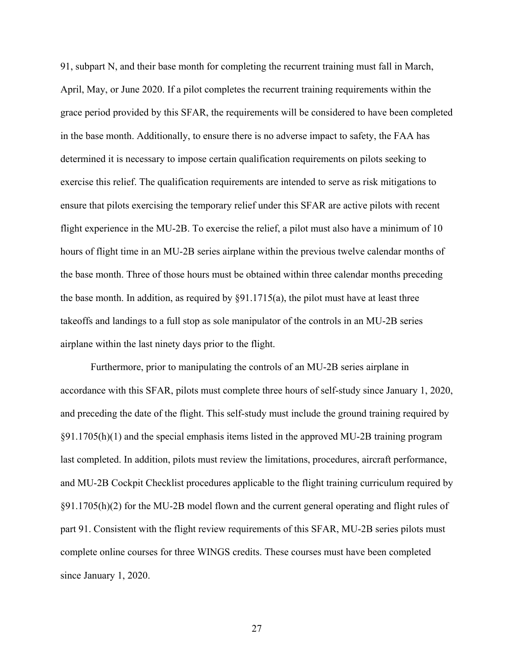91, subpart N, and their base month for completing the recurrent training must fall in March, April, May, or June 2020. If a pilot completes the recurrent training requirements within the grace period provided by this SFAR, the requirements will be considered to have been completed in the base month. Additionally, to ensure there is no adverse impact to safety, the FAA has determined it is necessary to impose certain qualification requirements on pilots seeking to exercise this relief. The qualification requirements are intended to serve as risk mitigations to ensure that pilots exercising the temporary relief under this SFAR are active pilots with recent flight experience in the MU-2B. To exercise the relief, a pilot must also have a minimum of 10 hours of flight time in an MU-2B series airplane within the previous twelve calendar months of the base month. Three of those hours must be obtained within three calendar months preceding the base month. In addition, as required by  $\S91.1715(a)$ , the pilot must have at least three takeoffs and landings to a full stop as sole manipulator of the controls in an MU-2B series airplane within the last ninety days prior to the flight.

Furthermore, prior to manipulating the controls of an MU-2B series airplane in accordance with this SFAR, pilots must complete three hours of self-study since January 1, 2020, and preceding the date of the flight. This self-study must include the ground training required by §91.1705(h)(1) and the special emphasis items listed in the approved MU-2B training program last completed. In addition, pilots must review the limitations, procedures, aircraft performance, and MU-2B Cockpit Checklist procedures applicable to the flight training curriculum required by §91.1705(h)(2) for the MU-2B model flown and the current general operating and flight rules of part 91. Consistent with the flight review requirements of this SFAR, MU-2B series pilots must complete online courses for three WINGS credits. These courses must have been completed since January 1, 2020.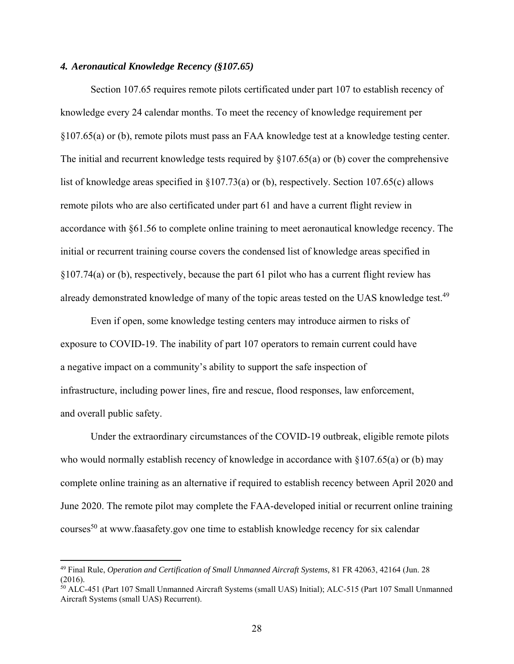# *4. Aeronautical Knowledge Recency (§107.65)*

Section 107.65 requires remote pilots certificated under part 107 to establish recency of knowledge every 24 calendar months. To meet the recency of knowledge requirement per §107.65(a) or (b), remote pilots must pass an FAA knowledge test at a knowledge testing center. The initial and recurrent knowledge tests required by  $\S107.65(a)$  or (b) cover the comprehensive list of knowledge areas specified in §107.73(a) or (b), respectively. Section 107.65(c) allows remote pilots who are also certificated under part 61 and have a current flight review in accordance with §61.56 to complete online training to meet aeronautical knowledge recency. The initial or recurrent training course covers the condensed list of knowledge areas specified in §107.74(a) or (b), respectively, because the part 61 pilot who has a current flight review has already demonstrated knowledge of many of the topic areas tested on the UAS knowledge test.<sup>49</sup>

Even if open, some knowledge testing centers may introduce airmen to risks of exposure to COVID-19. The inability of part 107 operators to remain current could have a negative impact on a community's ability to support the safe inspection of infrastructure, including power lines, fire and rescue, flood responses, law enforcement, and overall public safety.

Under the extraordinary circumstances of the COVID-19 outbreak, eligible remote pilots who would normally establish recency of knowledge in accordance with  $\S 107.65(a)$  or (b) may complete online training as an alternative if required to establish recency between April 2020 and June 2020. The remote pilot may complete the FAA-developed initial or recurrent online training courses<sup>50</sup> at www.faasafety.gov one time to establish knowledge recency for six calendar

<sup>49</sup> Final Rule, *Operation and Certification of Small Unmanned Aircraft Systems,* 81 FR 42063, 42164 (Jun. 28 (2016).

<sup>50</sup> ALC-451 (Part 107 Small Unmanned Aircraft Systems (small UAS) Initial); ALC-515 (Part 107 Small Unmanned Aircraft Systems (small UAS) Recurrent).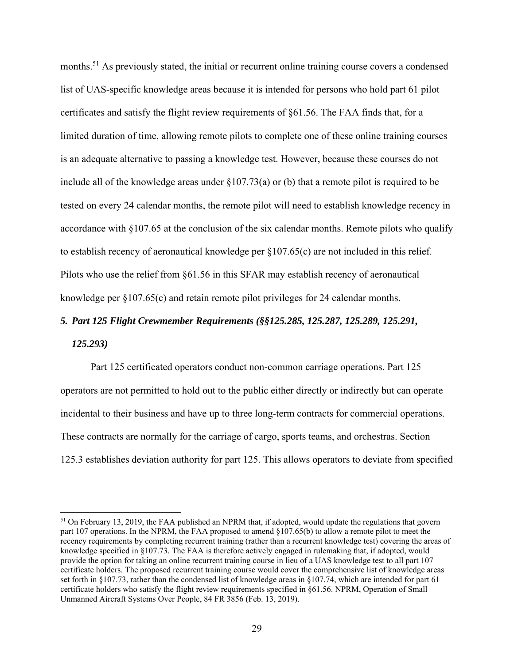months.<sup>51</sup> As previously stated, the initial or recurrent online training course covers a condensed list of UAS-specific knowledge areas because it is intended for persons who hold part 61 pilot certificates and satisfy the flight review requirements of §61.56. The FAA finds that, for a limited duration of time, allowing remote pilots to complete one of these online training courses is an adequate alternative to passing a knowledge test. However, because these courses do not include all of the knowledge areas under §107.73(a) or (b) that a remote pilot is required to be tested on every 24 calendar months, the remote pilot will need to establish knowledge recency in accordance with §107.65 at the conclusion of the six calendar months. Remote pilots who qualify to establish recency of aeronautical knowledge per §107.65(c) are not included in this relief. Pilots who use the relief from §61.56 in this SFAR may establish recency of aeronautical knowledge per §107.65(c) and retain remote pilot privileges for 24 calendar months.

# *5. Part 125 Flight Crewmember Requirements (§§125.285, 125.287, 125.289, 125.291,*

#### *125.293)*

 $\overline{a}$ 

Part 125 certificated operators conduct non-common carriage operations. Part 125 operators are not permitted to hold out to the public either directly or indirectly but can operate incidental to their business and have up to three long-term contracts for commercial operations. These contracts are normally for the carriage of cargo, sports teams, and orchestras. Section 125.3 establishes deviation authority for part 125. This allows operators to deviate from specified

 $51$  On February 13, 2019, the FAA published an NPRM that, if adopted, would update the regulations that govern part 107 operations. In the NPRM, the FAA proposed to amend §107.65(b) to allow a remote pilot to meet the recency requirements by completing recurrent training (rather than a recurrent knowledge test) covering the areas of knowledge specified in §107.73. The FAA is therefore actively engaged in rulemaking that, if adopted, would provide the option for taking an online recurrent training course in lieu of a UAS knowledge test to all part 107 certificate holders. The proposed recurrent training course would cover the comprehensive list of knowledge areas set forth in §107.73, rather than the condensed list of knowledge areas in §107.74, which are intended for part 61 certificate holders who satisfy the flight review requirements specified in §61.56. NPRM, Operation of Small Unmanned Aircraft Systems Over People, 84 FR 3856 (Feb. 13, 2019).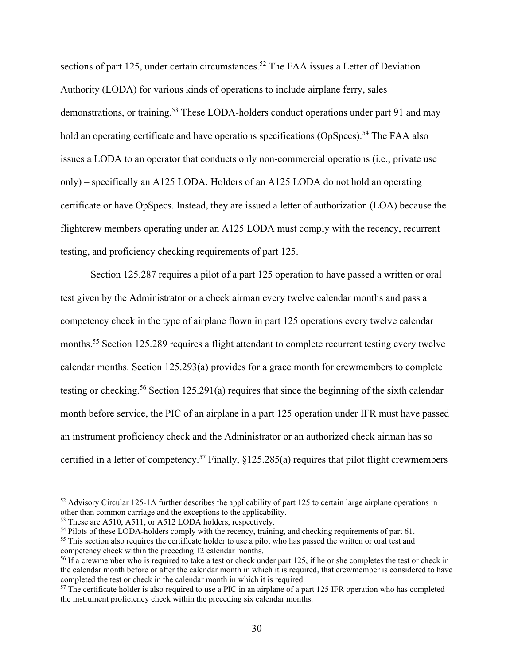sections of part 125, under certain circumstances.<sup>52</sup> The FAA issues a Letter of Deviation Authority (LODA) for various kinds of operations to include airplane ferry, sales demonstrations, or training.<sup>53</sup> These LODA-holders conduct operations under part 91 and may hold an operating certificate and have operations specifications (OpSpecs).<sup>54</sup> The FAA also issues a LODA to an operator that conducts only non-commercial operations (i.e., private use only) – specifically an A125 LODA. Holders of an A125 LODA do not hold an operating certificate or have OpSpecs. Instead, they are issued a letter of authorization (LOA) because the flightcrew members operating under an A125 LODA must comply with the recency, recurrent testing, and proficiency checking requirements of part 125.

Section 125.287 requires a pilot of a part 125 operation to have passed a written or oral test given by the Administrator or a check airman every twelve calendar months and pass a competency check in the type of airplane flown in part 125 operations every twelve calendar months.<sup>55</sup> Section 125.289 requires a flight attendant to complete recurrent testing every twelve calendar months. Section 125.293(a) provides for a grace month for crewmembers to complete testing or checking.<sup>56</sup> Section 125.291(a) requires that since the beginning of the sixth calendar month before service, the PIC of an airplane in a part 125 operation under IFR must have passed an instrument proficiency check and the Administrator or an authorized check airman has so certified in a letter of competency.<sup>57</sup> Finally,  $\frac{$125.285(a)}{2}$  requires that pilot flight crewmembers

<sup>&</sup>lt;sup>52</sup> Advisory Circular 125-1A further describes the applicability of part 125 to certain large airplane operations in other than common carriage and the exceptions to the applicability.

<sup>&</sup>lt;sup>53</sup> These are A510, A511, or A512 LODA holders, respectively.

<sup>&</sup>lt;sup>54</sup> Pilots of these LODA-holders comply with the recency, training, and checking requirements of part 61.<br><sup>55</sup> This section also requires the certificate holder to use a pilot who has passed the written or oral test and

competency check within the preceding 12 calendar months.

<sup>&</sup>lt;sup>56</sup> If a crewmember who is required to take a test or check under part 125, if he or she completes the test or check in the calendar month before or after the calendar month in which it is required, that crewmember is considered to have completed the test or check in the calendar month in which it is required.

 $57$  The certificate holder is also required to use a PIC in an airplane of a part 125 IFR operation who has completed the instrument proficiency check within the preceding six calendar months.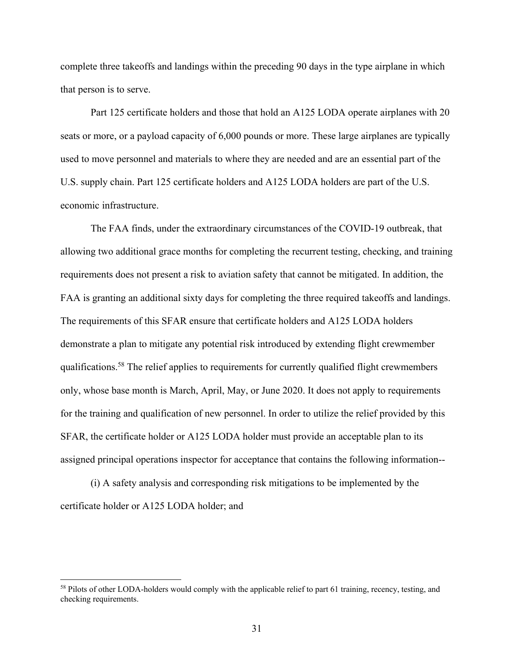complete three takeoffs and landings within the preceding 90 days in the type airplane in which that person is to serve.

Part 125 certificate holders and those that hold an A125 LODA operate airplanes with 20 seats or more, or a payload capacity of 6,000 pounds or more. These large airplanes are typically used to move personnel and materials to where they are needed and are an essential part of the U.S. supply chain. Part 125 certificate holders and A125 LODA holders are part of the U.S. economic infrastructure.

The FAA finds, under the extraordinary circumstances of the COVID-19 outbreak, that allowing two additional grace months for completing the recurrent testing, checking, and training requirements does not present a risk to aviation safety that cannot be mitigated. In addition, the FAA is granting an additional sixty days for completing the three required takeoffs and landings. The requirements of this SFAR ensure that certificate holders and A125 LODA holders demonstrate a plan to mitigate any potential risk introduced by extending flight crewmember qualifications.58 The relief applies to requirements for currently qualified flight crewmembers only, whose base month is March, April, May, or June 2020. It does not apply to requirements for the training and qualification of new personnel. In order to utilize the relief provided by this SFAR, the certificate holder or A125 LODA holder must provide an acceptable plan to its assigned principal operations inspector for acceptance that contains the following information--

(i) A safety analysis and corresponding risk mitigations to be implemented by the certificate holder or A125 LODA holder; and

<sup>&</sup>lt;sup>58</sup> Pilots of other LODA-holders would comply with the applicable relief to part 61 training, recency, testing, and checking requirements.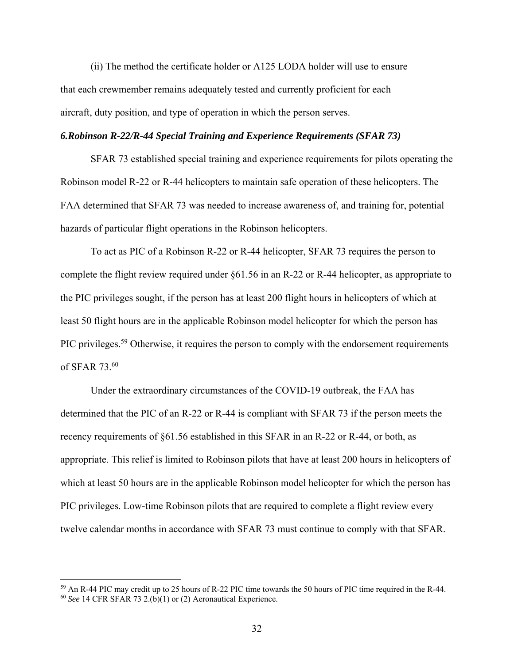(ii) The method the certificate holder or A125 LODA holder will use to ensure that each crewmember remains adequately tested and currently proficient for each aircraft, duty position, and type of operation in which the person serves.

## *6.Robinson R-22/R-44 Special Training and Experience Requirements (SFAR 73)*

SFAR 73 established special training and experience requirements for pilots operating the Robinson model R-22 or R-44 helicopters to maintain safe operation of these helicopters. The FAA determined that SFAR 73 was needed to increase awareness of, and training for, potential hazards of particular flight operations in the Robinson helicopters.

To act as PIC of a Robinson R-22 or R-44 helicopter, SFAR 73 requires the person to complete the flight review required under §61.56 in an R-22 or R-44 helicopter, as appropriate to the PIC privileges sought, if the person has at least 200 flight hours in helicopters of which at least 50 flight hours are in the applicable Robinson model helicopter for which the person has PIC privileges.<sup>59</sup> Otherwise, it requires the person to comply with the endorsement requirements of SFAR 73.60

Under the extraordinary circumstances of the COVID-19 outbreak, the FAA has determined that the PIC of an R-22 or R-44 is compliant with SFAR 73 if the person meets the recency requirements of §61.56 established in this SFAR in an R-22 or R-44, or both, as appropriate. This relief is limited to Robinson pilots that have at least 200 hours in helicopters of which at least 50 hours are in the applicable Robinson model helicopter for which the person has PIC privileges. Low-time Robinson pilots that are required to complete a flight review every twelve calendar months in accordance with SFAR 73 must continue to comply with that SFAR.

<sup>&</sup>lt;sup>59</sup> An R-44 PIC may credit up to 25 hours of R-22 PIC time towards the 50 hours of PIC time required in the R-44. <sup>60</sup> *See* 14 CFR SFAR 73 2.(b)(1) or (2) Aeronautical Experience.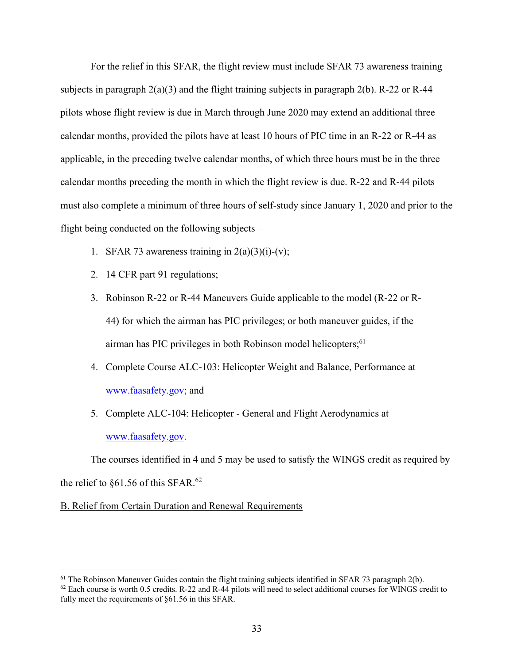For the relief in this SFAR, the flight review must include SFAR 73 awareness training subjects in paragraph  $2(a)(3)$  and the flight training subjects in paragraph  $2(b)$ . R-22 or R-44 pilots whose flight review is due in March through June 2020 may extend an additional three calendar months, provided the pilots have at least 10 hours of PIC time in an R-22 or R-44 as applicable, in the preceding twelve calendar months, of which three hours must be in the three calendar months preceding the month in which the flight review is due. R-22 and R-44 pilots must also complete a minimum of three hours of self-study since January 1, 2020 and prior to the flight being conducted on the following subjects –

- 1. SFAR 73 awareness training in  $2(a)(3)(i)-(v)$ ;
- 2. 14 CFR part 91 regulations;
- 3. Robinson R-22 or R-44 Maneuvers Guide applicable to the model (R-22 or R-44) for which the airman has PIC privileges; or both maneuver guides, if the airman has PIC privileges in both Robinson model helicopters; $61$
- 4. Complete Course ALC-103: Helicopter Weight and Balance, Performance at www.faasafety.gov; and
- 5. Complete ALC-104: Helicopter General and Flight Aerodynamics at www.faasafety.gov.

The courses identified in 4 and 5 may be used to satisfy the WINGS credit as required by the relief to  $§61.56$  of this SFAR.<sup>62</sup>

B. Relief from Certain Duration and Renewal Requirements

 $61$  The Robinson Maneuver Guides contain the flight training subjects identified in SFAR 73 paragraph 2(b).

 $62$  Each course is worth 0.5 credits. R-22 and R-44 pilots will need to select additional courses for WINGS credit to fully meet the requirements of §61.56 in this SFAR.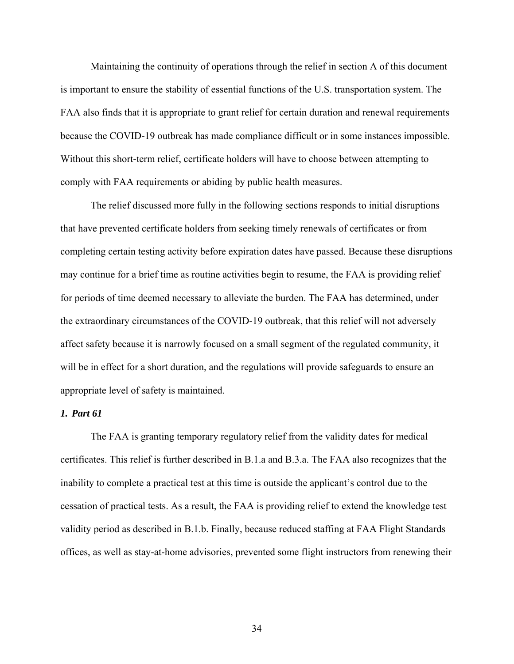Maintaining the continuity of operations through the relief in section A of this document is important to ensure the stability of essential functions of the U.S. transportation system. The FAA also finds that it is appropriate to grant relief for certain duration and renewal requirements because the COVID-19 outbreak has made compliance difficult or in some instances impossible. Without this short-term relief, certificate holders will have to choose between attempting to comply with FAA requirements or abiding by public health measures.

The relief discussed more fully in the following sections responds to initial disruptions that have prevented certificate holders from seeking timely renewals of certificates or from completing certain testing activity before expiration dates have passed. Because these disruptions may continue for a brief time as routine activities begin to resume, the FAA is providing relief for periods of time deemed necessary to alleviate the burden. The FAA has determined, under the extraordinary circumstances of the COVID-19 outbreak, that this relief will not adversely affect safety because it is narrowly focused on a small segment of the regulated community, it will be in effect for a short duration, and the regulations will provide safeguards to ensure an appropriate level of safety is maintained.

## *1. Part 61*

The FAA is granting temporary regulatory relief from the validity dates for medical certificates. This relief is further described in B.1.a and B.3.a. The FAA also recognizes that the inability to complete a practical test at this time is outside the applicant's control due to the cessation of practical tests. As a result, the FAA is providing relief to extend the knowledge test validity period as described in B.1.b. Finally, because reduced staffing at FAA Flight Standards offices, as well as stay-at-home advisories, prevented some flight instructors from renewing their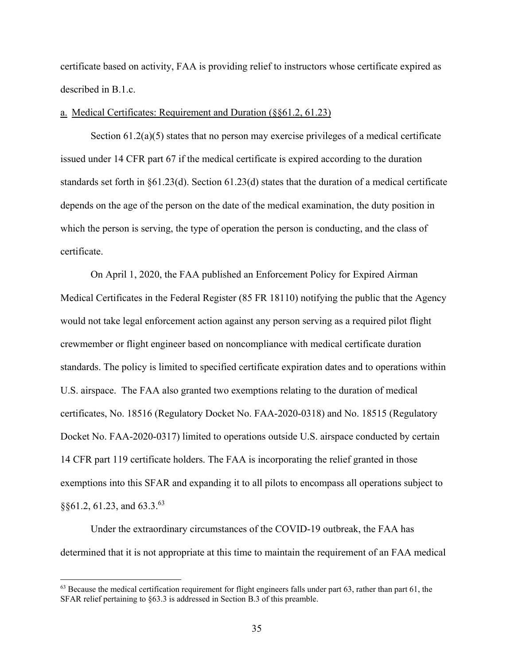certificate based on activity, FAA is providing relief to instructors whose certificate expired as described in B.1.c.

## a. Medical Certificates: Requirement and Duration (§§61.2, 61.23)

Section 61.2(a)(5) states that no person may exercise privileges of a medical certificate issued under 14 CFR part 67 if the medical certificate is expired according to the duration standards set forth in §61.23(d). Section 61.23(d) states that the duration of a medical certificate depends on the age of the person on the date of the medical examination, the duty position in which the person is serving, the type of operation the person is conducting, and the class of certificate.

On April 1, 2020, the FAA published an Enforcement Policy for Expired Airman Medical Certificates in the Federal Register (85 FR 18110) notifying the public that the Agency would not take legal enforcement action against any person serving as a required pilot flight crewmember or flight engineer based on noncompliance with medical certificate duration standards. The policy is limited to specified certificate expiration dates and to operations within U.S. airspace. The FAA also granted two exemptions relating to the duration of medical certificates, No. 18516 (Regulatory Docket No. FAA-2020-0318) and No. 18515 (Regulatory Docket No. FAA-2020-0317) limited to operations outside U.S. airspace conducted by certain 14 CFR part 119 certificate holders. The FAA is incorporating the relief granted in those exemptions into this SFAR and expanding it to all pilots to encompass all operations subject to  $§$ §61.2, 61.23, and 63.3.<sup>63</sup>

Under the extraordinary circumstances of the COVID-19 outbreak, the FAA has determined that it is not appropriate at this time to maintain the requirement of an FAA medical

 $63$  Because the medical certification requirement for flight engineers falls under part  $63$ , rather than part  $61$ , the SFAR relief pertaining to §63.3 is addressed in Section B.3 of this preamble.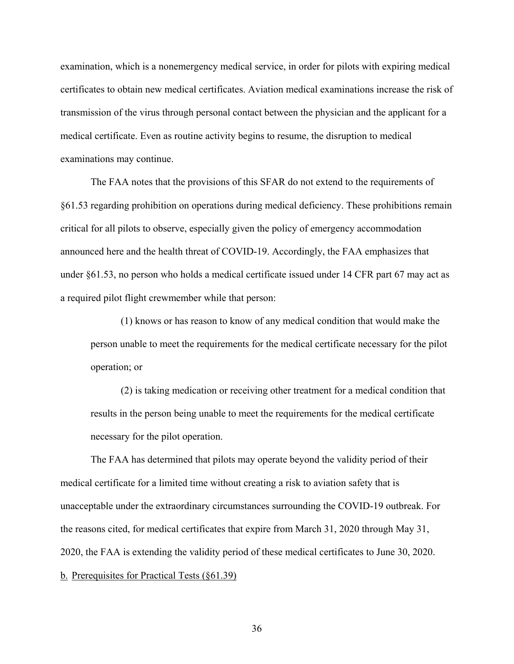examination, which is a nonemergency medical service, in order for pilots with expiring medical certificates to obtain new medical certificates. Aviation medical examinations increase the risk of transmission of the virus through personal contact between the physician and the applicant for a medical certificate. Even as routine activity begins to resume, the disruption to medical examinations may continue.

The FAA notes that the provisions of this SFAR do not extend to the requirements of §61.53 regarding prohibition on operations during medical deficiency. These prohibitions remain critical for all pilots to observe, especially given the policy of emergency accommodation announced here and the health threat of COVID-19. Accordingly, the FAA emphasizes that under §61.53, no person who holds a medical certificate issued under 14 CFR part 67 may act as a required pilot flight crewmember while that person:

(1) knows or has reason to know of any medical condition that would make the person unable to meet the requirements for the medical certificate necessary for the pilot operation; or

(2) is taking medication or receiving other treatment for a medical condition that results in the person being unable to meet the requirements for the medical certificate necessary for the pilot operation.

The FAA has determined that pilots may operate beyond the validity period of their medical certificate for a limited time without creating a risk to aviation safety that is unacceptable under the extraordinary circumstances surrounding the COVID-19 outbreak. For the reasons cited, for medical certificates that expire from March 31, 2020 through May 31, 2020, the FAA is extending the validity period of these medical certificates to June 30, 2020. b. Prerequisites for Practical Tests (§61.39)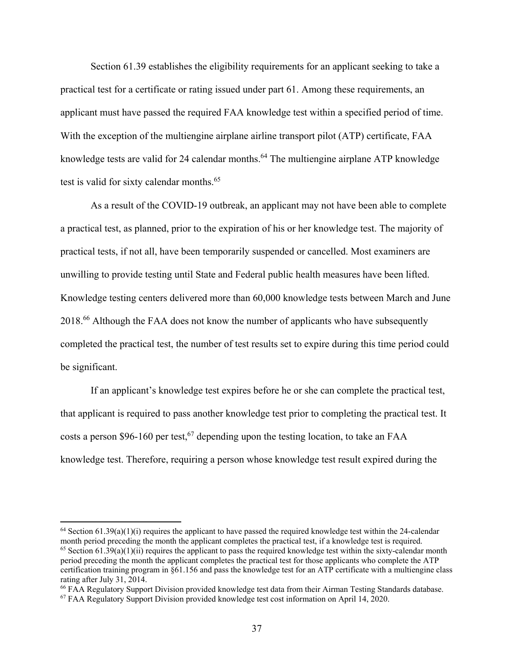Section 61.39 establishes the eligibility requirements for an applicant seeking to take a practical test for a certificate or rating issued under part 61. Among these requirements, an applicant must have passed the required FAA knowledge test within a specified period of time. With the exception of the multiengine airplane airline transport pilot (ATP) certificate, FAA knowledge tests are valid for 24 calendar months.<sup>64</sup> The multiengine airplane ATP knowledge test is valid for sixty calendar months.<sup>65</sup>

As a result of the COVID-19 outbreak, an applicant may not have been able to complete a practical test, as planned, prior to the expiration of his or her knowledge test. The majority of practical tests, if not all, have been temporarily suspended or cancelled. Most examiners are unwilling to provide testing until State and Federal public health measures have been lifted. Knowledge testing centers delivered more than 60,000 knowledge tests between March and June 2018.<sup>66</sup> Although the FAA does not know the number of applicants who have subsequently completed the practical test, the number of test results set to expire during this time period could be significant.

If an applicant's knowledge test expires before he or she can complete the practical test, that applicant is required to pass another knowledge test prior to completing the practical test. It costs a person \$96-160 per test,<sup>67</sup> depending upon the testing location, to take an FAA knowledge test. Therefore, requiring a person whose knowledge test result expired during the

 $64$  Section 61.39(a)(1)(i) requires the applicant to have passed the required knowledge test within the 24-calendar month period preceding the month the applicant completes the practical test, if a knowledge test is required. <sup>65</sup> Section 61.39(a)(1)(ii) requires the applicant to pass the required knowledge test within the sixty-calendar month period preceding the month the applicant completes the practical test for those applicants who complete the ATP certification training program in §61.156 and pass the knowledge test for an ATP certificate with a multiengine class rating after July 31, 2014.

<sup>66</sup> FAA Regulatory Support Division provided knowledge test data from their Airman Testing Standards database.

<sup>67</sup> FAA Regulatory Support Division provided knowledge test cost information on April 14, 2020.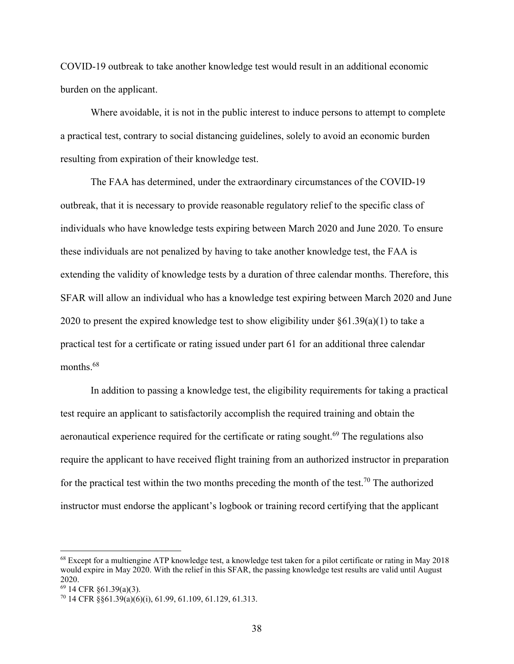COVID-19 outbreak to take another knowledge test would result in an additional economic burden on the applicant.

Where avoidable, it is not in the public interest to induce persons to attempt to complete a practical test, contrary to social distancing guidelines, solely to avoid an economic burden resulting from expiration of their knowledge test.

The FAA has determined, under the extraordinary circumstances of the COVID-19 outbreak, that it is necessary to provide reasonable regulatory relief to the specific class of individuals who have knowledge tests expiring between March 2020 and June 2020. To ensure these individuals are not penalized by having to take another knowledge test, the FAA is extending the validity of knowledge tests by a duration of three calendar months. Therefore, this SFAR will allow an individual who has a knowledge test expiring between March 2020 and June 2020 to present the expired knowledge test to show eligibility under  $\S61.39(a)(1)$  to take a practical test for a certificate or rating issued under part 61 for an additional three calendar months.<sup>68</sup>

In addition to passing a knowledge test, the eligibility requirements for taking a practical test require an applicant to satisfactorily accomplish the required training and obtain the aeronautical experience required for the certificate or rating sought.<sup>69</sup> The regulations also require the applicant to have received flight training from an authorized instructor in preparation for the practical test within the two months preceding the month of the test.<sup>70</sup> The authorized instructor must endorse the applicant's logbook or training record certifying that the applicant

<sup>68</sup> Except for a multiengine ATP knowledge test, a knowledge test taken for a pilot certificate or rating in May 2018 would expire in May 2020. With the relief in this SFAR, the passing knowledge test results are valid until August 2020.

<sup>69 14</sup> CFR §61.39(a)(3).

<sup>70 14</sup> CFR §§61.39(a)(6)(i), 61.99, 61.109, 61.129, 61.313.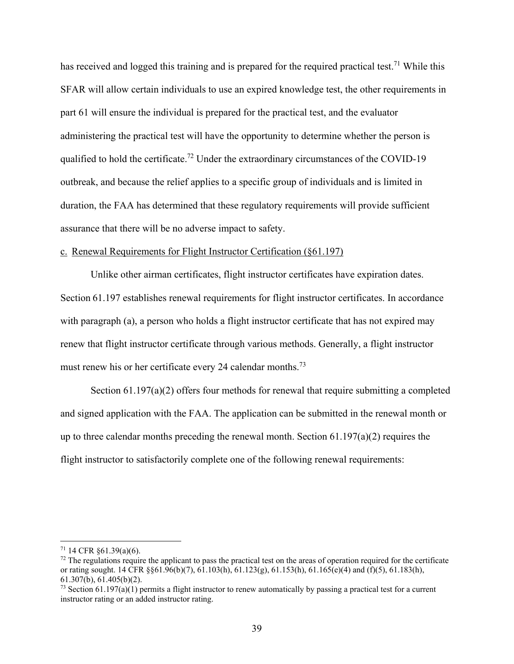has received and logged this training and is prepared for the required practical test.<sup>71</sup> While this SFAR will allow certain individuals to use an expired knowledge test, the other requirements in part 61 will ensure the individual is prepared for the practical test, and the evaluator administering the practical test will have the opportunity to determine whether the person is qualified to hold the certificate.<sup>72</sup> Under the extraordinary circumstances of the COVID-19 outbreak, and because the relief applies to a specific group of individuals and is limited in duration, the FAA has determined that these regulatory requirements will provide sufficient assurance that there will be no adverse impact to safety.

### c. Renewal Requirements for Flight Instructor Certification (§61.197)

Unlike other airman certificates, flight instructor certificates have expiration dates. Section 61.197 establishes renewal requirements for flight instructor certificates. In accordance with paragraph (a), a person who holds a flight instructor certificate that has not expired may renew that flight instructor certificate through various methods. Generally, a flight instructor must renew his or her certificate every 24 calendar months.<sup>73</sup>

Section 61.197(a)(2) offers four methods for renewal that require submitting a completed and signed application with the FAA. The application can be submitted in the renewal month or up to three calendar months preceding the renewal month. Section  $61.197(a)(2)$  requires the flight instructor to satisfactorily complete one of the following renewal requirements:

 $71$  14 CFR  $\S61.39(a)(6)$ .

 $72$  The regulations require the applicant to pass the practical test on the areas of operation required for the certificate or rating sought. 14 CFR §§61.96(b)(7), 61.103(h), 61.123(g), 61.153(h), 61.165(e)(4) and (f)(5), 61.183(h), 61.307(b), 61.405(b)(2).

 $^{73}$  Section 61.197(a)(1) permits a flight instructor to renew automatically by passing a practical test for a current instructor rating or an added instructor rating.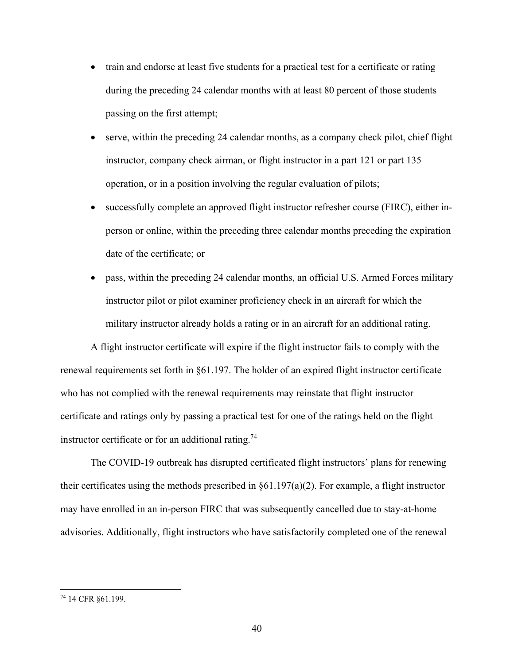- train and endorse at least five students for a practical test for a certificate or rating during the preceding 24 calendar months with at least 80 percent of those students passing on the first attempt;
- serve, within the preceding 24 calendar months, as a company check pilot, chief flight instructor, company check airman, or flight instructor in a part 121 or part 135 operation, or in a position involving the regular evaluation of pilots;
- successfully complete an approved flight instructor refresher course (FIRC), either inperson or online, within the preceding three calendar months preceding the expiration date of the certificate; or
- pass, within the preceding 24 calendar months, an official U.S. Armed Forces military instructor pilot or pilot examiner proficiency check in an aircraft for which the military instructor already holds a rating or in an aircraft for an additional rating.

A flight instructor certificate will expire if the flight instructor fails to comply with the renewal requirements set forth in §61.197. The holder of an expired flight instructor certificate who has not complied with the renewal requirements may reinstate that flight instructor certificate and ratings only by passing a practical test for one of the ratings held on the flight instructor certificate or for an additional rating.<sup>74</sup>

The COVID-19 outbreak has disrupted certificated flight instructors' plans for renewing their certificates using the methods prescribed in §61.197(a)(2). For example, a flight instructor may have enrolled in an in-person FIRC that was subsequently cancelled due to stay-at-home advisories. Additionally, flight instructors who have satisfactorily completed one of the renewal

<sup>74 14</sup> CFR §61.199.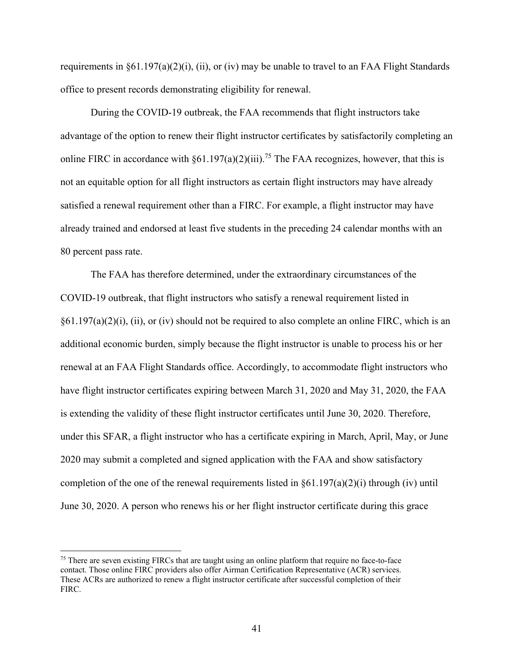requirements in  $\S61.197(a)(2)(i)$ , (ii), or (iv) may be unable to travel to an FAA Flight Standards office to present records demonstrating eligibility for renewal.

During the COVID-19 outbreak, the FAA recommends that flight instructors take advantage of the option to renew their flight instructor certificates by satisfactorily completing an online FIRC in accordance with  $\S61.197(a)(2)(iii)$ .<sup>75</sup> The FAA recognizes, however, that this is not an equitable option for all flight instructors as certain flight instructors may have already satisfied a renewal requirement other than a FIRC. For example, a flight instructor may have already trained and endorsed at least five students in the preceding 24 calendar months with an 80 percent pass rate.

The FAA has therefore determined, under the extraordinary circumstances of the COVID-19 outbreak, that flight instructors who satisfy a renewal requirement listed in  $\S61.197(a)(2)(i)$ , (ii), or (iv) should not be required to also complete an online FIRC, which is an additional economic burden, simply because the flight instructor is unable to process his or her renewal at an FAA Flight Standards office. Accordingly, to accommodate flight instructors who have flight instructor certificates expiring between March 31, 2020 and May 31, 2020, the FAA is extending the validity of these flight instructor certificates until June 30, 2020. Therefore, under this SFAR, a flight instructor who has a certificate expiring in March, April, May, or June 2020 may submit a completed and signed application with the FAA and show satisfactory completion of the one of the renewal requirements listed in  $\S61.197(a)(2)(i)$  through (iv) until June 30, 2020. A person who renews his or her flight instructor certificate during this grace

<sup>&</sup>lt;sup>75</sup> There are seven existing FIRCs that are taught using an online platform that require no face-to-face contact. Those online FIRC providers also offer Airman Certification Representative (ACR) services. These ACRs are authorized to renew a flight instructor certificate after successful completion of their FIRC.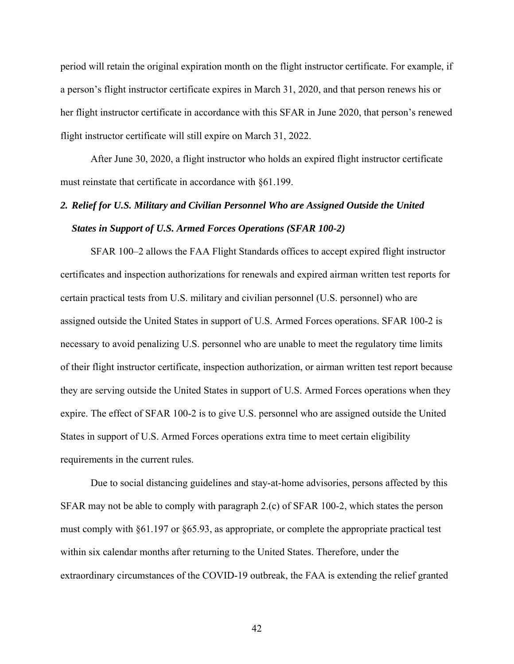period will retain the original expiration month on the flight instructor certificate. For example, if a person's flight instructor certificate expires in March 31, 2020, and that person renews his or her flight instructor certificate in accordance with this SFAR in June 2020, that person's renewed flight instructor certificate will still expire on March 31, 2022.

After June 30, 2020, a flight instructor who holds an expired flight instructor certificate must reinstate that certificate in accordance with §61.199.

# *2. Relief for U.S. Military and Civilian Personnel Who are Assigned Outside the United States in Support of U.S. Armed Forces Operations (SFAR 100-2)*

SFAR 100–2 allows the FAA Flight Standards offices to accept expired flight instructor certificates and inspection authorizations for renewals and expired airman written test reports for certain practical tests from U.S. military and civilian personnel (U.S. personnel) who are assigned outside the United States in support of U.S. Armed Forces operations. SFAR 100-2 is necessary to avoid penalizing U.S. personnel who are unable to meet the regulatory time limits of their flight instructor certificate, inspection authorization, or airman written test report because they are serving outside the United States in support of U.S. Armed Forces operations when they expire. The effect of SFAR 100-2 is to give U.S. personnel who are assigned outside the United States in support of U.S. Armed Forces operations extra time to meet certain eligibility requirements in the current rules.

Due to social distancing guidelines and stay-at-home advisories, persons affected by this SFAR may not be able to comply with paragraph 2.(c) of SFAR 100-2, which states the person must comply with §61.197 or §65.93, as appropriate, or complete the appropriate practical test within six calendar months after returning to the United States. Therefore, under the extraordinary circumstances of the COVID-19 outbreak, the FAA is extending the relief granted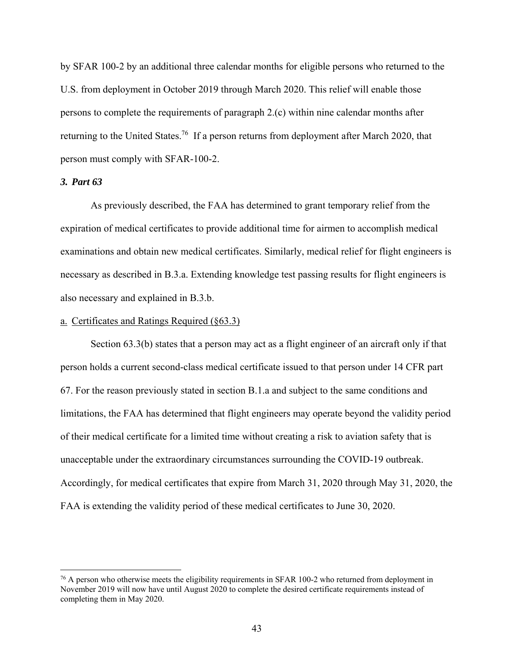by SFAR 100-2 by an additional three calendar months for eligible persons who returned to the U.S. from deployment in October 2019 through March 2020. This relief will enable those persons to complete the requirements of paragraph 2.(c) within nine calendar months after returning to the United States.<sup>76</sup> If a person returns from deployment after March 2020, that person must comply with SFAR-100-2.

### *3. Part 63*

 $\overline{a}$ 

As previously described, the FAA has determined to grant temporary relief from the expiration of medical certificates to provide additional time for airmen to accomplish medical examinations and obtain new medical certificates. Similarly, medical relief for flight engineers is necessary as described in B.3.a. Extending knowledge test passing results for flight engineers is also necessary and explained in B.3.b.

### a. Certificates and Ratings Required (§63.3)

Section 63.3(b) states that a person may act as a flight engineer of an aircraft only if that person holds a current second-class medical certificate issued to that person under 14 CFR part 67. For the reason previously stated in section B.1.a and subject to the same conditions and limitations, the FAA has determined that flight engineers may operate beyond the validity period of their medical certificate for a limited time without creating a risk to aviation safety that is unacceptable under the extraordinary circumstances surrounding the COVID-19 outbreak. Accordingly, for medical certificates that expire from March 31, 2020 through May 31, 2020, the FAA is extending the validity period of these medical certificates to June 30, 2020.

 $76$  A person who otherwise meets the eligibility requirements in SFAR 100-2 who returned from deployment in November 2019 will now have until August 2020 to complete the desired certificate requirements instead of completing them in May 2020.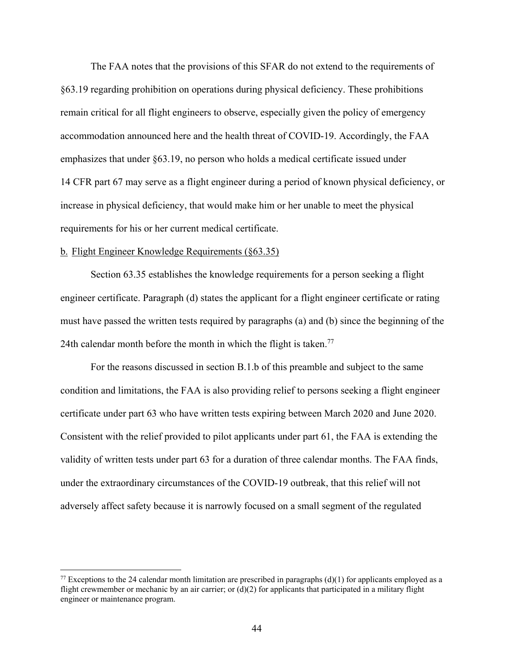The FAA notes that the provisions of this SFAR do not extend to the requirements of §63.19 regarding prohibition on operations during physical deficiency. These prohibitions remain critical for all flight engineers to observe, especially given the policy of emergency accommodation announced here and the health threat of COVID-19. Accordingly, the FAA emphasizes that under §63.19, no person who holds a medical certificate issued under 14 CFR part 67 may serve as a flight engineer during a period of known physical deficiency, or increase in physical deficiency, that would make him or her unable to meet the physical requirements for his or her current medical certificate.

#### b. Flight Engineer Knowledge Requirements (§63.35)

 $\overline{a}$ 

Section 63.35 establishes the knowledge requirements for a person seeking a flight engineer certificate. Paragraph (d) states the applicant for a flight engineer certificate or rating must have passed the written tests required by paragraphs (a) and (b) since the beginning of the 24th calendar month before the month in which the flight is taken.<sup>77</sup>

For the reasons discussed in section B.1.b of this preamble and subject to the same condition and limitations, the FAA is also providing relief to persons seeking a flight engineer certificate under part 63 who have written tests expiring between March 2020 and June 2020. Consistent with the relief provided to pilot applicants under part 61, the FAA is extending the validity of written tests under part 63 for a duration of three calendar months. The FAA finds, under the extraordinary circumstances of the COVID-19 outbreak, that this relief will not adversely affect safety because it is narrowly focused on a small segment of the regulated

<sup>&</sup>lt;sup>77</sup> Exceptions to the 24 calendar month limitation are prescribed in paragraphs (d)(1) for applicants employed as a flight crewmember or mechanic by an air carrier; or  $(d)(2)$  for applicants that participated in a military flight engineer or maintenance program.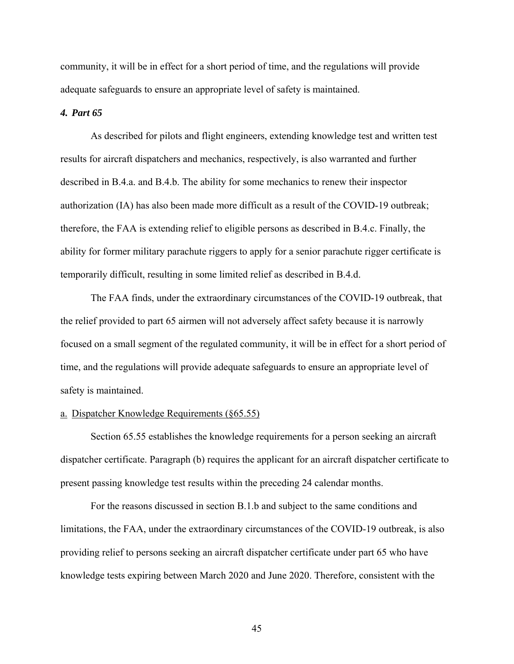community, it will be in effect for a short period of time, and the regulations will provide adequate safeguards to ensure an appropriate level of safety is maintained.

#### *4. Part 65*

As described for pilots and flight engineers, extending knowledge test and written test results for aircraft dispatchers and mechanics, respectively, is also warranted and further described in B.4.a. and B.4.b. The ability for some mechanics to renew their inspector authorization (IA) has also been made more difficult as a result of the COVID-19 outbreak; therefore, the FAA is extending relief to eligible persons as described in B.4.c. Finally, the ability for former military parachute riggers to apply for a senior parachute rigger certificate is temporarily difficult, resulting in some limited relief as described in B.4.d.

The FAA finds, under the extraordinary circumstances of the COVID-19 outbreak, that the relief provided to part 65 airmen will not adversely affect safety because it is narrowly focused on a small segment of the regulated community, it will be in effect for a short period of time, and the regulations will provide adequate safeguards to ensure an appropriate level of safety is maintained.

### a. Dispatcher Knowledge Requirements (§65.55)

Section 65.55 establishes the knowledge requirements for a person seeking an aircraft dispatcher certificate. Paragraph (b) requires the applicant for an aircraft dispatcher certificate to present passing knowledge test results within the preceding 24 calendar months.

For the reasons discussed in section B.1.b and subject to the same conditions and limitations, the FAA, under the extraordinary circumstances of the COVID-19 outbreak, is also providing relief to persons seeking an aircraft dispatcher certificate under part 65 who have knowledge tests expiring between March 2020 and June 2020. Therefore, consistent with the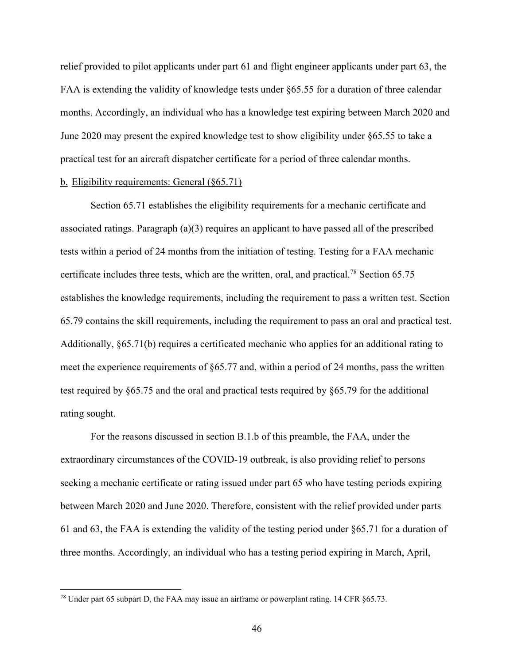relief provided to pilot applicants under part 61 and flight engineer applicants under part 63, the FAA is extending the validity of knowledge tests under §65.55 for a duration of three calendar months. Accordingly, an individual who has a knowledge test expiring between March 2020 and June 2020 may present the expired knowledge test to show eligibility under §65.55 to take a practical test for an aircraft dispatcher certificate for a period of three calendar months.

### b. Eligibility requirements: General (§65.71)

Section 65.71 establishes the eligibility requirements for a mechanic certificate and associated ratings. Paragraph (a)(3) requires an applicant to have passed all of the prescribed tests within a period of 24 months from the initiation of testing. Testing for a FAA mechanic certificate includes three tests, which are the written, oral, and practical.<sup>78</sup> Section 65.75 establishes the knowledge requirements, including the requirement to pass a written test. Section 65.79 contains the skill requirements, including the requirement to pass an oral and practical test. Additionally, §65.71(b) requires a certificated mechanic who applies for an additional rating to meet the experience requirements of §65.77 and, within a period of 24 months, pass the written test required by §65.75 and the oral and practical tests required by §65.79 for the additional rating sought.

For the reasons discussed in section B.1.b of this preamble, the FAA, under the extraordinary circumstances of the COVID-19 outbreak, is also providing relief to persons seeking a mechanic certificate or rating issued under part 65 who have testing periods expiring between March 2020 and June 2020. Therefore, consistent with the relief provided under parts 61 and 63, the FAA is extending the validity of the testing period under §65.71 for a duration of three months. Accordingly, an individual who has a testing period expiring in March, April,

 $78$  Under part 65 subpart D, the FAA may issue an airframe or powerplant rating. 14 CFR  $\S 65.73$ .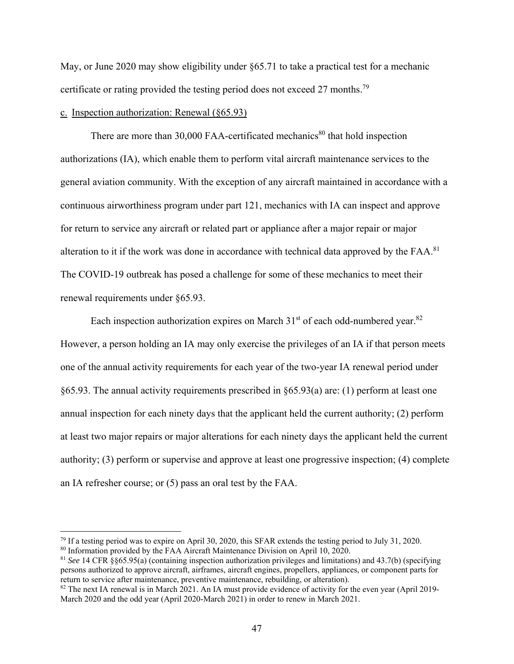May, or June 2020 may show eligibility under §65.71 to take a practical test for a mechanic certificate or rating provided the testing period does not exceed 27 months.<sup>79</sup>

### c. Inspection authorization: Renewal (§65.93)

There are more than  $30,000$  FAA-certificated mechanics<sup>80</sup> that hold inspection authorizations (IA), which enable them to perform vital aircraft maintenance services to the general aviation community. With the exception of any aircraft maintained in accordance with a continuous airworthiness program under part 121, mechanics with IA can inspect and approve for return to service any aircraft or related part or appliance after a major repair or major alteration to it if the work was done in accordance with technical data approved by the FAA.<sup>81</sup> The COVID-19 outbreak has posed a challenge for some of these mechanics to meet their renewal requirements under §65.93.

Each inspection authorization expires on March  $31<sup>st</sup>$  of each odd-numbered year.<sup>82</sup> However, a person holding an IA may only exercise the privileges of an IA if that person meets one of the annual activity requirements for each year of the two-year IA renewal period under §65.93. The annual activity requirements prescribed in §65.93(a) are: (1) perform at least one annual inspection for each ninety days that the applicant held the current authority; (2) perform at least two major repairs or major alterations for each ninety days the applicant held the current authority; (3) perform or supervise and approve at least one progressive inspection; (4) complete an IA refresher course; or (5) pass an oral test by the FAA.

<sup>79</sup> If a testing period was to expire on April 30, 2020, this SFAR extends the testing period to July 31, 2020.

<sup>&</sup>lt;sup>80</sup> Information provided by the FAA Aircraft Maintenance Division on April 10, 2020.

<sup>81</sup> *See* 14 CFR §§65.95(a) (containing inspection authorization privileges and limitations) and 43.7(b) (specifying persons authorized to approve aircraft, airframes, aircraft engines, propellers, appliances, or component parts for return to service after maintenance, preventive maintenance, rebuilding, or alteration).

<sup>&</sup>lt;sup>82</sup> The next IA renewal is in March 2021. An IA must provide evidence of activity for the even year (April 2019-March 2020 and the odd year (April 2020-March 2021) in order to renew in March 2021.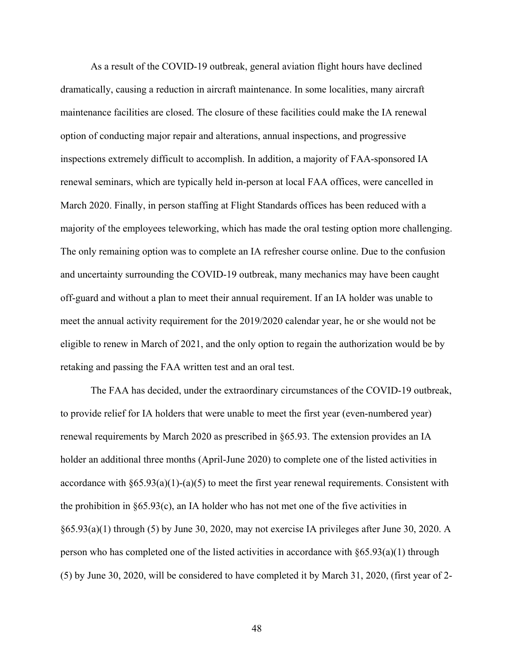As a result of the COVID-19 outbreak, general aviation flight hours have declined dramatically, causing a reduction in aircraft maintenance. In some localities, many aircraft maintenance facilities are closed. The closure of these facilities could make the IA renewal option of conducting major repair and alterations, annual inspections, and progressive inspections extremely difficult to accomplish. In addition, a majority of FAA-sponsored IA renewal seminars, which are typically held in-person at local FAA offices, were cancelled in March 2020. Finally, in person staffing at Flight Standards offices has been reduced with a majority of the employees teleworking, which has made the oral testing option more challenging. The only remaining option was to complete an IA refresher course online. Due to the confusion and uncertainty surrounding the COVID-19 outbreak, many mechanics may have been caught off-guard and without a plan to meet their annual requirement. If an IA holder was unable to meet the annual activity requirement for the 2019/2020 calendar year, he or she would not be eligible to renew in March of 2021, and the only option to regain the authorization would be by retaking and passing the FAA written test and an oral test.

The FAA has decided, under the extraordinary circumstances of the COVID-19 outbreak, to provide relief for IA holders that were unable to meet the first year (even-numbered year) renewal requirements by March 2020 as prescribed in §65.93. The extension provides an IA holder an additional three months (April-June 2020) to complete one of the listed activities in accordance with  $§65.93(a)(1)-(a)(5)$  to meet the first year renewal requirements. Consistent with the prohibition in  $\S 65.93(c)$ , an IA holder who has not met one of the five activities in §65.93(a)(1) through (5) by June 30, 2020, may not exercise IA privileges after June 30, 2020. A person who has completed one of the listed activities in accordance with  $\S65.93(a)(1)$  through (5) by June 30, 2020, will be considered to have completed it by March 31, 2020, (first year of 2-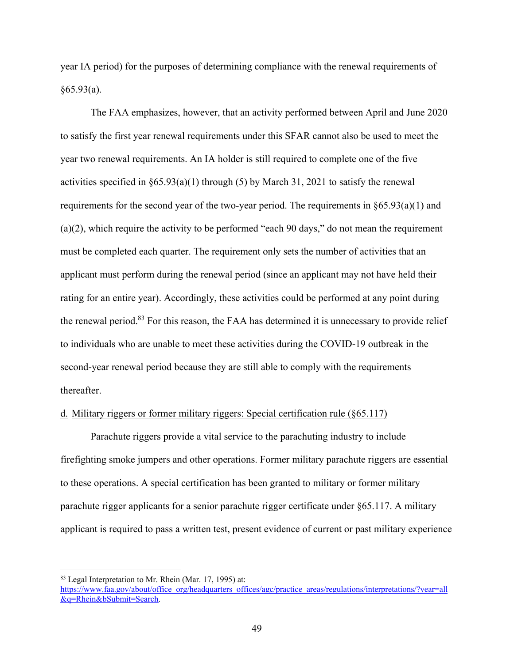year IA period) for the purposes of determining compliance with the renewal requirements of  $§65.93(a).$ 

The FAA emphasizes, however, that an activity performed between April and June 2020 to satisfy the first year renewal requirements under this SFAR cannot also be used to meet the year two renewal requirements. An IA holder is still required to complete one of the five activities specified in §65.93(a)(1) through (5) by March 31, 2021 to satisfy the renewal requirements for the second year of the two-year period. The requirements in §65.93(a)(1) and (a)(2), which require the activity to be performed "each 90 days," do not mean the requirement must be completed each quarter. The requirement only sets the number of activities that an applicant must perform during the renewal period (since an applicant may not have held their rating for an entire year). Accordingly, these activities could be performed at any point during the renewal period.<sup>83</sup> For this reason, the FAA has determined it is unnecessary to provide relief to individuals who are unable to meet these activities during the COVID-19 outbreak in the second-year renewal period because they are still able to comply with the requirements thereafter.

### d. Military riggers or former military riggers: Special certification rule (§65.117)

Parachute riggers provide a vital service to the parachuting industry to include firefighting smoke jumpers and other operations. Former military parachute riggers are essential to these operations. A special certification has been granted to military or former military parachute rigger applicants for a senior parachute rigger certificate under §65.117. A military applicant is required to pass a written test, present evidence of current or past military experience

<sup>83</sup> Legal Interpretation to Mr. Rhein (Mar. 17, 1995) at:

https://www.faa.gov/about/office\_org/headquarters\_offices/agc/practice\_areas/regulations/interpretations/?year=all &q=Rhein&bSubmit=Search.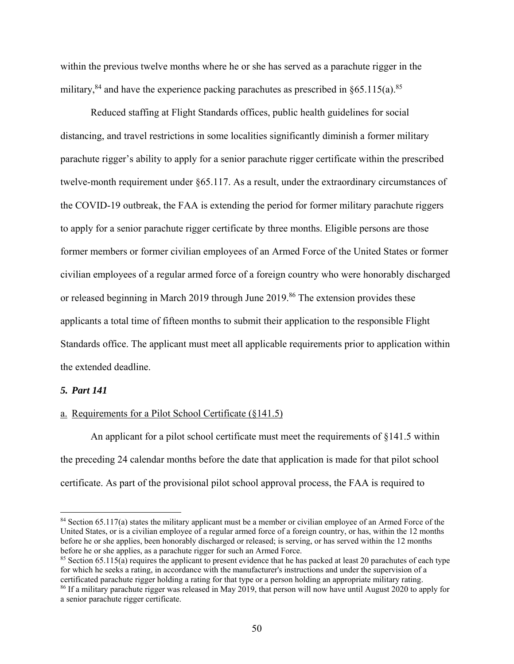within the previous twelve months where he or she has served as a parachute rigger in the military,  $84$  and have the experience packing parachutes as prescribed in §65.115(a).  $85$ 

Reduced staffing at Flight Standards offices, public health guidelines for social distancing, and travel restrictions in some localities significantly diminish a former military parachute rigger's ability to apply for a senior parachute rigger certificate within the prescribed twelve-month requirement under §65.117. As a result, under the extraordinary circumstances of the COVID-19 outbreak, the FAA is extending the period for former military parachute riggers to apply for a senior parachute rigger certificate by three months. Eligible persons are those former members or former civilian employees of an Armed Force of the United States or former civilian employees of a regular armed force of a foreign country who were honorably discharged or released beginning in March 2019 through June 2019.<sup>86</sup> The extension provides these applicants a total time of fifteen months to submit their application to the responsible Flight Standards office. The applicant must meet all applicable requirements prior to application within the extended deadline.

#### *5. Part 141*

 $\overline{a}$ 

### a. Requirements for a Pilot School Certificate (§141.5)

An applicant for a pilot school certificate must meet the requirements of §141.5 within the preceding 24 calendar months before the date that application is made for that pilot school certificate. As part of the provisional pilot school approval process, the FAA is required to

 $84$  Section 65.117(a) states the military applicant must be a member or civilian employee of an Armed Force of the United States, or is a civilian employee of a regular armed force of a foreign country, or has, within the 12 months before he or she applies, been honorably discharged or released; is serving, or has served within the 12 months before he or she applies, as a parachute rigger for such an Armed Force.

<sup>&</sup>lt;sup>85</sup> Section 65.115(a) requires the applicant to present evidence that he has packed at least 20 parachutes of each type for which he seeks a rating, in accordance with the manufacturer's instructions and under the supervision of a certificated parachute rigger holding a rating for that type or a person holding an appropriate military rating. 86 If a military parachute rigger was released in May 2019, that person will now have until August 2020 to apply for

a senior parachute rigger certificate.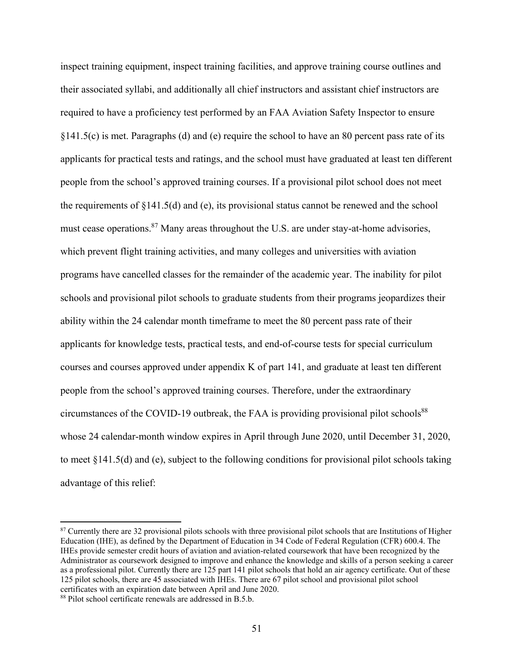inspect training equipment, inspect training facilities, and approve training course outlines and their associated syllabi, and additionally all chief instructors and assistant chief instructors are required to have a proficiency test performed by an FAA Aviation Safety Inspector to ensure §141.5(c) is met. Paragraphs (d) and (e) require the school to have an 80 percent pass rate of its applicants for practical tests and ratings, and the school must have graduated at least ten different people from the school's approved training courses. If a provisional pilot school does not meet the requirements of  $\S 141.5(d)$  and (e), its provisional status cannot be renewed and the school must cease operations.<sup>87</sup> Many areas throughout the U.S. are under stay-at-home advisories, which prevent flight training activities, and many colleges and universities with aviation programs have cancelled classes for the remainder of the academic year. The inability for pilot schools and provisional pilot schools to graduate students from their programs jeopardizes their ability within the 24 calendar month timeframe to meet the 80 percent pass rate of their applicants for knowledge tests, practical tests, and end-of-course tests for special curriculum courses and courses approved under appendix K of part 141, and graduate at least ten different people from the school's approved training courses. Therefore, under the extraordinary circumstances of the COVID-19 outbreak, the FAA is providing provisional pilot schools $88$ whose 24 calendar-month window expires in April through June 2020, until December 31, 2020, to meet §141.5(d) and (e), subject to the following conditions for provisional pilot schools taking advantage of this relief:

<sup>&</sup>lt;sup>87</sup> Currently there are 32 provisional pilots schools with three provisional pilot schools that are Institutions of Higher Education (IHE), as defined by the Department of Education in 34 Code of Federal Regulation (CFR) 600.4. The IHEs provide semester credit hours of aviation and aviation-related coursework that have been recognized by the Administrator as coursework designed to improve and enhance the knowledge and skills of a person seeking a career as a professional pilot. Currently there are 125 part 141 pilot schools that hold an air agency certificate. Out of these 125 pilot schools, there are 45 associated with IHEs. There are 67 pilot school and provisional pilot school certificates with an expiration date between April and June 2020.

<sup>88</sup> Pilot school certificate renewals are addressed in B.5.b.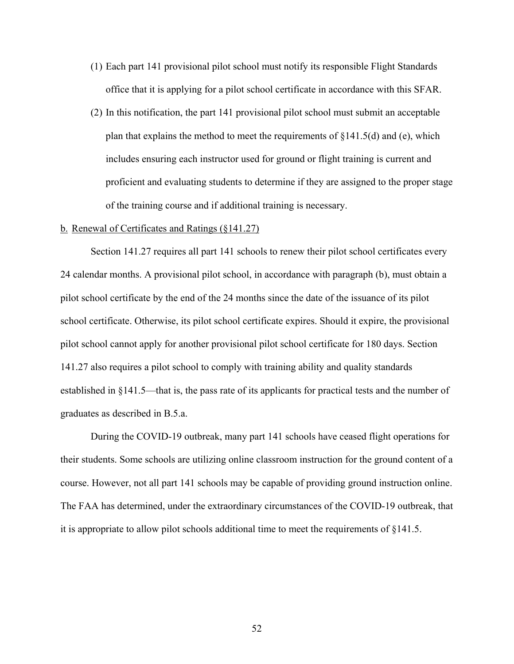- (1) Each part 141 provisional pilot school must notify its responsible Flight Standards office that it is applying for a pilot school certificate in accordance with this SFAR.
- (2) In this notification, the part 141 provisional pilot school must submit an acceptable plan that explains the method to meet the requirements of  $\S 141.5(d)$  and (e), which includes ensuring each instructor used for ground or flight training is current and proficient and evaluating students to determine if they are assigned to the proper stage of the training course and if additional training is necessary.

#### b. Renewal of Certificates and Ratings (§141.27)

Section 141.27 requires all part 141 schools to renew their pilot school certificates every 24 calendar months. A provisional pilot school, in accordance with paragraph (b), must obtain a pilot school certificate by the end of the 24 months since the date of the issuance of its pilot school certificate. Otherwise, its pilot school certificate expires. Should it expire, the provisional pilot school cannot apply for another provisional pilot school certificate for 180 days. Section 141.27 also requires a pilot school to comply with training ability and quality standards established in §141.5—that is, the pass rate of its applicants for practical tests and the number of graduates as described in B.5.a.

During the COVID-19 outbreak, many part 141 schools have ceased flight operations for their students. Some schools are utilizing online classroom instruction for the ground content of a course. However, not all part 141 schools may be capable of providing ground instruction online. The FAA has determined, under the extraordinary circumstances of the COVID-19 outbreak, that it is appropriate to allow pilot schools additional time to meet the requirements of §141.5.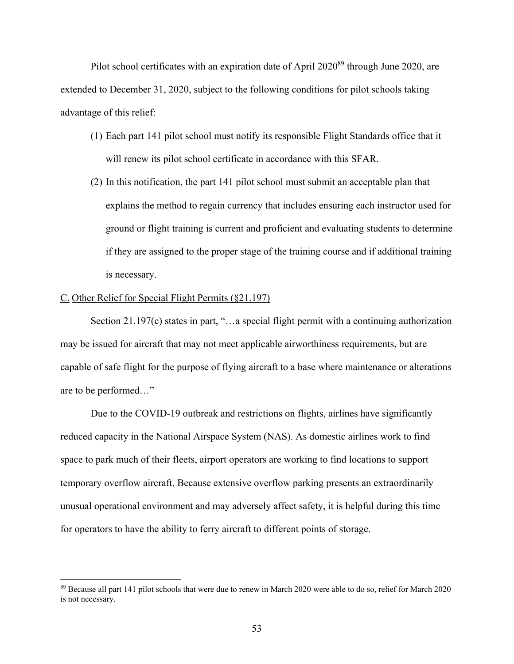Pilot school certificates with an expiration date of April  $2020^{89}$  through June 2020, are extended to December 31, 2020, subject to the following conditions for pilot schools taking advantage of this relief:

- (1) Each part 141 pilot school must notify its responsible Flight Standards office that it will renew its pilot school certificate in accordance with this SFAR.
- (2) In this notification, the part 141 pilot school must submit an acceptable plan that explains the method to regain currency that includes ensuring each instructor used for ground or flight training is current and proficient and evaluating students to determine if they are assigned to the proper stage of the training course and if additional training is necessary.

#### C. Other Relief for Special Flight Permits (§21.197)

 $\overline{a}$ 

Section 21.197(c) states in part, "...a special flight permit with a continuing authorization may be issued for aircraft that may not meet applicable airworthiness requirements, but are capable of safe flight for the purpose of flying aircraft to a base where maintenance or alterations are to be performed…"

Due to the COVID-19 outbreak and restrictions on flights, airlines have significantly reduced capacity in the National Airspace System (NAS). As domestic airlines work to find space to park much of their fleets, airport operators are working to find locations to support temporary overflow aircraft. Because extensive overflow parking presents an extraordinarily unusual operational environment and may adversely affect safety, it is helpful during this time for operators to have the ability to ferry aircraft to different points of storage.

<sup>89</sup> Because all part 141 pilot schools that were due to renew in March 2020 were able to do so, relief for March 2020 is not necessary.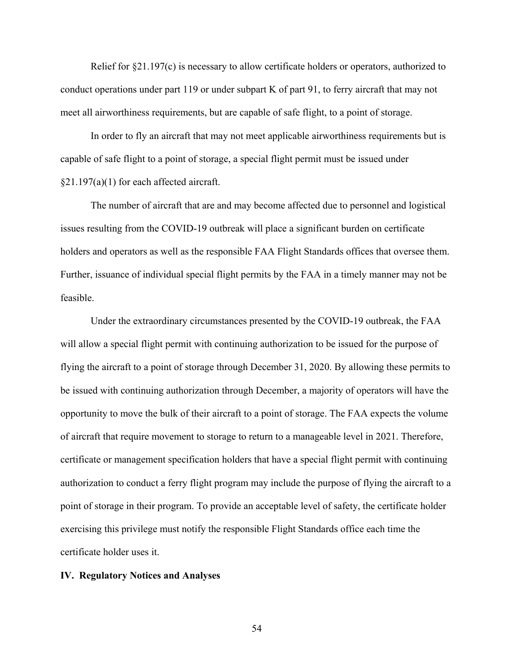Relief for §21.197(c) is necessary to allow certificate holders or operators, authorized to conduct operations under part 119 or under subpart K of part 91, to ferry aircraft that may not meet all airworthiness requirements, but are capable of safe flight, to a point of storage.

In order to fly an aircraft that may not meet applicable airworthiness requirements but is capable of safe flight to a point of storage, a special flight permit must be issued under §21.197(a)(1) for each affected aircraft.

The number of aircraft that are and may become affected due to personnel and logistical issues resulting from the COVID-19 outbreak will place a significant burden on certificate holders and operators as well as the responsible FAA Flight Standards offices that oversee them. Further, issuance of individual special flight permits by the FAA in a timely manner may not be feasible.

Under the extraordinary circumstances presented by the COVID-19 outbreak, the FAA will allow a special flight permit with continuing authorization to be issued for the purpose of flying the aircraft to a point of storage through December 31, 2020. By allowing these permits to be issued with continuing authorization through December, a majority of operators will have the opportunity to move the bulk of their aircraft to a point of storage. The FAA expects the volume of aircraft that require movement to storage to return to a manageable level in 2021. Therefore, certificate or management specification holders that have a special flight permit with continuing authorization to conduct a ferry flight program may include the purpose of flying the aircraft to a point of storage in their program. To provide an acceptable level of safety, the certificate holder exercising this privilege must notify the responsible Flight Standards office each time the certificate holder uses it.

#### **IV. Regulatory Notices and Analyses**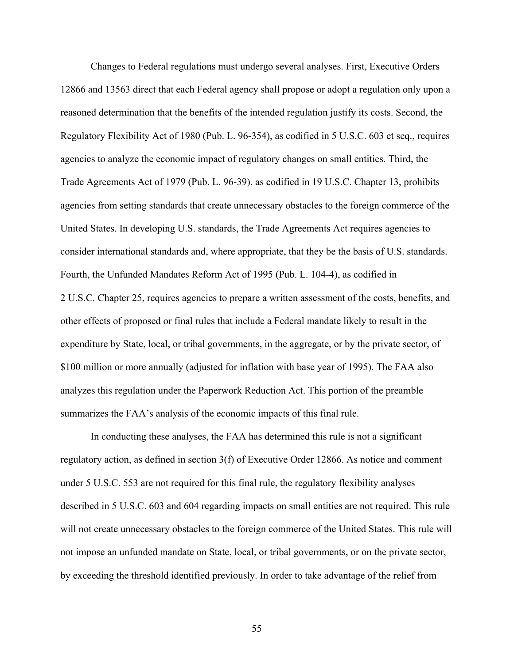Changes to Federal regulations must undergo several analyses. First, Executive Orders 12866 and 13563 direct that each Federal agency shall propose or adopt a regulation only upon a reasoned determination that the benefits of the intended regulation justify its costs. Second, the Regulatory Flexibility Act of 1980 (Pub. L. 96-354), as codified in 5 U.S.C. 603 et seq., requires agencies to analyze the economic impact of regulatory changes on small entities. Third, the Trade Agreements Act of 1979 (Pub. L. 96-39), as codified in 19 U.S.C. Chapter 13, prohibits agencies from setting standards that create unnecessary obstacles to the foreign commerce of the United States. In developing U.S. standards, the Trade Agreements Act requires agencies to consider international standards and, where appropriate, that they be the basis of U.S. standards. Fourth, the Unfunded Mandates Reform Act of 1995 (Pub. L. 104-4), as codified in 2 U.S.C. Chapter 25, requires agencies to prepare a written assessment of the costs, benefits, and other effects of proposed or final rules that include a Federal mandate likely to result in the expenditure by State, local, or tribal governments, in the aggregate, or by the private sector, of \$100 million or more annually (adjusted for inflation with base year of 1995). The FAA also analyzes this regulation under the Paperwork Reduction Act. This portion of the preamble summarizes the FAA's analysis of the economic impacts of this final rule.

In conducting these analyses, the FAA has determined this rule is not a significant regulatory action, as defined in section 3(f) of Executive Order 12866. As notice and comment under 5 U.S.C. 553 are not required for this final rule, the regulatory flexibility analyses described in 5 U.S.C. 603 and 604 regarding impacts on small entities are not required. This rule will not create unnecessary obstacles to the foreign commerce of the United States. This rule will not impose an unfunded mandate on State, local, or tribal governments, or on the private sector, by exceeding the threshold identified previously. In order to take advantage of the relief from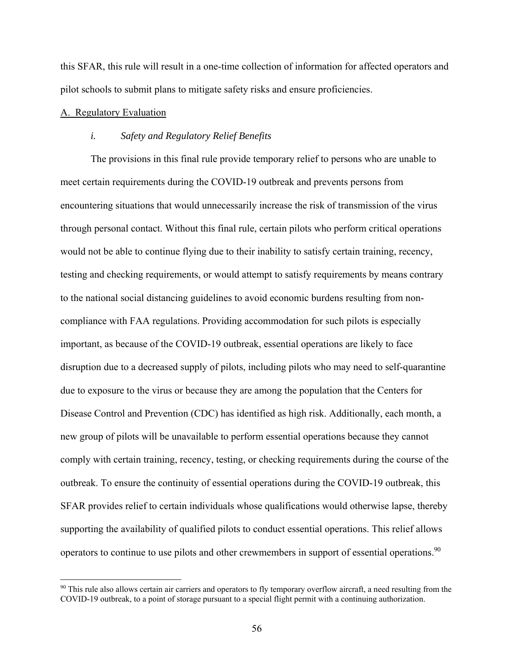this SFAR, this rule will result in a one-time collection of information for affected operators and pilot schools to submit plans to mitigate safety risks and ensure proficiencies.

### A. Regulatory Evaluation

1

#### *i. Safety and Regulatory Relief Benefits*

The provisions in this final rule provide temporary relief to persons who are unable to meet certain requirements during the COVID-19 outbreak and prevents persons from encountering situations that would unnecessarily increase the risk of transmission of the virus through personal contact. Without this final rule, certain pilots who perform critical operations would not be able to continue flying due to their inability to satisfy certain training, recency, testing and checking requirements, or would attempt to satisfy requirements by means contrary to the national social distancing guidelines to avoid economic burdens resulting from noncompliance with FAA regulations. Providing accommodation for such pilots is especially important, as because of the COVID-19 outbreak, essential operations are likely to face disruption due to a decreased supply of pilots, including pilots who may need to self-quarantine due to exposure to the virus or because they are among the population that the Centers for Disease Control and Prevention (CDC) has identified as high risk. Additionally, each month, a new group of pilots will be unavailable to perform essential operations because they cannot comply with certain training, recency, testing, or checking requirements during the course of the outbreak. To ensure the continuity of essential operations during the COVID-19 outbreak, this SFAR provides relief to certain individuals whose qualifications would otherwise lapse, thereby supporting the availability of qualified pilots to conduct essential operations. This relief allows operators to continue to use pilots and other crewmembers in support of essential operations.<sup>90</sup>

<sup>&</sup>lt;sup>90</sup> This rule also allows certain air carriers and operators to fly temporary overflow aircraft, a need resulting from the COVID-19 outbreak, to a point of storage pursuant to a special flight permit with a continuing authorization.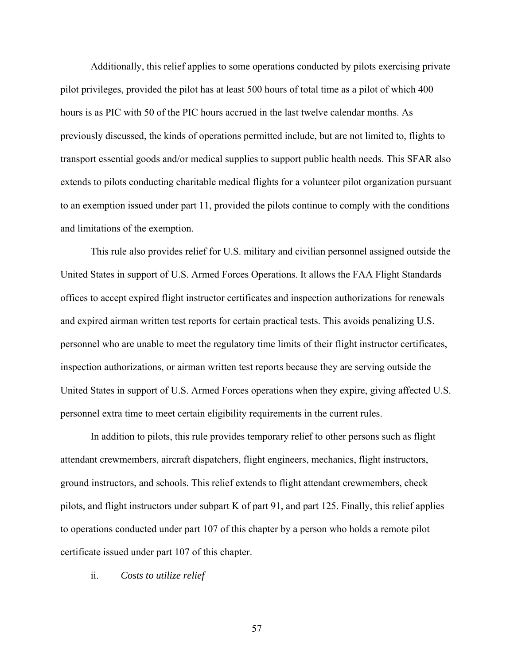Additionally, this relief applies to some operations conducted by pilots exercising private pilot privileges, provided the pilot has at least 500 hours of total time as a pilot of which 400 hours is as PIC with 50 of the PIC hours accrued in the last twelve calendar months. As previously discussed, the kinds of operations permitted include, but are not limited to, flights to transport essential goods and/or medical supplies to support public health needs. This SFAR also extends to pilots conducting charitable medical flights for a volunteer pilot organization pursuant to an exemption issued under part 11, provided the pilots continue to comply with the conditions and limitations of the exemption.

This rule also provides relief for U.S. military and civilian personnel assigned outside the United States in support of U.S. Armed Forces Operations. It allows the FAA Flight Standards offices to accept expired flight instructor certificates and inspection authorizations for renewals and expired airman written test reports for certain practical tests. This avoids penalizing U.S. personnel who are unable to meet the regulatory time limits of their flight instructor certificates, inspection authorizations, or airman written test reports because they are serving outside the United States in support of U.S. Armed Forces operations when they expire, giving affected U.S. personnel extra time to meet certain eligibility requirements in the current rules.

In addition to pilots, this rule provides temporary relief to other persons such as flight attendant crewmembers, aircraft dispatchers, flight engineers, mechanics, flight instructors, ground instructors, and schools. This relief extends to flight attendant crewmembers, check pilots, and flight instructors under subpart K of part 91, and part 125. Finally, this relief applies to operations conducted under part 107 of this chapter by a person who holds a remote pilot certificate issued under part 107 of this chapter.

#### ii. *Costs to utilize relief*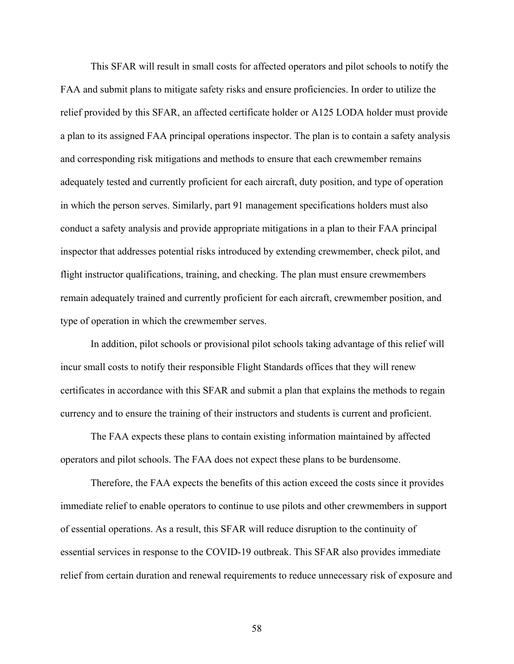This SFAR will result in small costs for affected operators and pilot schools to notify the FAA and submit plans to mitigate safety risks and ensure proficiencies. In order to utilize the relief provided by this SFAR, an affected certificate holder or A125 LODA holder must provide a plan to its assigned FAA principal operations inspector. The plan is to contain a safety analysis and corresponding risk mitigations and methods to ensure that each crewmember remains adequately tested and currently proficient for each aircraft, duty position, and type of operation in which the person serves. Similarly, part 91 management specifications holders must also conduct a safety analysis and provide appropriate mitigations in a plan to their FAA principal inspector that addresses potential risks introduced by extending crewmember, check pilot, and flight instructor qualifications, training, and checking. The plan must ensure crewmembers remain adequately trained and currently proficient for each aircraft, crewmember position, and type of operation in which the crewmember serves.

In addition, pilot schools or provisional pilot schools taking advantage of this relief will incur small costs to notify their responsible Flight Standards offices that they will renew certificates in accordance with this SFAR and submit a plan that explains the methods to regain currency and to ensure the training of their instructors and students is current and proficient.

The FAA expects these plans to contain existing information maintained by affected operators and pilot schools. The FAA does not expect these plans to be burdensome.

Therefore, the FAA expects the benefits of this action exceed the costs since it provides immediate relief to enable operators to continue to use pilots and other crewmembers in support of essential operations. As a result, this SFAR will reduce disruption to the continuity of essential services in response to the COVID-19 outbreak. This SFAR also provides immediate relief from certain duration and renewal requirements to reduce unnecessary risk of exposure and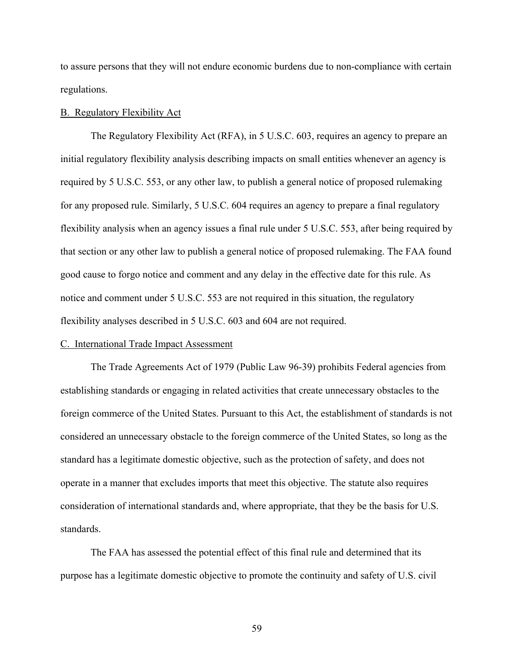to assure persons that they will not endure economic burdens due to non-compliance with certain regulations.

#### B. Regulatory Flexibility Act

The Regulatory Flexibility Act (RFA), in 5 U.S.C. 603, requires an agency to prepare an initial regulatory flexibility analysis describing impacts on small entities whenever an agency is required by 5 U.S.C. 553, or any other law, to publish a general notice of proposed rulemaking for any proposed rule. Similarly, 5 U.S.C. 604 requires an agency to prepare a final regulatory flexibility analysis when an agency issues a final rule under 5 U.S.C. 553, after being required by that section or any other law to publish a general notice of proposed rulemaking. The FAA found good cause to forgo notice and comment and any delay in the effective date for this rule. As notice and comment under 5 U.S.C. 553 are not required in this situation, the regulatory flexibility analyses described in 5 U.S.C. 603 and 604 are not required.

### C. International Trade Impact Assessment

The Trade Agreements Act of 1979 (Public Law 96-39) prohibits Federal agencies from establishing standards or engaging in related activities that create unnecessary obstacles to the foreign commerce of the United States. Pursuant to this Act, the establishment of standards is not considered an unnecessary obstacle to the foreign commerce of the United States, so long as the standard has a legitimate domestic objective, such as the protection of safety, and does not operate in a manner that excludes imports that meet this objective. The statute also requires consideration of international standards and, where appropriate, that they be the basis for U.S. standards.

The FAA has assessed the potential effect of this final rule and determined that its purpose has a legitimate domestic objective to promote the continuity and safety of U.S. civil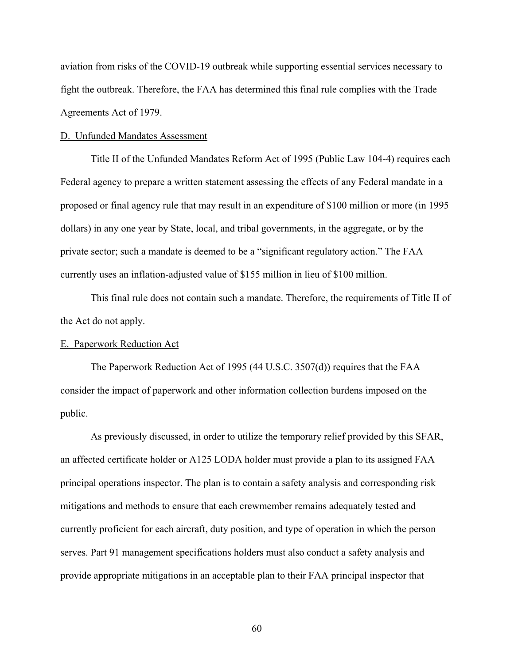aviation from risks of the COVID-19 outbreak while supporting essential services necessary to fight the outbreak. Therefore, the FAA has determined this final rule complies with the Trade Agreements Act of 1979.

#### D. Unfunded Mandates Assessment

Title II of the Unfunded Mandates Reform Act of 1995 (Public Law 104-4) requires each Federal agency to prepare a written statement assessing the effects of any Federal mandate in a proposed or final agency rule that may result in an expenditure of \$100 million or more (in 1995 dollars) in any one year by State, local, and tribal governments, in the aggregate, or by the private sector; such a mandate is deemed to be a "significant regulatory action." The FAA currently uses an inflation-adjusted value of \$155 million in lieu of \$100 million.

This final rule does not contain such a mandate. Therefore, the requirements of Title II of the Act do not apply.

### E. Paperwork Reduction Act

The Paperwork Reduction Act of 1995 (44 U.S.C. 3507(d)) requires that the FAA consider the impact of paperwork and other information collection burdens imposed on the public.

As previously discussed, in order to utilize the temporary relief provided by this SFAR, an affected certificate holder or A125 LODA holder must provide a plan to its assigned FAA principal operations inspector. The plan is to contain a safety analysis and corresponding risk mitigations and methods to ensure that each crewmember remains adequately tested and currently proficient for each aircraft, duty position, and type of operation in which the person serves. Part 91 management specifications holders must also conduct a safety analysis and provide appropriate mitigations in an acceptable plan to their FAA principal inspector that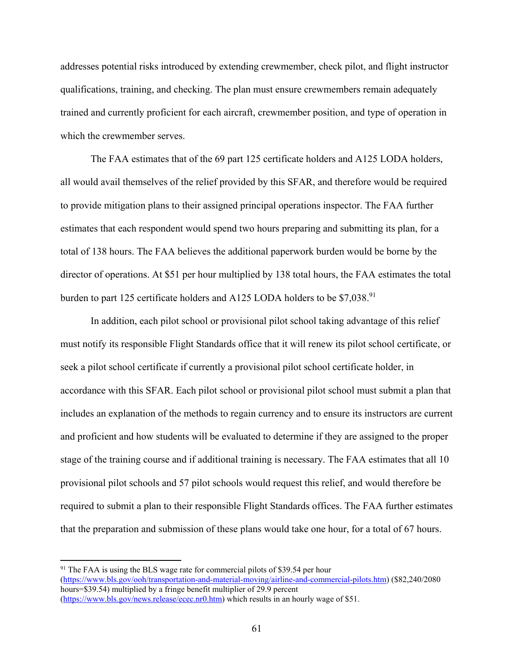addresses potential risks introduced by extending crewmember, check pilot, and flight instructor qualifications, training, and checking. The plan must ensure crewmembers remain adequately trained and currently proficient for each aircraft, crewmember position, and type of operation in which the crewmember serves.

The FAA estimates that of the 69 part 125 certificate holders and A125 LODA holders, all would avail themselves of the relief provided by this SFAR, and therefore would be required to provide mitigation plans to their assigned principal operations inspector. The FAA further estimates that each respondent would spend two hours preparing and submitting its plan, for a total of 138 hours. The FAA believes the additional paperwork burden would be borne by the director of operations. At \$51 per hour multiplied by 138 total hours, the FAA estimates the total burden to part 125 certificate holders and A125 LODA holders to be  $$7,038.<sup>91</sup>$ 

In addition, each pilot school or provisional pilot school taking advantage of this relief must notify its responsible Flight Standards office that it will renew its pilot school certificate, or seek a pilot school certificate if currently a provisional pilot school certificate holder, in accordance with this SFAR. Each pilot school or provisional pilot school must submit a plan that includes an explanation of the methods to regain currency and to ensure its instructors are current and proficient and how students will be evaluated to determine if they are assigned to the proper stage of the training course and if additional training is necessary. The FAA estimates that all 10 provisional pilot schools and 57 pilot schools would request this relief, and would therefore be required to submit a plan to their responsible Flight Standards offices. The FAA further estimates that the preparation and submission of these plans would take one hour, for a total of 67 hours.

 $91$  The FAA is using the BLS wage rate for commercial pilots of \$39.54 per hour (https://www.bls.gov/ooh/transportation-and-material-moving/airline-and-commercial-pilots.htm) (\$82,240/2080 hours=\$39.54) multiplied by a fringe benefit multiplier of 29.9 percent

<sup>(</sup>https://www.bls.gov/news.release/ecec.nr0.htm) which results in an hourly wage of \$51.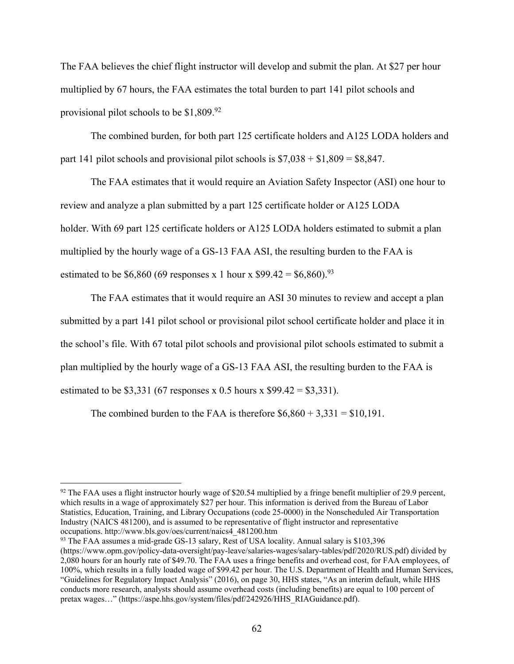The FAA believes the chief flight instructor will develop and submit the plan. At \$27 per hour multiplied by 67 hours, the FAA estimates the total burden to part 141 pilot schools and provisional pilot schools to be  $$1,809.<sup>92</sup>$ 

The combined burden, for both part 125 certificate holders and A125 LODA holders and part 141 pilot schools and provisional pilot schools is  $$7,038 + $1,809 = $8,847$ .

The FAA estimates that it would require an Aviation Safety Inspector (ASI) one hour to review and analyze a plan submitted by a part 125 certificate holder or A125 LODA holder. With 69 part 125 certificate holders or A125 LODA holders estimated to submit a plan multiplied by the hourly wage of a GS-13 FAA ASI, the resulting burden to the FAA is estimated to be \$6,860 (69 responses x 1 hour x \$99.42 = \$6,860).<sup>93</sup>

The FAA estimates that it would require an ASI 30 minutes to review and accept a plan submitted by a part 141 pilot school or provisional pilot school certificate holder and place it in the school's file. With 67 total pilot schools and provisional pilot schools estimated to submit a plan multiplied by the hourly wage of a GS-13 FAA ASI, the resulting burden to the FAA is estimated to be \$3,331 (67 responses x 0.5 hours x \$99.42 = \$3,331).

The combined burden to the FAA is therefore  $$6,860 + 3,331 = $10,191$ .

<u>.</u>

 $92$  The FAA uses a flight instructor hourly wage of \$20.54 multiplied by a fringe benefit multiplier of 29.9 percent, which results in a wage of approximately \$27 per hour. This information is derived from the Bureau of Labor Statistics, Education, Training, and Library Occupations (code 25-0000) in the Nonscheduled Air Transportation Industry (NAICS 481200), and is assumed to be representative of flight instructor and representative occupations. http://www.bls.gov/oes/current/naics4\_481200.htm

<sup>93</sup> The FAA assumes a mid-grade GS-13 salary, Rest of USA locality. Annual salary is \$103,396 (https://www.opm.gov/policy-data-oversight/pay-leave/salaries-wages/salary-tables/pdf/2020/RUS.pdf) divided by 2,080 hours for an hourly rate of \$49.70. The FAA uses a fringe benefits and overhead cost, for FAA employees, of 100%, which results in a fully loaded wage of \$99.42 per hour. The U.S. Department of Health and Human Services, "Guidelines for Regulatory Impact Analysis" (2016), on page 30, HHS states, "As an interim default, while HHS conducts more research, analysts should assume overhead costs (including benefits) are equal to 100 percent of pretax wages..." (https://aspe.hhs.gov/system/files/pdf/242926/HHS\_RIAGuidance.pdf).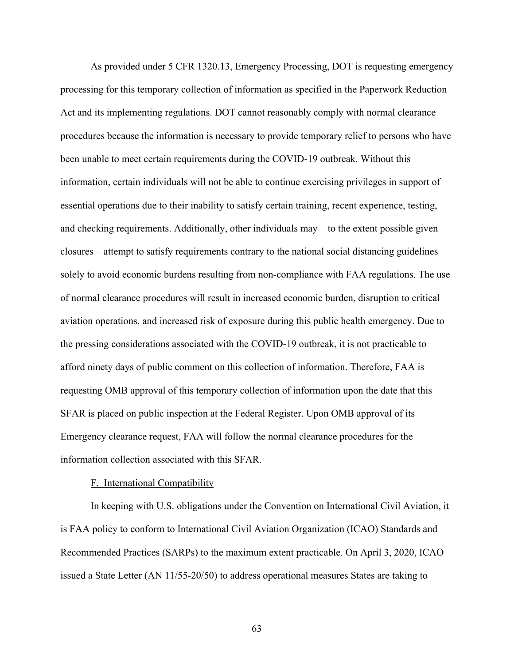As provided under 5 CFR 1320.13, Emergency Processing, DOT is requesting emergency processing for this temporary collection of information as specified in the Paperwork Reduction Act and its implementing regulations. DOT cannot reasonably comply with normal clearance procedures because the information is necessary to provide temporary relief to persons who have been unable to meet certain requirements during the COVID-19 outbreak. Without this information, certain individuals will not be able to continue exercising privileges in support of essential operations due to their inability to satisfy certain training, recent experience, testing, and checking requirements. Additionally, other individuals may – to the extent possible given closures – attempt to satisfy requirements contrary to the national social distancing guidelines solely to avoid economic burdens resulting from non-compliance with FAA regulations. The use of normal clearance procedures will result in increased economic burden, disruption to critical aviation operations, and increased risk of exposure during this public health emergency. Due to the pressing considerations associated with the COVID-19 outbreak, it is not practicable to afford ninety days of public comment on this collection of information. Therefore, FAA is requesting OMB approval of this temporary collection of information upon the date that this SFAR is placed on public inspection at the Federal Register. Upon OMB approval of its Emergency clearance request, FAA will follow the normal clearance procedures for the information collection associated with this SFAR.

#### F. International Compatibility

In keeping with U.S. obligations under the Convention on International Civil Aviation, it is FAA policy to conform to International Civil Aviation Organization (ICAO) Standards and Recommended Practices (SARPs) to the maximum extent practicable. On April 3, 2020, ICAO issued a State Letter (AN 11/55-20/50) to address operational measures States are taking to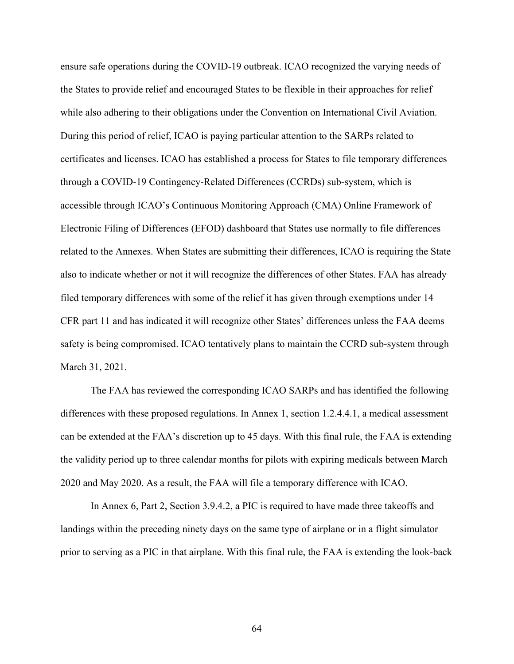ensure safe operations during the COVID-19 outbreak. ICAO recognized the varying needs of the States to provide relief and encouraged States to be flexible in their approaches for relief while also adhering to their obligations under the Convention on International Civil Aviation. During this period of relief, ICAO is paying particular attention to the SARPs related to certificates and licenses. ICAO has established a process for States to file temporary differences through a COVID-19 Contingency-Related Differences (CCRDs) sub-system, which is accessible through ICAO's Continuous Monitoring Approach (CMA) Online Framework of Electronic Filing of Differences (EFOD) dashboard that States use normally to file differences related to the Annexes. When States are submitting their differences, ICAO is requiring the State also to indicate whether or not it will recognize the differences of other States. FAA has already filed temporary differences with some of the relief it has given through exemptions under 14 CFR part 11 and has indicated it will recognize other States' differences unless the FAA deems safety is being compromised. ICAO tentatively plans to maintain the CCRD sub-system through March 31, 2021.

The FAA has reviewed the corresponding ICAO SARPs and has identified the following differences with these proposed regulations. In Annex 1, section 1.2.4.4.1, a medical assessment can be extended at the FAA's discretion up to 45 days. With this final rule, the FAA is extending the validity period up to three calendar months for pilots with expiring medicals between March 2020 and May 2020. As a result, the FAA will file a temporary difference with ICAO.

In Annex 6, Part 2, Section 3.9.4.2, a PIC is required to have made three takeoffs and landings within the preceding ninety days on the same type of airplane or in a flight simulator prior to serving as a PIC in that airplane. With this final rule, the FAA is extending the look-back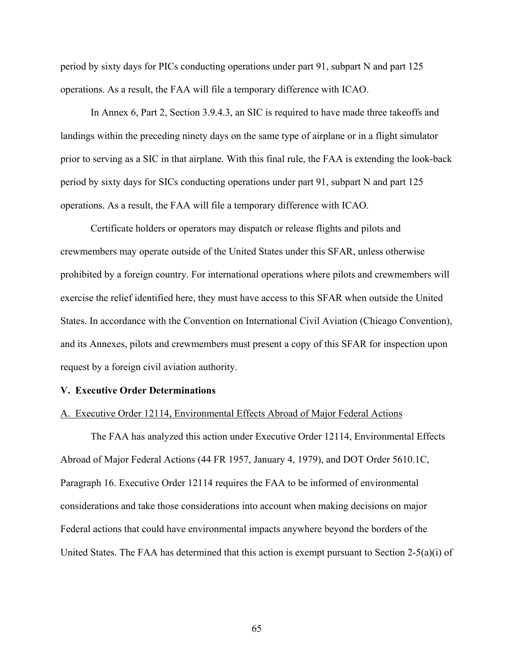period by sixty days for PICs conducting operations under part 91, subpart N and part 125 operations. As a result, the FAA will file a temporary difference with ICAO.

In Annex 6, Part 2, Section 3.9.4.3, an SIC is required to have made three takeoffs and landings within the preceding ninety days on the same type of airplane or in a flight simulator prior to serving as a SIC in that airplane. With this final rule, the FAA is extending the look-back period by sixty days for SICs conducting operations under part 91, subpart N and part 125 operations. As a result, the FAA will file a temporary difference with ICAO.

Certificate holders or operators may dispatch or release flights and pilots and crewmembers may operate outside of the United States under this SFAR, unless otherwise prohibited by a foreign country. For international operations where pilots and crewmembers will exercise the relief identified here, they must have access to this SFAR when outside the United States. In accordance with the Convention on International Civil Aviation (Chicago Convention), and its Annexes, pilots and crewmembers must present a copy of this SFAR for inspection upon request by a foreign civil aviation authority.

#### **V. Executive Order Determinations**

#### A. Executive Order 12114, Environmental Effects Abroad of Major Federal Actions

The FAA has analyzed this action under Executive Order 12114, Environmental Effects Abroad of Major Federal Actions (44 FR 1957, January 4, 1979), and DOT Order 5610.1C, Paragraph 16. Executive Order 12114 requires the FAA to be informed of environmental considerations and take those considerations into account when making decisions on major Federal actions that could have environmental impacts anywhere beyond the borders of the United States. The FAA has determined that this action is exempt pursuant to Section 2-5(a)(i) of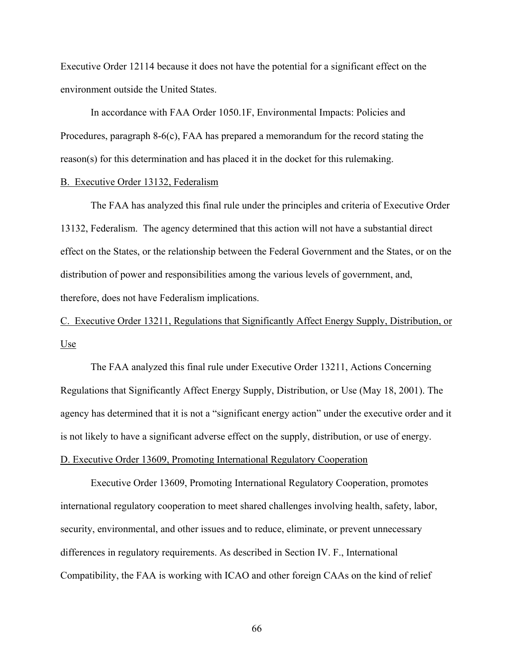Executive Order 12114 because it does not have the potential for a significant effect on the environment outside the United States.

In accordance with FAA Order 1050.1F, Environmental Impacts: Policies and Procedures, paragraph 8-6(c), FAA has prepared a memorandum for the record stating the reason(s) for this determination and has placed it in the docket for this rulemaking.

### B. Executive Order 13132, Federalism

The FAA has analyzed this final rule under the principles and criteria of Executive Order 13132, Federalism. The agency determined that this action will not have a substantial direct effect on the States, or the relationship between the Federal Government and the States, or on the distribution of power and responsibilities among the various levels of government, and, therefore, does not have Federalism implications.

C. Executive Order 13211, Regulations that Significantly Affect Energy Supply, Distribution, or Use

 The FAA analyzed this final rule under Executive Order 13211, Actions Concerning Regulations that Significantly Affect Energy Supply, Distribution, or Use (May 18, 2001). The agency has determined that it is not a "significant energy action" under the executive order and it is not likely to have a significant adverse effect on the supply, distribution, or use of energy. D. Executive Order 13609, Promoting International Regulatory Cooperation

Executive Order 13609, Promoting International Regulatory Cooperation, promotes international regulatory cooperation to meet shared challenges involving health, safety, labor, security, environmental, and other issues and to reduce, eliminate, or prevent unnecessary differences in regulatory requirements. As described in Section IV. F., International Compatibility, the FAA is working with ICAO and other foreign CAAs on the kind of relief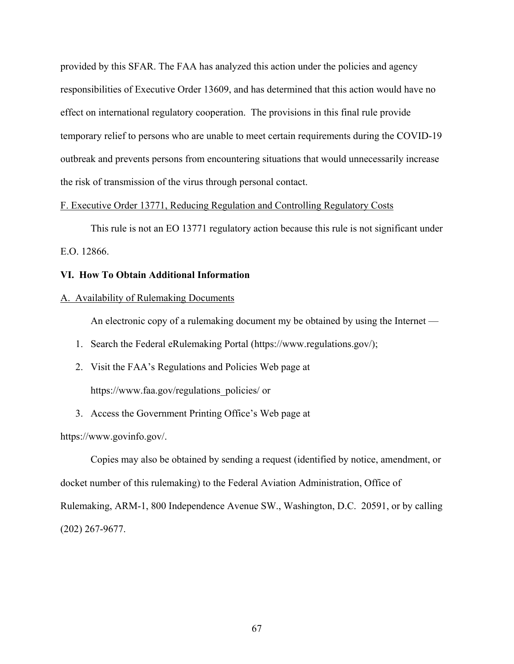provided by this SFAR. The FAA has analyzed this action under the policies and agency responsibilities of Executive Order 13609, and has determined that this action would have no effect on international regulatory cooperation. The provisions in this final rule provide temporary relief to persons who are unable to meet certain requirements during the COVID-19 outbreak and prevents persons from encountering situations that would unnecessarily increase the risk of transmission of the virus through personal contact.

### F. Executive Order 13771, Reducing Regulation and Controlling Regulatory Costs

This rule is not an EO 13771 regulatory action because this rule is not significant under E.O. 12866.

### **VI. How To Obtain Additional Information**

#### A. Availability of Rulemaking Documents

An electronic copy of a rulemaking document my be obtained by using the Internet —

- 1. Search the Federal eRulemaking Portal (https://www.regulations.gov/);
- 2. Visit the FAA's Regulations and Policies Web page at https://www.faa.gov/regulations\_policies/ or
- 3. Access the Government Printing Office's Web page at

https://www.govinfo.gov/.

Copies may also be obtained by sending a request (identified by notice, amendment, or docket number of this rulemaking) to the Federal Aviation Administration, Office of Rulemaking, ARM-1, 800 Independence Avenue SW., Washington, D.C. 20591, or by calling (202) 267-9677.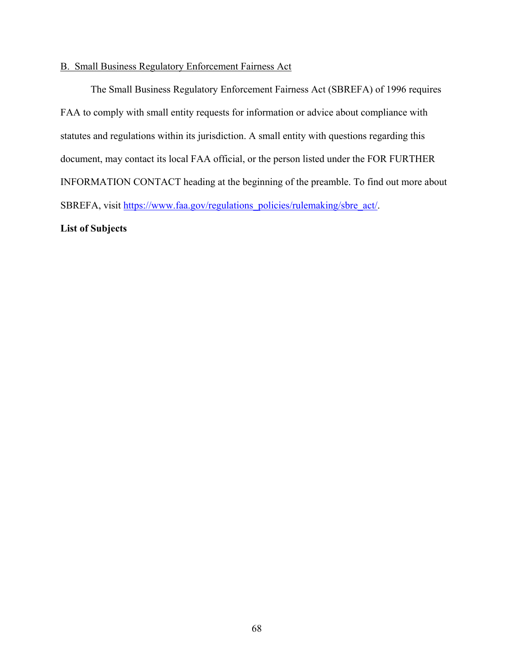### B. Small Business Regulatory Enforcement Fairness Act

 The Small Business Regulatory Enforcement Fairness Act (SBREFA) of 1996 requires FAA to comply with small entity requests for information or advice about compliance with statutes and regulations within its jurisdiction. A small entity with questions regarding this document, may contact its local FAA official, or the person listed under the FOR FURTHER INFORMATION CONTACT heading at the beginning of the preamble. To find out more about SBREFA, visit https://www.faa.gov/regulations\_policies/rulemaking/sbre\_act/.

# **List of Subjects**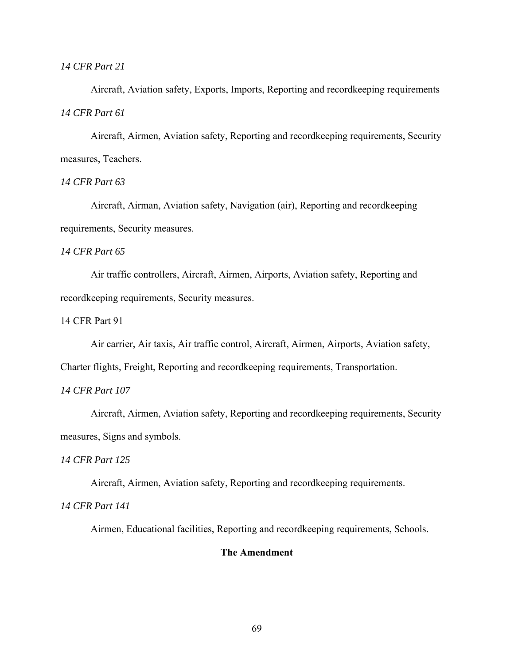### *14 CFR Part 21*

Aircraft, Aviation safety, Exports, Imports, Reporting and recordkeeping requirements *14 CFR Part 61* 

 Aircraft, Airmen, Aviation safety, Reporting and recordkeeping requirements, Security measures, Teachers.

### *14 CFR Part 63*

Aircraft, Airman, Aviation safety, Navigation (air), Reporting and recordkeeping requirements, Security measures.

### *14 CFR Part 65*

Air traffic controllers, Aircraft, Airmen, Airports, Aviation safety, Reporting and recordkeeping requirements, Security measures.

14 CFR Part 91

Air carrier, Air taxis, Air traffic control, Aircraft, Airmen, Airports, Aviation safety,

Charter flights, Freight, Reporting and recordkeeping requirements, Transportation.

### *14 CFR Part 107*

Aircraft, Airmen, Aviation safety, Reporting and recordkeeping requirements, Security measures, Signs and symbols.

### *14 CFR Part 125*

Aircraft, Airmen, Aviation safety, Reporting and recordkeeping requirements.

*14 CFR Part 141* 

Airmen, Educational facilities, Reporting and recordkeeping requirements, Schools.

### **The Amendment**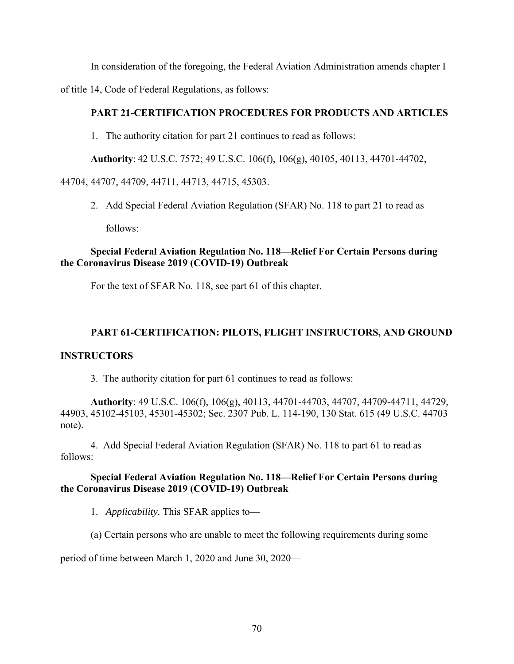In consideration of the foregoing, the Federal Aviation Administration amends chapter I

of title 14, Code of Federal Regulations, as follows:

# **PART 21-CERTIFICATION PROCEDURES FOR PRODUCTS AND ARTICLES**

1. The authority citation for part 21 continues to read as follows:

**Authority**: 42 U.S.C. 7572; 49 U.S.C. 106(f), 106(g), 40105, 40113, 44701-44702,

44704, 44707, 44709, 44711, 44713, 44715, 45303.

2. Add Special Federal Aviation Regulation (SFAR) No. 118 to part 21 to read as follows:

# **Special Federal Aviation Regulation No. 118—Relief For Certain Persons during the Coronavirus Disease 2019 (COVID-19) Outbreak**

For the text of SFAR No. 118, see part 61 of this chapter.

# **PART 61-CERTIFICATION: PILOTS, FLIGHT INSTRUCTORS, AND GROUND**

# **INSTRUCTORS**

3. The authority citation for part 61 continues to read as follows:

**Authority**: 49 U.S.C. 106(f), 106(g), 40113, 44701-44703, 44707, 44709-44711, 44729, 44903, 45102-45103, 45301-45302; Sec. 2307 Pub. L. 114-190, 130 Stat. 615 (49 U.S.C. 44703 note).

4. Add Special Federal Aviation Regulation (SFAR) No. 118 to part 61 to read as follows:

# **Special Federal Aviation Regulation No. 118—Relief For Certain Persons during the Coronavirus Disease 2019 (COVID-19) Outbreak**

1. *Applicability.* This SFAR applies to—

(a) Certain persons who are unable to meet the following requirements during some

period of time between March 1, 2020 and June 30, 2020—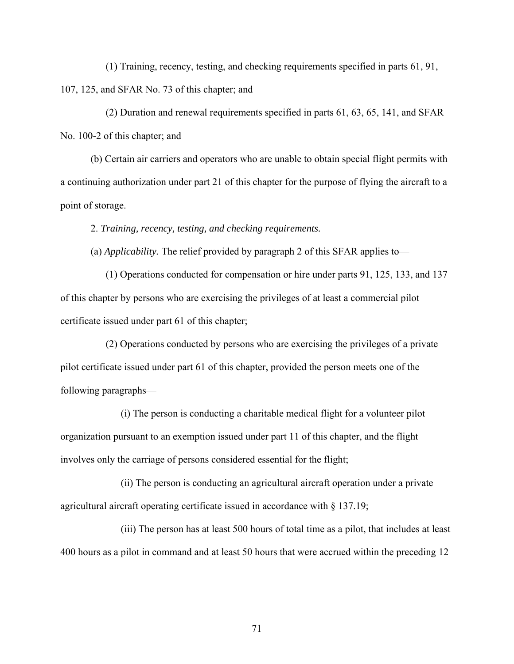(1) Training, recency, testing, and checking requirements specified in parts 61, 91, 107, 125, and SFAR No. 73 of this chapter; and

(2) Duration and renewal requirements specified in parts 61, 63, 65, 141, and SFAR No. 100-2 of this chapter; and

(b) Certain air carriers and operators who are unable to obtain special flight permits with a continuing authorization under part 21 of this chapter for the purpose of flying the aircraft to a point of storage.

2. *Training, recency, testing, and checking requirements.* 

(a) *Applicability.* The relief provided by paragraph 2 of this SFAR applies to—

(1) Operations conducted for compensation or hire under parts 91, 125, 133, and 137 of this chapter by persons who are exercising the privileges of at least a commercial pilot certificate issued under part 61 of this chapter;

(2) Operations conducted by persons who are exercising the privileges of a private pilot certificate issued under part 61 of this chapter, provided the person meets one of the following paragraphs—

(i) The person is conducting a charitable medical flight for a volunteer pilot organization pursuant to an exemption issued under part 11 of this chapter, and the flight involves only the carriage of persons considered essential for the flight;

(ii) The person is conducting an agricultural aircraft operation under a private agricultural aircraft operating certificate issued in accordance with § 137.19;

(iii) The person has at least 500 hours of total time as a pilot, that includes at least 400 hours as a pilot in command and at least 50 hours that were accrued within the preceding 12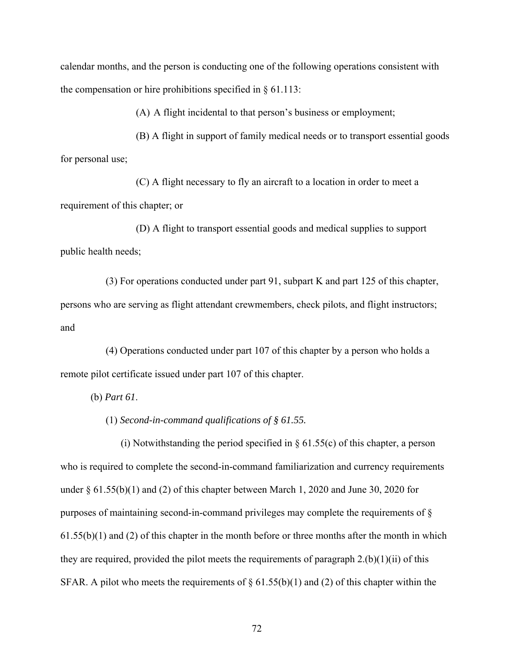calendar months, and the person is conducting one of the following operations consistent with the compensation or hire prohibitions specified in § 61.113:

(A) A flight incidental to that person's business or employment;

(B) A flight in support of family medical needs or to transport essential goods for personal use;

(C) A flight necessary to fly an aircraft to a location in order to meet a requirement of this chapter; or

(D) A flight to transport essential goods and medical supplies to support public health needs;

(3) For operations conducted under part 91, subpart K and part 125 of this chapter, persons who are serving as flight attendant crewmembers, check pilots, and flight instructors; and

(4) Operations conducted under part 107 of this chapter by a person who holds a remote pilot certificate issued under part 107 of this chapter.

(b) *Part 61*.

(1) *Second-in-command qualifications of § 61.55.* 

(i) Notwithstanding the period specified in  $\S$  61.55(c) of this chapter, a person who is required to complete the second-in-command familiarization and currency requirements under  $\S 61.55(b)(1)$  and (2) of this chapter between March 1, 2020 and June 30, 2020 for purposes of maintaining second-in-command privileges may complete the requirements of §  $61.55(b)(1)$  and (2) of this chapter in the month before or three months after the month in which they are required, provided the pilot meets the requirements of paragraph  $2.(b)(1)(ii)$  of this SFAR. A pilot who meets the requirements of  $\S 61.55(b)(1)$  and (2) of this chapter within the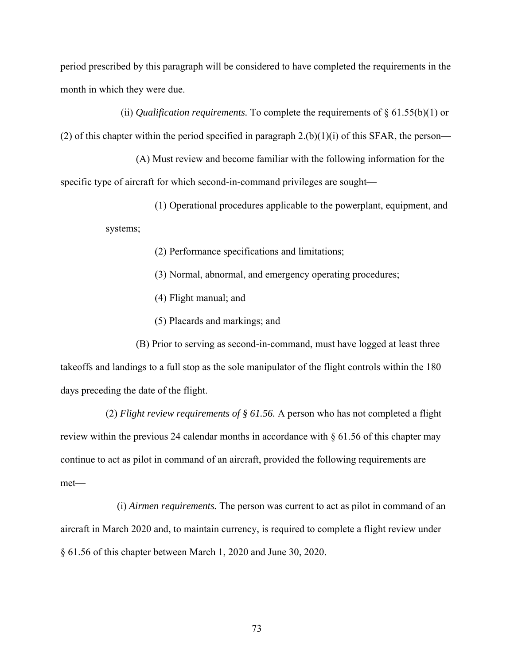period prescribed by this paragraph will be considered to have completed the requirements in the month in which they were due.

(ii) *Qualification requirements.* To complete the requirements of § 61.55(b)(1) or (2) of this chapter within the period specified in paragraph  $2.(b)(1)(i)$  of this SFAR, the person—

(A) Must review and become familiar with the following information for the specific type of aircraft for which second-in-command privileges are sought—

> (1) Operational procedures applicable to the powerplant, equipment, and systems;

> > (2) Performance specifications and limitations;

- (3) Normal, abnormal, and emergency operating procedures;
- (4) Flight manual; and
- (5) Placards and markings; and

(B) Prior to serving as second-in-command, must have logged at least three takeoffs and landings to a full stop as the sole manipulator of the flight controls within the 180 days preceding the date of the flight.

(2) *Flight review requirements of § 61.56.* A person who has not completed a flight review within the previous 24 calendar months in accordance with § 61.56 of this chapter may continue to act as pilot in command of an aircraft, provided the following requirements are met—

(i) *Airmen requirements.* The person was current to act as pilot in command of an aircraft in March 2020 and, to maintain currency, is required to complete a flight review under § 61.56 of this chapter between March 1, 2020 and June 30, 2020.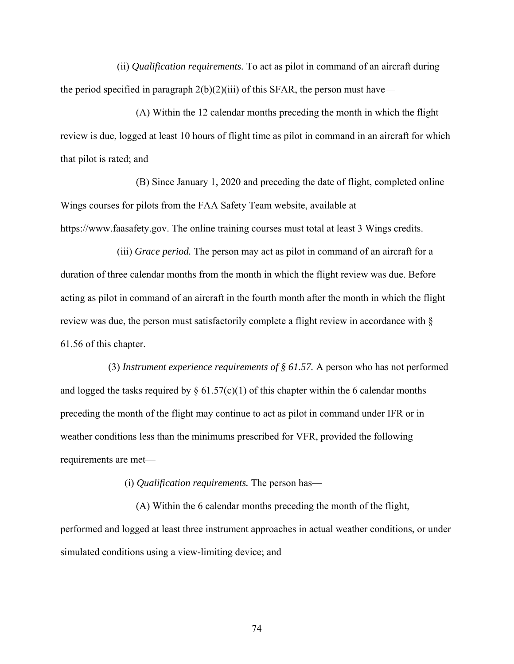(ii) *Qualification requirements.* To act as pilot in command of an aircraft during the period specified in paragraph  $2(b)(2)(iii)$  of this SFAR, the person must have—

(A) Within the 12 calendar months preceding the month in which the flight review is due, logged at least 10 hours of flight time as pilot in command in an aircraft for which that pilot is rated; and

(B) Since January 1, 2020 and preceding the date of flight, completed online Wings courses for pilots from the FAA Safety Team website, available at https://www.faasafety.gov. The online training courses must total at least 3 Wings credits.

(iii) *Grace period.* The person may act as pilot in command of an aircraft for a duration of three calendar months from the month in which the flight review was due. Before acting as pilot in command of an aircraft in the fourth month after the month in which the flight review was due, the person must satisfactorily complete a flight review in accordance with § 61.56 of this chapter.

 (3) *Instrument experience requirements of § 61.57.* A person who has not performed and logged the tasks required by  $\S 61.57(c)(1)$  of this chapter within the 6 calendar months preceding the month of the flight may continue to act as pilot in command under IFR or in weather conditions less than the minimums prescribed for VFR, provided the following requirements are met—

(i) *Qualification requirements.* The person has—

(A) Within the 6 calendar months preceding the month of the flight, performed and logged at least three instrument approaches in actual weather conditions, or under simulated conditions using a view-limiting device; and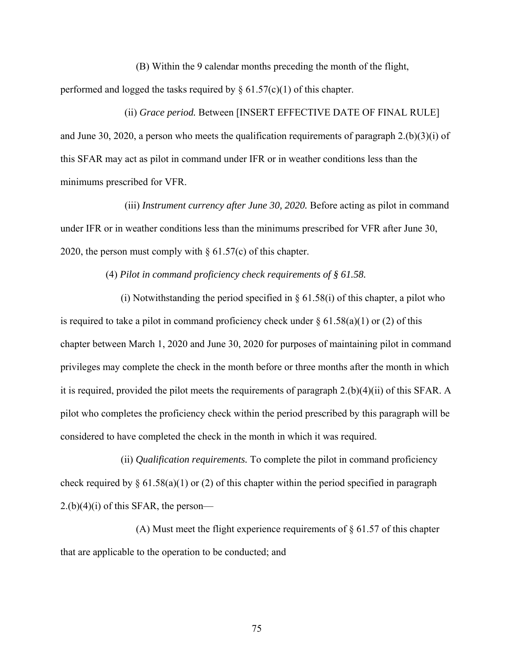(B) Within the 9 calendar months preceding the month of the flight, performed and logged the tasks required by  $\S 61.57(c)(1)$  of this chapter.

(ii) *Grace period.* Between [INSERT EFFECTIVE DATE OF FINAL RULE] and June 30, 2020, a person who meets the qualification requirements of paragraph 2.(b)(3)(i) of this SFAR may act as pilot in command under IFR or in weather conditions less than the minimums prescribed for VFR.

(iii) *Instrument currency after June 30, 2020.* Before acting as pilot in command under IFR or in weather conditions less than the minimums prescribed for VFR after June 30, 2020, the person must comply with  $\S$  61.57(c) of this chapter.

(4) *Pilot in command proficiency check requirements of § 61.58.* 

(i) Notwithstanding the period specified in  $\S$  61.58(i) of this chapter, a pilot who is required to take a pilot in command proficiency check under  $\S 61.58(a)(1)$  or (2) of this chapter between March 1, 2020 and June 30, 2020 for purposes of maintaining pilot in command privileges may complete the check in the month before or three months after the month in which it is required, provided the pilot meets the requirements of paragraph 2.(b)(4)(ii) of this SFAR. A pilot who completes the proficiency check within the period prescribed by this paragraph will be considered to have completed the check in the month in which it was required.

(ii) *Qualification requirements.* To complete the pilot in command proficiency check required by  $\S 61.58(a)(1)$  or (2) of this chapter within the period specified in paragraph  $2.(b)(4)(i)$  of this SFAR, the person—

(A) Must meet the flight experience requirements of  $\S$  61.57 of this chapter that are applicable to the operation to be conducted; and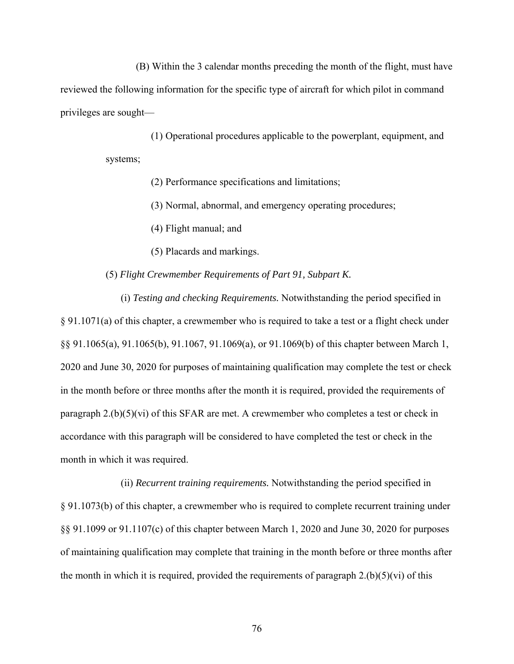(B) Within the 3 calendar months preceding the month of the flight, must have reviewed the following information for the specific type of aircraft for which pilot in command privileges are sought—

(1) Operational procedures applicable to the powerplant, equipment, and systems;

(2) Performance specifications and limitations;

(3) Normal, abnormal, and emergency operating procedures;

(4) Flight manual; and

(5) Placards and markings.

(5) *Flight Crewmember Requirements of Part 91, Subpart K.* 

(i) *Testing and checking Requirements.* Notwithstanding the period specified in § 91.1071(a) of this chapter, a crewmember who is required to take a test or a flight check under §§ 91.1065(a), 91.1065(b), 91.1067, 91.1069(a), or 91.1069(b) of this chapter between March 1, 2020 and June 30, 2020 for purposes of maintaining qualification may complete the test or check in the month before or three months after the month it is required, provided the requirements of paragraph  $2.(b)(5)(vi)$  of this SFAR are met. A crewmember who completes a test or check in accordance with this paragraph will be considered to have completed the test or check in the month in which it was required.

(ii) *Recurrent training requirements.* Notwithstanding the period specified in § 91.1073(b) of this chapter, a crewmember who is required to complete recurrent training under §§ 91.1099 or 91.1107(c) of this chapter between March 1, 2020 and June 30, 2020 for purposes of maintaining qualification may complete that training in the month before or three months after the month in which it is required, provided the requirements of paragraph  $2.(b)(5)(vi)$  of this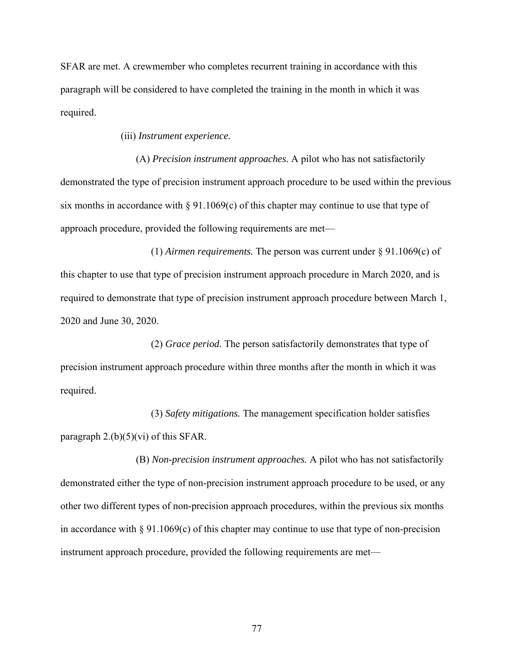SFAR are met. A crewmember who completes recurrent training in accordance with this paragraph will be considered to have completed the training in the month in which it was required.

(iii) *Instrument experience.* 

(A) *Precision instrument approaches.* A pilot who has not satisfactorily demonstrated the type of precision instrument approach procedure to be used within the previous six months in accordance with  $\S 91.1069(c)$  of this chapter may continue to use that type of approach procedure, provided the following requirements are met—

(1) *Airmen requirements.* The person was current under § 91.1069(c) of this chapter to use that type of precision instrument approach procedure in March 2020, and is required to demonstrate that type of precision instrument approach procedure between March 1, 2020 and June 30, 2020.

(2) *Grace period.* The person satisfactorily demonstrates that type of precision instrument approach procedure within three months after the month in which it was required.

(3) *Safety mitigations.* The management specification holder satisfies paragraph  $2.(b)(5)(vi)$  of this SFAR.

(B) *Non-precision instrument approaches.* A pilot who has not satisfactorily demonstrated either the type of non-precision instrument approach procedure to be used, or any other two different types of non-precision approach procedures, within the previous six months in accordance with  $\S 91.1069(c)$  of this chapter may continue to use that type of non-precision instrument approach procedure, provided the following requirements are met—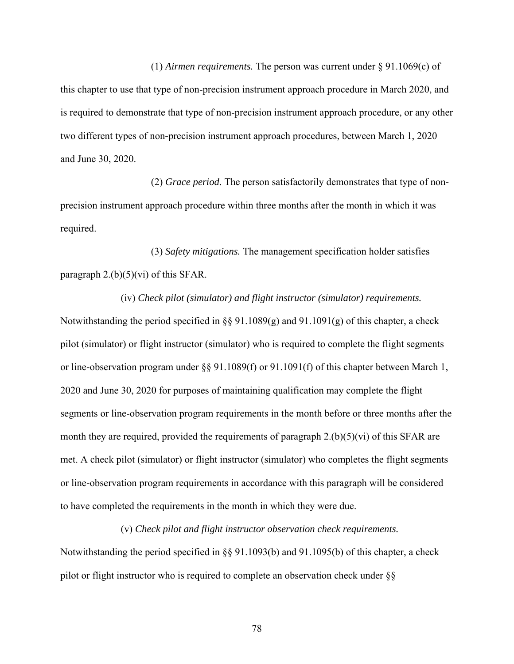(1) *Airmen requirements.* The person was current under § 91.1069(c) of this chapter to use that type of non-precision instrument approach procedure in March 2020, and is required to demonstrate that type of non-precision instrument approach procedure, or any other two different types of non-precision instrument approach procedures, between March 1, 2020 and June 30, 2020.

(2) *Grace period.* The person satisfactorily demonstrates that type of nonprecision instrument approach procedure within three months after the month in which it was required.

(3) *Safety mitigations.* The management specification holder satisfies paragraph  $2.(b)(5)(vi)$  of this SFAR.

(iv) *Check pilot (simulator) and flight instructor (simulator) requirements.*  Notwithstanding the period specified in §§ 91.1089(g) and 91.1091(g) of this chapter, a check pilot (simulator) or flight instructor (simulator) who is required to complete the flight segments or line-observation program under  $\S$ § 91.1089(f) or 91.1091(f) of this chapter between March 1, 2020 and June 30, 2020 for purposes of maintaining qualification may complete the flight segments or line-observation program requirements in the month before or three months after the month they are required, provided the requirements of paragraph 2.(b)(5)(vi) of this SFAR are met. A check pilot (simulator) or flight instructor (simulator) who completes the flight segments or line-observation program requirements in accordance with this paragraph will be considered to have completed the requirements in the month in which they were due.

(v) *Check pilot and flight instructor observation check requirements.* 

Notwithstanding the period specified in §§ 91.1093(b) and 91.1095(b) of this chapter, a check pilot or flight instructor who is required to complete an observation check under §§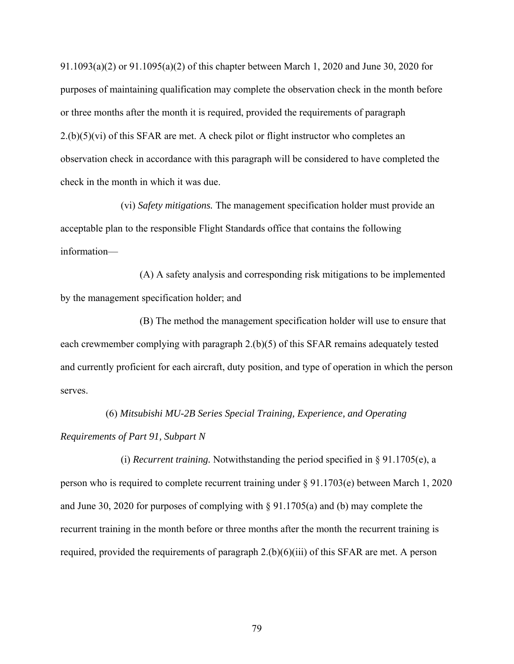91.1093(a)(2) or 91.1095(a)(2) of this chapter between March 1, 2020 and June 30, 2020 for purposes of maintaining qualification may complete the observation check in the month before or three months after the month it is required, provided the requirements of paragraph  $2.(b)(5)(vi)$  of this SFAR are met. A check pilot or flight instructor who completes an observation check in accordance with this paragraph will be considered to have completed the check in the month in which it was due.

(vi) *Safety mitigations.* The management specification holder must provide an acceptable plan to the responsible Flight Standards office that contains the following information—

(A) A safety analysis and corresponding risk mitigations to be implemented by the management specification holder; and

(B) The method the management specification holder will use to ensure that each crewmember complying with paragraph 2.(b)(5) of this SFAR remains adequately tested and currently proficient for each aircraft, duty position, and type of operation in which the person serves.

(6) *Mitsubishi MU-2B Series Special Training, Experience, and Operating* 

*Requirements of Part 91, Subpart N*

(i) *Recurrent training.* Notwithstanding the period specified in § 91.1705(e), a person who is required to complete recurrent training under § 91.1703(e) between March 1, 2020 and June 30, 2020 for purposes of complying with § 91.1705(a) and (b) may complete the recurrent training in the month before or three months after the month the recurrent training is required, provided the requirements of paragraph 2.(b)(6)(iii) of this SFAR are met. A person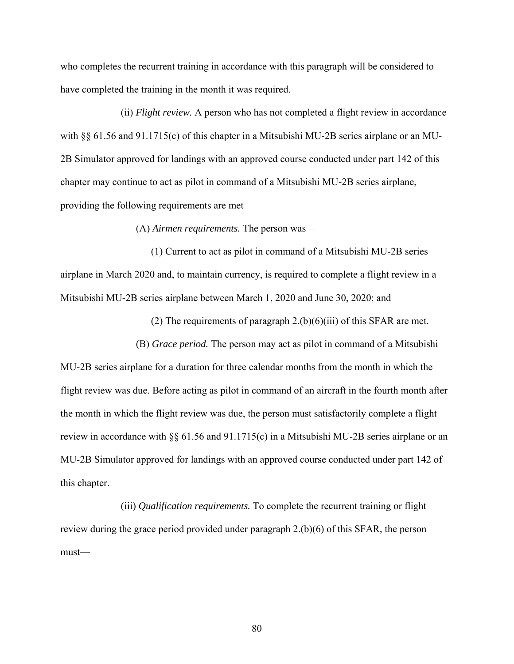who completes the recurrent training in accordance with this paragraph will be considered to have completed the training in the month it was required.

(ii) *Flight review.* A person who has not completed a flight review in accordance with §§ 61.56 and 91.1715(c) of this chapter in a Mitsubishi MU-2B series airplane or an MU-2B Simulator approved for landings with an approved course conducted under part 142 of this chapter may continue to act as pilot in command of a Mitsubishi MU-2B series airplane, providing the following requirements are met—

(A) *Airmen requirements.* The person was—

(1) Current to act as pilot in command of a Mitsubishi MU-2B series airplane in March 2020 and, to maintain currency, is required to complete a flight review in a Mitsubishi MU-2B series airplane between March 1, 2020 and June 30, 2020; and

(2) The requirements of paragraph  $2.(b)(6)(iii)$  of this SFAR are met.

(B) *Grace period.* The person may act as pilot in command of a Mitsubishi MU-2B series airplane for a duration for three calendar months from the month in which the flight review was due. Before acting as pilot in command of an aircraft in the fourth month after the month in which the flight review was due, the person must satisfactorily complete a flight review in accordance with §§ 61.56 and 91.1715(c) in a Mitsubishi MU-2B series airplane or an MU-2B Simulator approved for landings with an approved course conducted under part 142 of this chapter.

(iii) *Qualification requirements.* To complete the recurrent training or flight review during the grace period provided under paragraph 2.(b)(6) of this SFAR, the person must—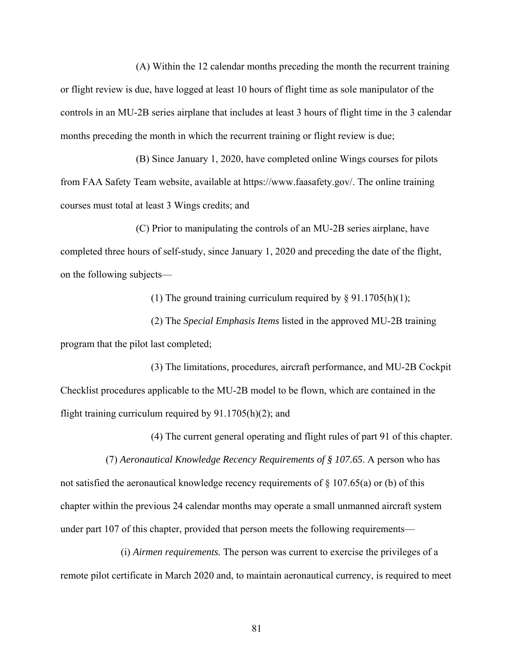(A) Within the 12 calendar months preceding the month the recurrent training or flight review is due, have logged at least 10 hours of flight time as sole manipulator of the controls in an MU-2B series airplane that includes at least 3 hours of flight time in the 3 calendar months preceding the month in which the recurrent training or flight review is due;

(B) Since January 1, 2020, have completed online Wings courses for pilots from FAA Safety Team website, available at https://www.faasafety.gov/. The online training courses must total at least 3 Wings credits; and

(C) Prior to manipulating the controls of an MU-2B series airplane, have completed three hours of self-study, since January 1, 2020 and preceding the date of the flight, on the following subjects—

(1) The ground training curriculum required by  $\S 91.1705(h)(1);$ 

(2) The *Special Emphasis Items* listed in the approved MU-2B training program that the pilot last completed;

(3) The limitations, procedures, aircraft performance, and MU-2B Cockpit Checklist procedures applicable to the MU-2B model to be flown, which are contained in the flight training curriculum required by 91.1705(h)(2); and

(4) The current general operating and flight rules of part 91 of this chapter.

(7) *Aeronautical Knowledge Recency Requirements of § 107.65*. A person who has not satisfied the aeronautical knowledge recency requirements of  $\S$  107.65(a) or (b) of this chapter within the previous 24 calendar months may operate a small unmanned aircraft system under part 107 of this chapter, provided that person meets the following requirements—

(i) *Airmen requirements.* The person was current to exercise the privileges of a remote pilot certificate in March 2020 and, to maintain aeronautical currency, is required to meet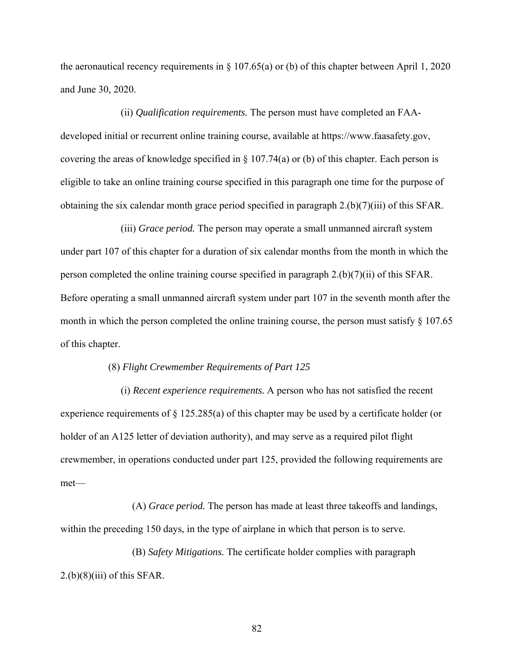the aeronautical recency requirements in  $\S 107.65(a)$  or (b) of this chapter between April 1, 2020 and June 30, 2020.

(ii) *Qualification requirements.* The person must have completed an FAAdeveloped initial or recurrent online training course, available at https://www.faasafety.gov, covering the areas of knowledge specified in § 107.74(a) or (b) of this chapter. Each person is eligible to take an online training course specified in this paragraph one time for the purpose of obtaining the six calendar month grace period specified in paragraph 2.(b)(7)(iii) of this SFAR.

(iii) *Grace period.* The person may operate a small unmanned aircraft system under part 107 of this chapter for a duration of six calendar months from the month in which the person completed the online training course specified in paragraph 2.(b)(7)(ii) of this SFAR. Before operating a small unmanned aircraft system under part 107 in the seventh month after the month in which the person completed the online training course, the person must satisfy  $\S 107.65$ of this chapter.

#### (8) *Flight Crewmember Requirements of Part 125*

(i) *Recent experience requirements.* A person who has not satisfied the recent experience requirements of § 125.285(a) of this chapter may be used by a certificate holder (or holder of an A125 letter of deviation authority), and may serve as a required pilot flight crewmember, in operations conducted under part 125, provided the following requirements are met—

(A) *Grace period.* The person has made at least three takeoffs and landings, within the preceding 150 days, in the type of airplane in which that person is to serve.

(B) *Safety Mitigations.* The certificate holder complies with paragraph  $2.(b)(8)(iii)$  of this SFAR.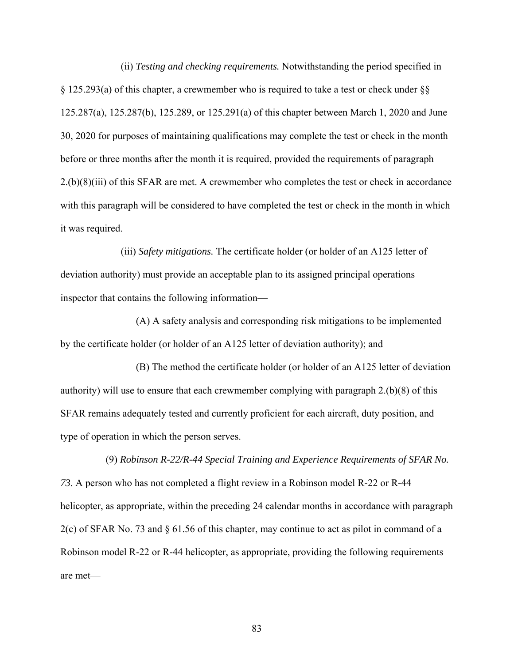(ii) *Testing and checking requirements.* Notwithstanding the period specified in § 125.293(a) of this chapter, a crewmember who is required to take a test or check under §§ 125.287(a), 125.287(b), 125.289, or 125.291(a) of this chapter between March 1, 2020 and June 30, 2020 for purposes of maintaining qualifications may complete the test or check in the month before or three months after the month it is required, provided the requirements of paragraph 2.(b)(8)(iii) of this SFAR are met. A crewmember who completes the test or check in accordance with this paragraph will be considered to have completed the test or check in the month in which it was required.

(iii) *Safety mitigations.* The certificate holder (or holder of an A125 letter of deviation authority) must provide an acceptable plan to its assigned principal operations inspector that contains the following information—

(A) A safety analysis and corresponding risk mitigations to be implemented by the certificate holder (or holder of an A125 letter of deviation authority); and

(B) The method the certificate holder (or holder of an A125 letter of deviation authority) will use to ensure that each crewmember complying with paragraph 2.(b)(8) of this SFAR remains adequately tested and currently proficient for each aircraft, duty position, and type of operation in which the person serves.

(9) *Robinson R-22/R-44 Special Training and Experience Requirements of SFAR No. 73*. A person who has not completed a flight review in a Robinson model R-22 or R-44 helicopter, as appropriate, within the preceding 24 calendar months in accordance with paragraph 2(c) of SFAR No. 73 and § 61.56 of this chapter, may continue to act as pilot in command of a Robinson model R-22 or R-44 helicopter, as appropriate, providing the following requirements are met—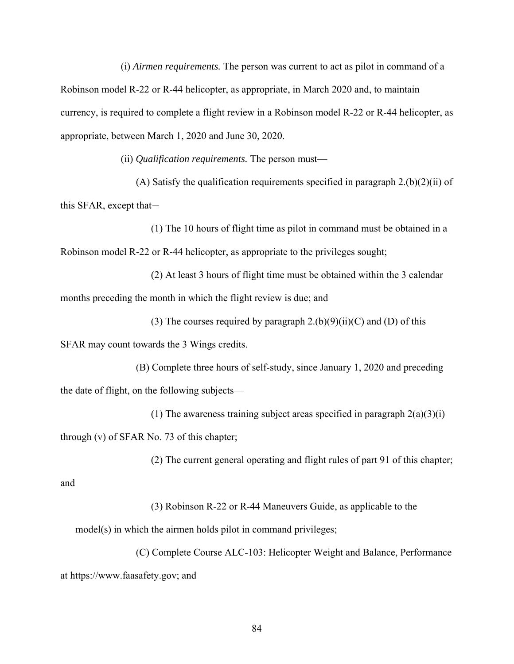(i) *Airmen requirements.* The person was current to act as pilot in command of a Robinson model R-22 or R-44 helicopter, as appropriate, in March 2020 and, to maintain currency, is required to complete a flight review in a Robinson model R-22 or R-44 helicopter, as appropriate, between March 1, 2020 and June 30, 2020.

(ii) *Qualification requirements.* The person must—

(A) Satisfy the qualification requirements specified in paragraph  $2.(b)(2)(ii)$  of this SFAR, except that—

(1) The 10 hours of flight time as pilot in command must be obtained in a Robinson model R-22 or R-44 helicopter, as appropriate to the privileges sought;

(2) At least 3 hours of flight time must be obtained within the 3 calendar months preceding the month in which the flight review is due; and

(3) The courses required by paragraph  $2.(b)(9)(ii)(C)$  and (D) of this

SFAR may count towards the 3 Wings credits.

(B) Complete three hours of self-study, since January 1, 2020 and preceding the date of flight, on the following subjects—

(1) The awareness training subject areas specified in paragraph  $2(a)(3)(i)$ 

through (v) of SFAR No. 73 of this chapter;

(2) The current general operating and flight rules of part 91 of this chapter;

and

(3) Robinson R-22 or R-44 Maneuvers Guide, as applicable to the

model(s) in which the airmen holds pilot in command privileges;

(C) Complete Course ALC-103: Helicopter Weight and Balance, Performance at https://www.faasafety.gov; and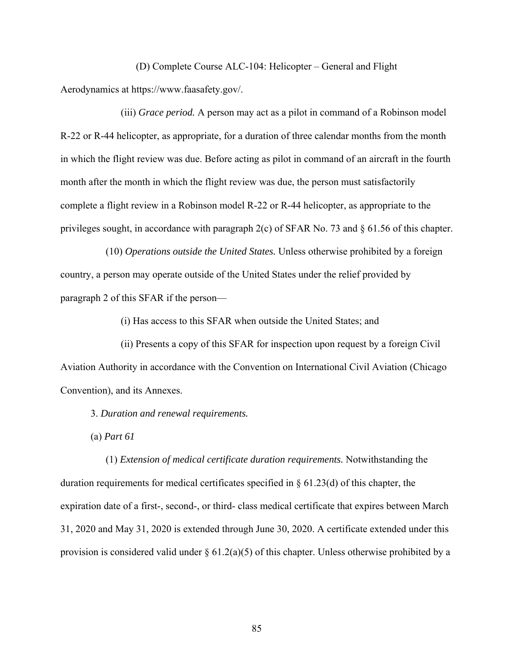(D) Complete Course ALC-104: Helicopter – General and Flight Aerodynamics at https://www.faasafety.gov/.

(iii) *Grace period.* A person may act as a pilot in command of a Robinson model R-22 or R-44 helicopter, as appropriate, for a duration of three calendar months from the month in which the flight review was due. Before acting as pilot in command of an aircraft in the fourth month after the month in which the flight review was due, the person must satisfactorily complete a flight review in a Robinson model R-22 or R-44 helicopter, as appropriate to the privileges sought, in accordance with paragraph 2(c) of SFAR No. 73 and § 61.56 of this chapter.

(10) *Operations outside the United States.* Unless otherwise prohibited by a foreign country, a person may operate outside of the United States under the relief provided by paragraph 2 of this SFAR if the person—

(i) Has access to this SFAR when outside the United States; and

(ii) Presents a copy of this SFAR for inspection upon request by a foreign Civil Aviation Authority in accordance with the Convention on International Civil Aviation (Chicago Convention), and its Annexes.

3. *Duration and renewal requirements.* 

(a) *Part 61* 

(1) *Extension of medical certificate duration requirements.* Notwithstanding the duration requirements for medical certificates specified in § 61.23(d) of this chapter, the expiration date of a first-, second-, or third- class medical certificate that expires between March 31, 2020 and May 31, 2020 is extended through June 30, 2020. A certificate extended under this provision is considered valid under  $\S 61.2(a)(5)$  of this chapter. Unless otherwise prohibited by a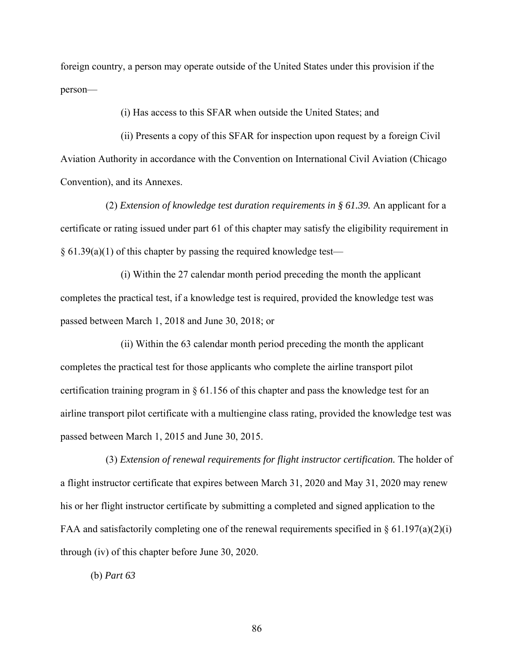foreign country, a person may operate outside of the United States under this provision if the person—

(i) Has access to this SFAR when outside the United States; and

(ii) Presents a copy of this SFAR for inspection upon request by a foreign Civil Aviation Authority in accordance with the Convention on International Civil Aviation (Chicago Convention), and its Annexes.

(2) *Extension of knowledge test duration requirements in § 61.39.* An applicant for a certificate or rating issued under part 61 of this chapter may satisfy the eligibility requirement in  $\S$  61.39(a)(1) of this chapter by passing the required knowledge test—

(i) Within the 27 calendar month period preceding the month the applicant completes the practical test, if a knowledge test is required, provided the knowledge test was passed between March 1, 2018 and June 30, 2018; or

(ii) Within the 63 calendar month period preceding the month the applicant completes the practical test for those applicants who complete the airline transport pilot certification training program in § 61.156 of this chapter and pass the knowledge test for an airline transport pilot certificate with a multiengine class rating, provided the knowledge test was passed between March 1, 2015 and June 30, 2015.

(3) *Extension of renewal requirements for flight instructor certification.* The holder of a flight instructor certificate that expires between March 31, 2020 and May 31, 2020 may renew his or her flight instructor certificate by submitting a completed and signed application to the FAA and satisfactorily completing one of the renewal requirements specified in  $\S 61.197(a)(2)(i)$ through (iv) of this chapter before June 30, 2020.

(b) *Part 63*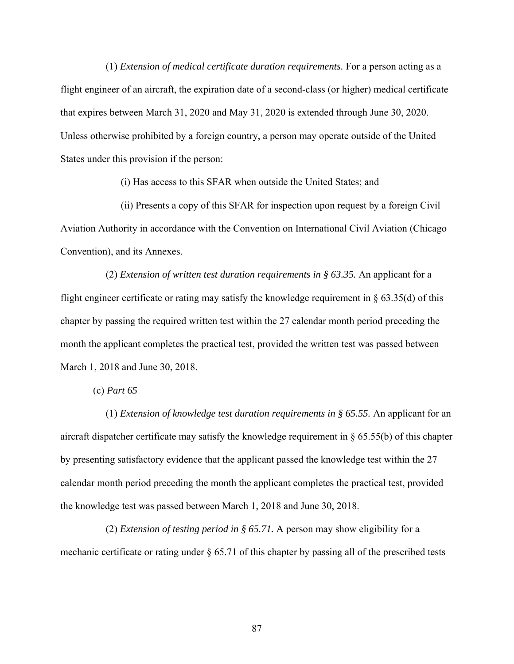(1) *Extension of medical certificate duration requirements.* For a person acting as a flight engineer of an aircraft, the expiration date of a second-class (or higher) medical certificate that expires between March 31, 2020 and May 31, 2020 is extended through June 30, 2020. Unless otherwise prohibited by a foreign country, a person may operate outside of the United States under this provision if the person:

(i) Has access to this SFAR when outside the United States; and

(ii) Presents a copy of this SFAR for inspection upon request by a foreign Civil Aviation Authority in accordance with the Convention on International Civil Aviation (Chicago Convention), and its Annexes.

(2) *Extension of written test duration requirements in § 63.35.* An applicant for a flight engineer certificate or rating may satisfy the knowledge requirement in  $\S$  63.35(d) of this chapter by passing the required written test within the 27 calendar month period preceding the month the applicant completes the practical test, provided the written test was passed between March 1, 2018 and June 30, 2018.

(c) *Part 65* 

(1) *Extension of knowledge test duration requirements in § 65.55.* An applicant for an aircraft dispatcher certificate may satisfy the knowledge requirement in § 65.55(b) of this chapter by presenting satisfactory evidence that the applicant passed the knowledge test within the 27 calendar month period preceding the month the applicant completes the practical test, provided the knowledge test was passed between March 1, 2018 and June 30, 2018.

(2) *Extension of testing period in § 65.71.* A person may show eligibility for a mechanic certificate or rating under § 65.71 of this chapter by passing all of the prescribed tests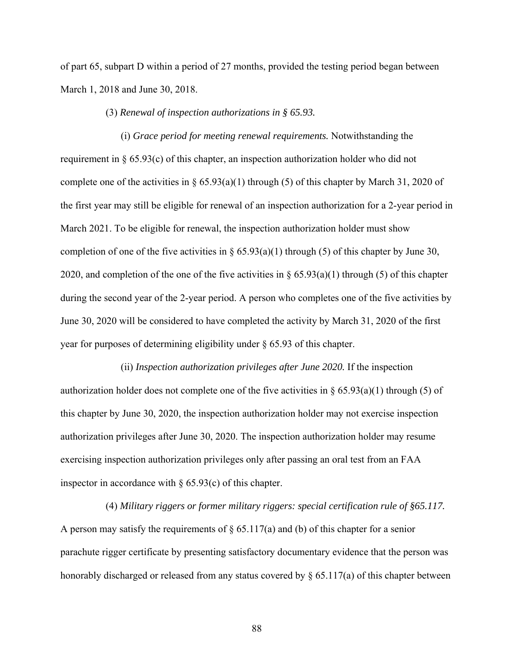of part 65, subpart D within a period of 27 months, provided the testing period began between March 1, 2018 and June 30, 2018.

#### (3) *Renewal of inspection authorizations in § 65.93.*

(i) *Grace period for meeting renewal requirements.* Notwithstanding the requirement in § 65.93(c) of this chapter, an inspection authorization holder who did not complete one of the activities in §  $65.93(a)(1)$  through (5) of this chapter by March 31, 2020 of the first year may still be eligible for renewal of an inspection authorization for a 2-year period in March 2021. To be eligible for renewal, the inspection authorization holder must show completion of one of the five activities in §  $65.93(a)(1)$  through (5) of this chapter by June 30, 2020, and completion of the one of the five activities in  $\S 65.93(a)(1)$  through (5) of this chapter during the second year of the 2-year period. A person who completes one of the five activities by June 30, 2020 will be considered to have completed the activity by March 31, 2020 of the first year for purposes of determining eligibility under § 65.93 of this chapter.

(ii) *Inspection authorization privileges after June 2020.* If the inspection authorization holder does not complete one of the five activities in  $\S 65.93(a)(1)$  through (5) of this chapter by June 30, 2020, the inspection authorization holder may not exercise inspection authorization privileges after June 30, 2020. The inspection authorization holder may resume exercising inspection authorization privileges only after passing an oral test from an FAA inspector in accordance with  $\S$  65.93(c) of this chapter.

(4) *Military riggers or former military riggers: special certification rule of §65.117.*  A person may satisfy the requirements of  $\S 65.117(a)$  and (b) of this chapter for a senior parachute rigger certificate by presenting satisfactory documentary evidence that the person was honorably discharged or released from any status covered by  $\S 65.117(a)$  of this chapter between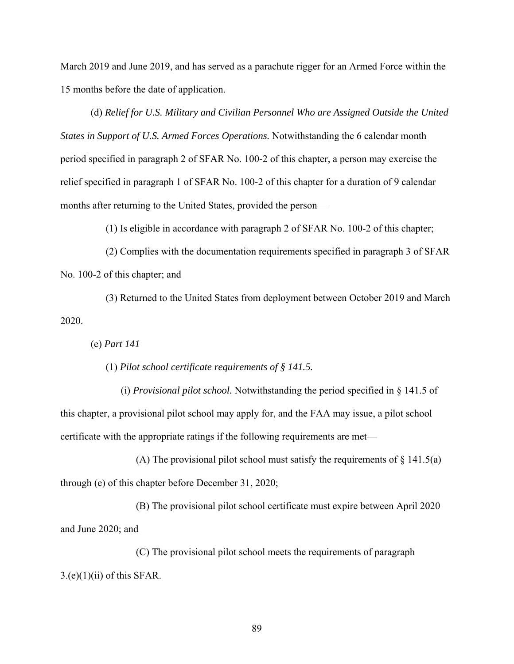March 2019 and June 2019, and has served as a parachute rigger for an Armed Force within the 15 months before the date of application.

(d) *Relief for U.S. Military and Civilian Personnel Who are Assigned Outside the United States in Support of U.S. Armed Forces Operations.* Notwithstanding the 6 calendar month period specified in paragraph 2 of SFAR No. 100-2 of this chapter, a person may exercise the relief specified in paragraph 1 of SFAR No. 100-2 of this chapter for a duration of 9 calendar months after returning to the United States, provided the person—

(1) Is eligible in accordance with paragraph 2 of SFAR No. 100-2 of this chapter;

(2) Complies with the documentation requirements specified in paragraph 3 of SFAR No. 100-2 of this chapter; and

(3) Returned to the United States from deployment between October 2019 and March 2020.

(e) *Part 141* 

(1) *Pilot school certificate requirements of § 141.5.* 

(i) *Provisional pilot school.* Notwithstanding the period specified in § 141.5 of this chapter, a provisional pilot school may apply for, and the FAA may issue, a pilot school certificate with the appropriate ratings if the following requirements are met—

(A) The provisional pilot school must satisfy the requirements of  $\S$  141.5(a) through (e) of this chapter before December 31, 2020;

(B) The provisional pilot school certificate must expire between April 2020 and June 2020; and

(C) The provisional pilot school meets the requirements of paragraph  $3.(e)(1)(ii)$  of this SFAR.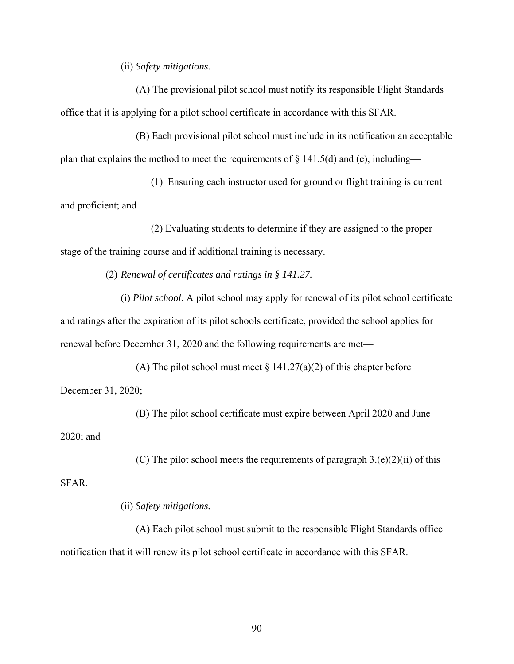(ii) *Safety mitigations.* 

(A) The provisional pilot school must notify its responsible Flight Standards office that it is applying for a pilot school certificate in accordance with this SFAR.

(B) Each provisional pilot school must include in its notification an acceptable plan that explains the method to meet the requirements of  $\S$  141.5(d) and (e), including—

(1) Ensuring each instructor used for ground or flight training is current and proficient; and

(2) Evaluating students to determine if they are assigned to the proper stage of the training course and if additional training is necessary.

(2) *Renewal of certificates and ratings in § 141.27.* 

(i) *Pilot school.* A pilot school may apply for renewal of its pilot school certificate and ratings after the expiration of its pilot schools certificate, provided the school applies for renewal before December 31, 2020 and the following requirements are met—

(A) The pilot school must meet  $\S 141.27(a)(2)$  of this chapter before December 31, 2020;

(B) The pilot school certificate must expire between April 2020 and June

2020; and

(C) The pilot school meets the requirements of paragraph  $3.(e)(2)(ii)$  of this

SFAR.

(ii) *Safety mitigations.* 

(A) Each pilot school must submit to the responsible Flight Standards office notification that it will renew its pilot school certificate in accordance with this SFAR.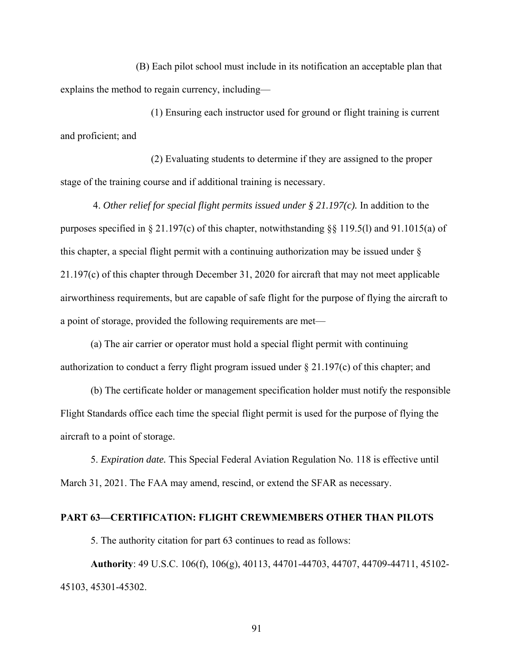(B) Each pilot school must include in its notification an acceptable plan that explains the method to regain currency, including—

(1) Ensuring each instructor used for ground or flight training is current and proficient; and

(2) Evaluating students to determine if they are assigned to the proper stage of the training course and if additional training is necessary.

 4. *Other relief for special flight permits issued under § 21.197(c).* In addition to the purposes specified in § 21.197(c) of this chapter, notwithstanding §§ 119.5(l) and 91.1015(a) of this chapter, a special flight permit with a continuing authorization may be issued under § 21.197(c) of this chapter through December 31, 2020 for aircraft that may not meet applicable airworthiness requirements, but are capable of safe flight for the purpose of flying the aircraft to a point of storage, provided the following requirements are met—

(a) The air carrier or operator must hold a special flight permit with continuing authorization to conduct a ferry flight program issued under  $\S 21.197(c)$  of this chapter; and

(b) The certificate holder or management specification holder must notify the responsible Flight Standards office each time the special flight permit is used for the purpose of flying the aircraft to a point of storage.

5. *Expiration date.* This Special Federal Aviation Regulation No. 118 is effective until March 31, 2021. The FAA may amend, rescind, or extend the SFAR as necessary.

#### **PART 63—CERTIFICATION: FLIGHT CREWMEMBERS OTHER THAN PILOTS**

5. The authority citation for part 63 continues to read as follows:

**Authority**: 49 U.S.C. 106(f), 106(g), 40113, 44701-44703, 44707, 44709-44711, 45102- 45103, 45301-45302.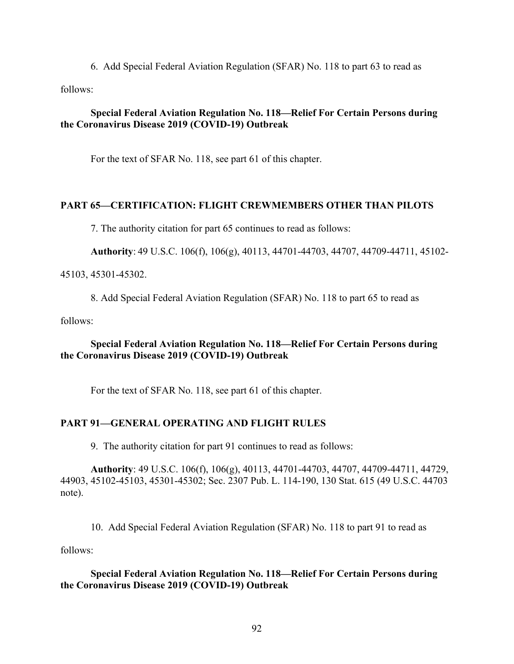6. Add Special Federal Aviation Regulation (SFAR) No. 118 to part 63 to read as

follows:

# **Special Federal Aviation Regulation No. 118—Relief For Certain Persons during the Coronavirus Disease 2019 (COVID-19) Outbreak**

For the text of SFAR No. 118, see part 61 of this chapter.

# **PART 65—CERTIFICATION: FLIGHT CREWMEMBERS OTHER THAN PILOTS**

7. The authority citation for part 65 continues to read as follows:

**Authority**: 49 U.S.C. 106(f), 106(g), 40113, 44701-44703, 44707, 44709-44711, 45102-

#### 45103, 45301-45302.

8. Add Special Federal Aviation Regulation (SFAR) No. 118 to part 65 to read as

follows:

# **Special Federal Aviation Regulation No. 118—Relief For Certain Persons during the Coronavirus Disease 2019 (COVID-19) Outbreak**

For the text of SFAR No. 118, see part 61 of this chapter.

# **PART 91—GENERAL OPERATING AND FLIGHT RULES**

9. The authority citation for part 91 continues to read as follows:

**Authority**: 49 U.S.C. 106(f), 106(g), 40113, 44701-44703, 44707, 44709-44711, 44729, 44903, 45102-45103, 45301-45302; Sec. 2307 Pub. L. 114-190, 130 Stat. 615 (49 U.S.C. 44703 note).

10. Add Special Federal Aviation Regulation (SFAR) No. 118 to part 91 to read as

follows:

# **Special Federal Aviation Regulation No. 118—Relief For Certain Persons during the Coronavirus Disease 2019 (COVID-19) Outbreak**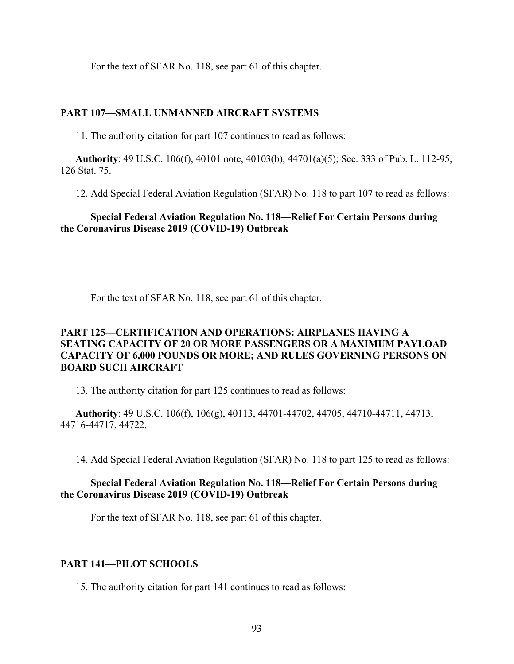For the text of SFAR No. 118, see part 61 of this chapter.

#### **PART 107—SMALL UNMANNED AIRCRAFT SYSTEMS**

11. The authority citation for part 107 continues to read as follows:

**Authority**: 49 U.S.C. 106(f), 40101 note, 40103(b), 44701(a)(5); Sec. 333 of Pub. L. 112-95, 126 Stat. 75.

12. Add Special Federal Aviation Regulation (SFAR) No. 118 to part 107 to read as follows:

# **Special Federal Aviation Regulation No. 118—Relief For Certain Persons during the Coronavirus Disease 2019 (COVID-19) Outbreak**

For the text of SFAR No. 118, see part 61 of this chapter.

# **PART 125—CERTIFICATION AND OPERATIONS: AIRPLANES HAVING A SEATING CAPACITY OF 20 OR MORE PASSENGERS OR A MAXIMUM PAYLOAD CAPACITY OF 6,000 POUNDS OR MORE; AND RULES GOVERNING PERSONS ON BOARD SUCH AIRCRAFT**

13. The authority citation for part 125 continues to read as follows:

**Authority**: 49 U.S.C. 106(f), 106(g), 40113, 44701-44702, 44705, 44710-44711, 44713, 44716-44717, 44722.

14. Add Special Federal Aviation Regulation (SFAR) No. 118 to part 125 to read as follows:

# **Special Federal Aviation Regulation No. 118—Relief For Certain Persons during the Coronavirus Disease 2019 (COVID-19) Outbreak**

For the text of SFAR No. 118, see part 61 of this chapter.

# **PART 141—PILOT SCHOOLS**

15. The authority citation for part 141 continues to read as follows: